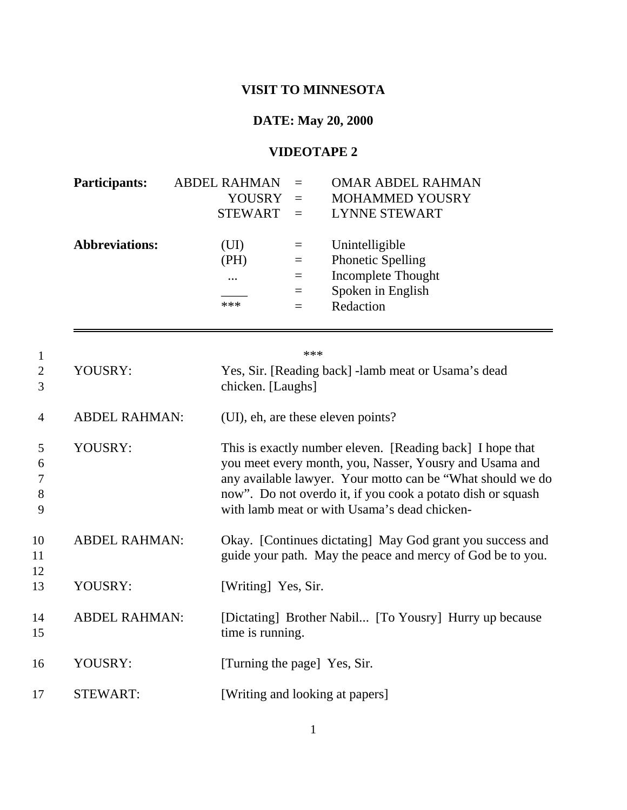## **VISIT TO MINNESOTA**

## **DATE: May 20, 2000**

## **VIDEOTAPE 2**

| <b>Participants:</b>  | <b>ABDEL RAHMAN</b> |          | <b>OMAR ABDEL RAHMAN</b> |
|-----------------------|---------------------|----------|--------------------------|
|                       | <b>YOUSRY</b>       | $\equiv$ | <b>MOHAMMED YOUSRY</b>   |
|                       | <b>STEWART</b>      |          | <b>LYNNE STEWART</b>     |
|                       |                     |          |                          |
| <b>Abbreviations:</b> | (UI)                | $=$      | Unintelligible           |
|                       | (PH)                | $=$      | <b>Phonetic Spelling</b> |
|                       | $\ddotsc$           | $\equiv$ | Incomplete Thought       |
|                       |                     | $=$      | Spoken in English        |
|                       | $***$               |          | Redaction                |

|                       |                      | $***$                                                                                                                                                                                                                                                                                             |
|-----------------------|----------------------|---------------------------------------------------------------------------------------------------------------------------------------------------------------------------------------------------------------------------------------------------------------------------------------------------|
| $\overline{2}$<br>3   | YOUSRY:              | Yes, Sir. [Reading back] -lamb meat or Usama's dead<br>chicken. [Laughs]                                                                                                                                                                                                                          |
| $\overline{4}$        | <b>ABDEL RAHMAN:</b> | (UI), eh, are these eleven points?                                                                                                                                                                                                                                                                |
| 5<br>6<br>7<br>8<br>9 | YOUSRY:              | This is exactly number eleven. [Reading back] I hope that<br>you meet every month, you, Nasser, Yousry and Usama and<br>any available lawyer. Your motto can be "What should we do<br>now". Do not overdo it, if you cook a potato dish or squash<br>with lamb meat or with Usama's dead chicken- |
| 10<br>11<br>12        | <b>ABDEL RAHMAN:</b> | Okay. [Continues dictating] May God grant you success and<br>guide your path. May the peace and mercy of God be to you.                                                                                                                                                                           |
| 13                    | YOUSRY:              | [Writing] Yes, Sir.                                                                                                                                                                                                                                                                               |
| 14<br>15              | <b>ABDEL RAHMAN:</b> | [Dictating] Brother Nabil [To Yousry] Hurry up because<br>time is running.                                                                                                                                                                                                                        |
| 16                    | YOUSRY:              | [Turning the page] Yes, Sir.                                                                                                                                                                                                                                                                      |
| 17                    | <b>STEWART:</b>      | [Writing and looking at papers]                                                                                                                                                                                                                                                                   |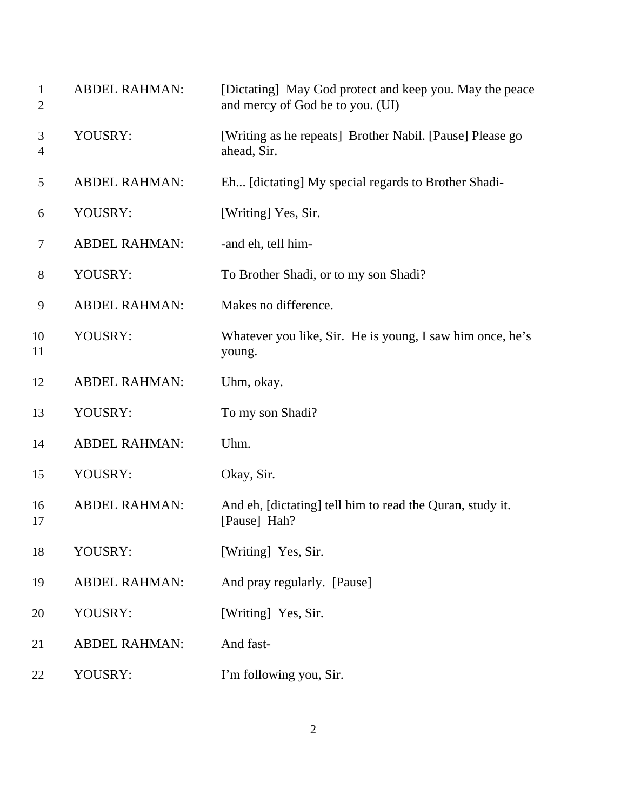| $\mathbf{1}$<br>$\overline{2}$ | <b>ABDEL RAHMAN:</b> | [Dictating] May God protect and keep you. May the peace<br>and mercy of God be to you. (UI) |
|--------------------------------|----------------------|---------------------------------------------------------------------------------------------|
| 3<br>4                         | YOUSRY:              | [Writing as he repeats] Brother Nabil. [Pause] Please go<br>ahead, Sir.                     |
| 5                              | <b>ABDEL RAHMAN:</b> | Eh [dictating] My special regards to Brother Shadi-                                         |
| 6                              | YOUSRY:              | [Writing] Yes, Sir.                                                                         |
| 7                              | <b>ABDEL RAHMAN:</b> | -and eh, tell him-                                                                          |
| 8                              | YOUSRY:              | To Brother Shadi, or to my son Shadi?                                                       |
| 9                              | <b>ABDEL RAHMAN:</b> | Makes no difference.                                                                        |
| 10<br>11                       | YOUSRY:              | Whatever you like, Sir. He is young, I saw him once, he's<br>young.                         |
| 12                             | <b>ABDEL RAHMAN:</b> | Uhm, okay.                                                                                  |
| 13                             | YOUSRY:              | To my son Shadi?                                                                            |
| 14                             | <b>ABDEL RAHMAN:</b> | Uhm.                                                                                        |
| 15                             | YOUSRY:              | Okay, Sir.                                                                                  |
| 16<br>17                       | <b>ABDEL RAHMAN:</b> | And eh, [dictating] tell him to read the Quran, study it.<br>[Pause] Hah?                   |
| 18                             | YOUSRY:              | [Writing] Yes, Sir.                                                                         |
| 19                             | <b>ABDEL RAHMAN:</b> | And pray regularly. [Pause]                                                                 |
| 20                             | YOUSRY:              | [Writing] Yes, Sir.                                                                         |
| 21                             | <b>ABDEL RAHMAN:</b> | And fast-                                                                                   |
| 22                             | YOUSRY:              | I'm following you, Sir.                                                                     |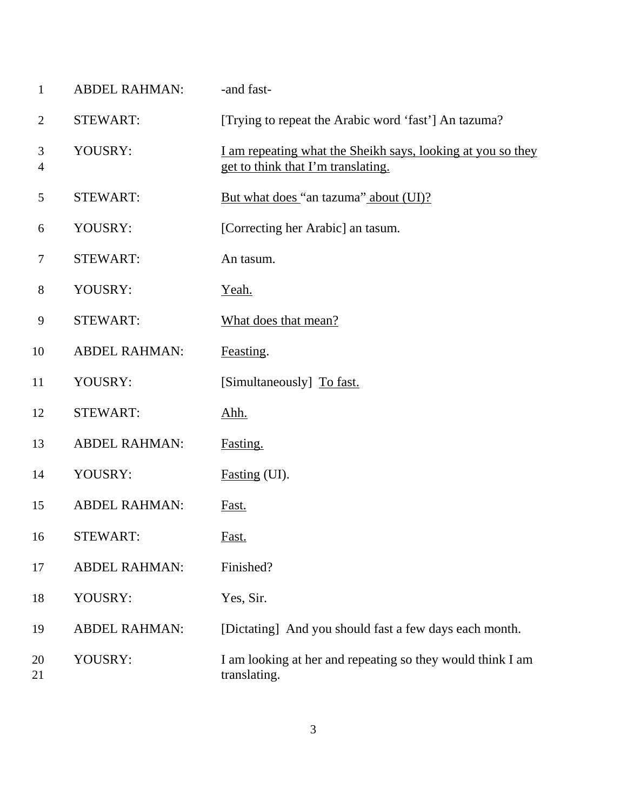| $\mathbf{1}$   | <b>ABDEL RAHMAN:</b> | -and fast-                                                                                        |
|----------------|----------------------|---------------------------------------------------------------------------------------------------|
| $\overline{2}$ | <b>STEWART:</b>      | [Trying to repeat the Arabic word 'fast'] An tazuma?                                              |
| 3<br>4         | YOUSRY:              | I am repeating what the Sheikh says, looking at you so they<br>get to think that I'm translating. |
| 5              | <b>STEWART:</b>      | But what does "an tazuma" about (UI)?                                                             |
| 6              | YOUSRY:              | [Correcting her Arabic] an tasum.                                                                 |
| 7              | <b>STEWART:</b>      | An tasum.                                                                                         |
| 8              | YOUSRY:              | Yeah.                                                                                             |
| 9              | <b>STEWART:</b>      | What does that mean?                                                                              |
| 10             | <b>ABDEL RAHMAN:</b> | Feasting.                                                                                         |
| 11             | YOUSRY:              | [Simultaneously] To fast.                                                                         |
| 12             | <b>STEWART:</b>      | <u>Ahh.</u>                                                                                       |
| 13             | <b>ABDEL RAHMAN:</b> | Fasting.                                                                                          |
| 14             | YOUSRY:              | Fasting (UI).                                                                                     |
| 15             | <b>ABDEL RAHMAN:</b> | Fast.                                                                                             |
| 16             | <b>STEWART:</b>      | <u>Fast.</u>                                                                                      |
| 17             | <b>ABDEL RAHMAN:</b> | Finished?                                                                                         |
| 18             | YOUSRY:              | Yes, Sir.                                                                                         |
| 19             | <b>ABDEL RAHMAN:</b> | [Dictating] And you should fast a few days each month.                                            |
| 20<br>21       | YOUSRY:              | I am looking at her and repeating so they would think I am<br>translating.                        |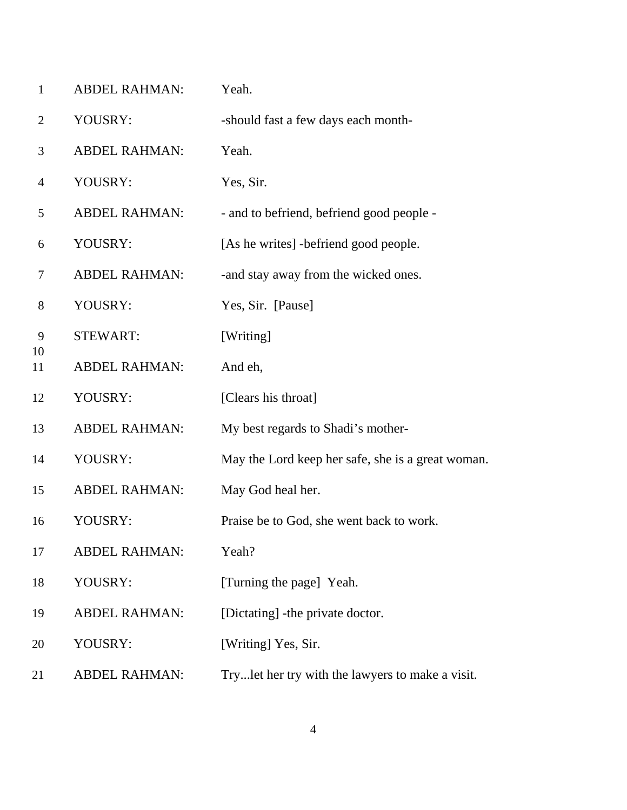| $\mathbf{1}$ | <b>ABDEL RAHMAN:</b> | Yeah.                                             |
|--------------|----------------------|---------------------------------------------------|
| 2            | YOUSRY:              | -should fast a few days each month-               |
| 3            | <b>ABDEL RAHMAN:</b> | Yeah.                                             |
| 4            | YOUSRY:              | Yes, Sir.                                         |
| 5            | <b>ABDEL RAHMAN:</b> | - and to befriend, befriend good people -         |
| 6            | YOUSRY:              | [As he writes] -befriend good people.             |
| 7            | <b>ABDEL RAHMAN:</b> | -and stay away from the wicked ones.              |
| 8            | YOUSRY:              | Yes, Sir. [Pause]                                 |
| 9            | <b>STEWART:</b>      | [Writing]                                         |
| 10<br>11     | <b>ABDEL RAHMAN:</b> | And eh,                                           |
| 12           | YOUSRY:              | [Clears his throat]                               |
| 13           | <b>ABDEL RAHMAN:</b> | My best regards to Shadi's mother-                |
| 14           | YOUSRY:              | May the Lord keep her safe, she is a great woman. |
| 15           | <b>ABDEL RAHMAN:</b> | May God heal her.                                 |
| 16           | YOUSRY:              | Praise be to God, she went back to work.          |
| 17           | <b>ABDEL RAHMAN:</b> | Yeah?                                             |
| 18           | YOUSRY:              | [Turning the page] Yeah.                          |
| 19           | <b>ABDEL RAHMAN:</b> | [Dictating] - the private doctor.                 |
| 20           | YOUSRY:              | [Writing] Yes, Sir.                               |
| 21           | <b>ABDEL RAHMAN:</b> | Trylet her try with the lawyers to make a visit.  |
|              |                      |                                                   |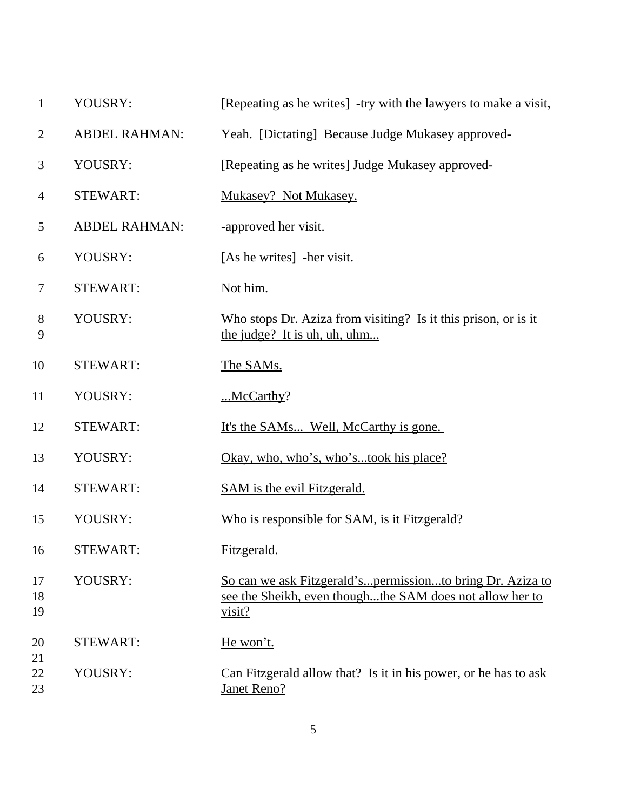| $\mathbf{1}$   | YOUSRY:              | [Repeating as he writes] -try with the lawyers to make a visit,                                                                 |
|----------------|----------------------|---------------------------------------------------------------------------------------------------------------------------------|
| $\overline{2}$ | <b>ABDEL RAHMAN:</b> | Yeah. [Dictating] Because Judge Mukasey approved-                                                                               |
| 3              | YOUSRY:              | [Repeating as he writes] Judge Mukasey approved-                                                                                |
| $\overline{4}$ | <b>STEWART:</b>      | Mukasey? Not Mukasey.                                                                                                           |
| 5              | <b>ABDEL RAHMAN:</b> | -approved her visit.                                                                                                            |
| 6              | YOUSRY:              | [As he writes] -her visit.                                                                                                      |
| 7              | <b>STEWART:</b>      | Not him.                                                                                                                        |
| $8\,$<br>9     | YOUSRY:              | Who stops Dr. Aziza from visiting? Is it this prison, or is it<br>the judge? It is uh, uh, uhm                                  |
| 10             | <b>STEWART:</b>      | The SAMs.                                                                                                                       |
| 11             | YOUSRY:              | $$ McCarthy?                                                                                                                    |
| 12             | <b>STEWART:</b>      | <u>It's the SAMs Well, McCarthy is gone.</u>                                                                                    |
| 13             | YOUSRY:              | <u>Okay, who, who's, who'stook his place?</u>                                                                                   |
| 14             | <b>STEWART:</b>      | <b>SAM</b> is the evil Fitzgerald.                                                                                              |
| 15             | YOUSRY:              | Who is responsible for SAM, is it Fitzgerald?                                                                                   |
| 16             | STEWART:             | Fitzgerald.                                                                                                                     |
| 17<br>18<br>19 | YOUSRY:              | So can we ask Fitzgerald'spermissionto bring Dr. Aziza to<br>see the Sheikh, even thoughthe SAM does not allow her to<br>visit? |
| 20             | <b>STEWART:</b>      | He won't.                                                                                                                       |
| 21<br>22<br>23 | YOUSRY:              | Can Fitzgerald allow that? Is it in his power, or he has to ask<br><b>Janet Reno?</b>                                           |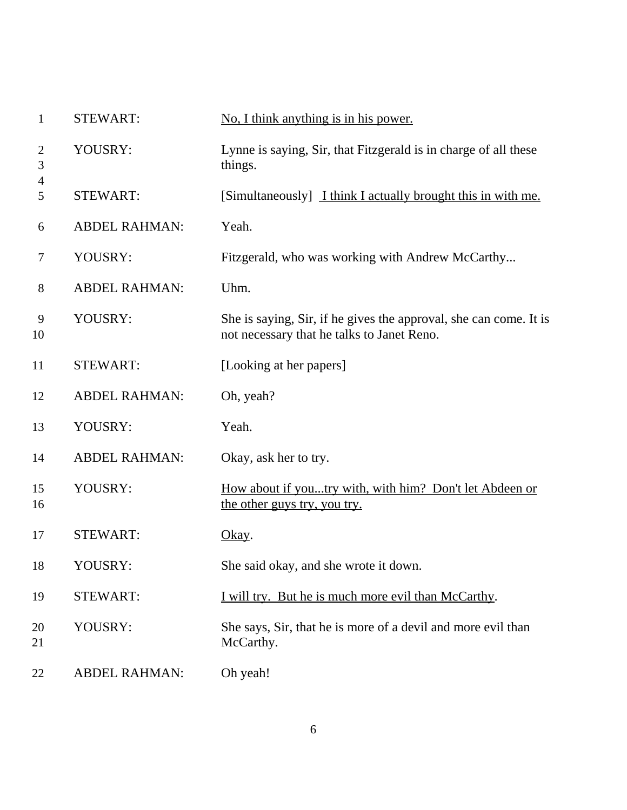| $\mathbf{1}$ | <b>STEWART:</b>      | No, I think anything is in his power.                                                                           |
|--------------|----------------------|-----------------------------------------------------------------------------------------------------------------|
| 2<br>3       | YOUSRY:              | Lynne is saying, Sir, that Fitzgerald is in charge of all these<br>things.                                      |
| 4<br>5       | <b>STEWART:</b>      | [Simultaneously] I think I actually brought this in with me.                                                    |
| 6            | <b>ABDEL RAHMAN:</b> | Yeah.                                                                                                           |
| 7            | YOUSRY:              | Fitzgerald, who was working with Andrew McCarthy                                                                |
| 8            | <b>ABDEL RAHMAN:</b> | Uhm.                                                                                                            |
| 9<br>10      | YOUSRY:              | She is saying, Sir, if he gives the approval, she can come. It is<br>not necessary that he talks to Janet Reno. |
| 11           | <b>STEWART:</b>      | [Looking at her papers]                                                                                         |
| 12           | <b>ABDEL RAHMAN:</b> | Oh, yeah?                                                                                                       |
| 13           | YOUSRY:              | Yeah.                                                                                                           |
| 14           | <b>ABDEL RAHMAN:</b> | Okay, ask her to try.                                                                                           |
| 15<br>16     | YOUSRY:              | How about if youtry with, with him? Don't let Abdeen or<br>the other guys try, you try.                         |
| 17           | <b>STEWART:</b>      | Okay.                                                                                                           |
| 18           | YOUSRY:              | She said okay, and she wrote it down.                                                                           |
| 19           | <b>STEWART:</b>      | I will try. But he is much more evil than McCarthy.                                                             |
| 20<br>21     | YOUSRY:              | She says, Sir, that he is more of a devil and more evil than<br>McCarthy.                                       |
| 22           | <b>ABDEL RAHMAN:</b> | Oh yeah!                                                                                                        |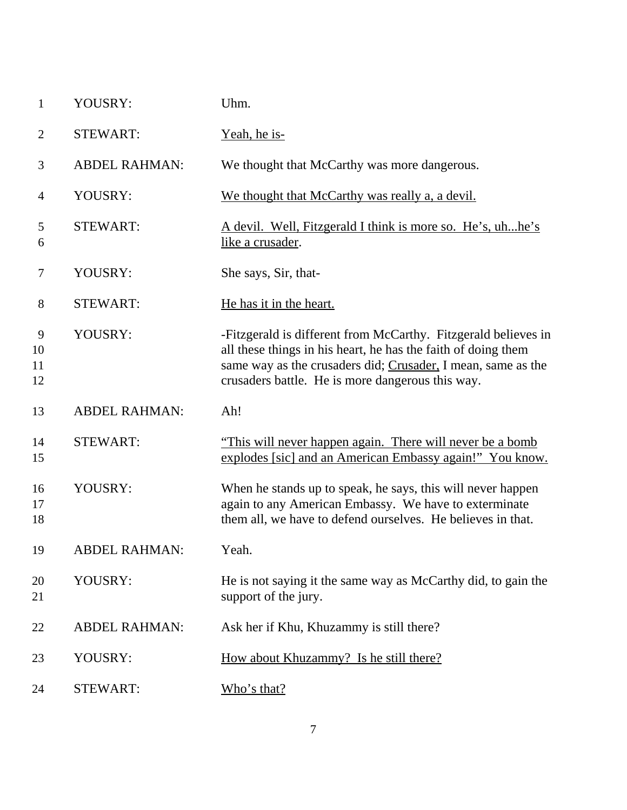| $\mathbf{1}$        | YOUSRY:              | Uhm.                                                                                                                                                                                                                                                |
|---------------------|----------------------|-----------------------------------------------------------------------------------------------------------------------------------------------------------------------------------------------------------------------------------------------------|
| 2                   | <b>STEWART:</b>      | <u>Yeah, he is-</u>                                                                                                                                                                                                                                 |
| 3                   | <b>ABDEL RAHMAN:</b> | We thought that McCarthy was more dangerous.                                                                                                                                                                                                        |
| 4                   | YOUSRY:              | We thought that McCarthy was really a, a devil.                                                                                                                                                                                                     |
| 5<br>6              | <b>STEWART:</b>      | <u>A devil. Well, Fitzgerald I think is more so. He's, uhhe's</u><br>like a crusader.                                                                                                                                                               |
| $\tau$              | YOUSRY:              | She says, Sir, that-                                                                                                                                                                                                                                |
| 8                   | <b>STEWART:</b>      | He has it in the heart.                                                                                                                                                                                                                             |
| 9<br>10<br>11<br>12 | YOUSRY:              | -Fitzgerald is different from McCarthy. Fitzgerald believes in<br>all these things in his heart, he has the faith of doing them<br>same way as the crusaders did; Crusader, I mean, same as the<br>crusaders battle. He is more dangerous this way. |
| 13                  | <b>ABDEL RAHMAN:</b> | Ah!                                                                                                                                                                                                                                                 |
| 14                  | <b>STEWART:</b>      | "This will never happen again. There will never be a bomb                                                                                                                                                                                           |
| 15                  |                      | explodes [sic] and an American Embassy again!" You know.                                                                                                                                                                                            |
| 16<br>17<br>18      | YOUSRY:              | When he stands up to speak, he says, this will never happen<br>again to any American Embassy. We have to exterminate<br>them all, we have to defend ourselves. He believes in that.                                                                 |
| 19                  | <b>ABDEL RAHMAN:</b> | Yeah.                                                                                                                                                                                                                                               |
| 20<br>21            | YOUSRY:              | He is not saying it the same way as McCarthy did, to gain the<br>support of the jury.                                                                                                                                                               |
| 22                  | <b>ABDEL RAHMAN:</b> | Ask her if Khu, Khuzammy is still there?                                                                                                                                                                                                            |
| 23                  | YOUSRY:              | How about Khuzammy? Is he still there?                                                                                                                                                                                                              |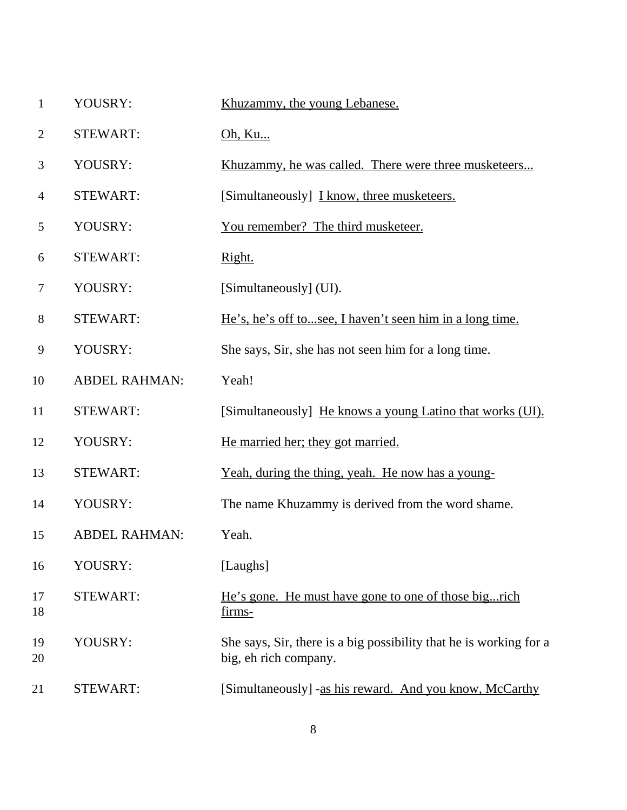- YOUSRY: Khuzammy, the young Lebanese.
- STEWART: Oh, Ku...
- 3 YOUSRY: Khuzammy, he was called. There were three musketeers...
- 4 STEWART: [Simultaneously] I know, three musketeers.
- YOUSRY: You remember? The third musketeer.
- 6 STEWART: Right.
- YOUSRY: [Simultaneously] (UI).
- STEWART: He's, he's off to...see, I haven't seen him in a long time.
- YOUSRY: She says, Sir, she has not seen him for a long time.
- ABDEL RAHMAN: Yeah!
- 11 STEWART: [Simultaneously] He knows a young Latino that works (UI).
- 12 YOUSRY: He married her; they got married.
- STEWART: Yeah, during the thing, yeah. He now has a young-
- YOUSRY: The name Khuzammy is derived from the word shame.
- ABDEL RAHMAN: Yeah.
- YOUSRY: [Laughs]
- STEWART: He's gone. He must have gone to one of those big...rich firms-
- YOUSRY: She says, Sir, there is a big possibility that he is working for a big, eh rich company.
- STEWART: [Simultaneously] -as his reward. And you know, McCarthy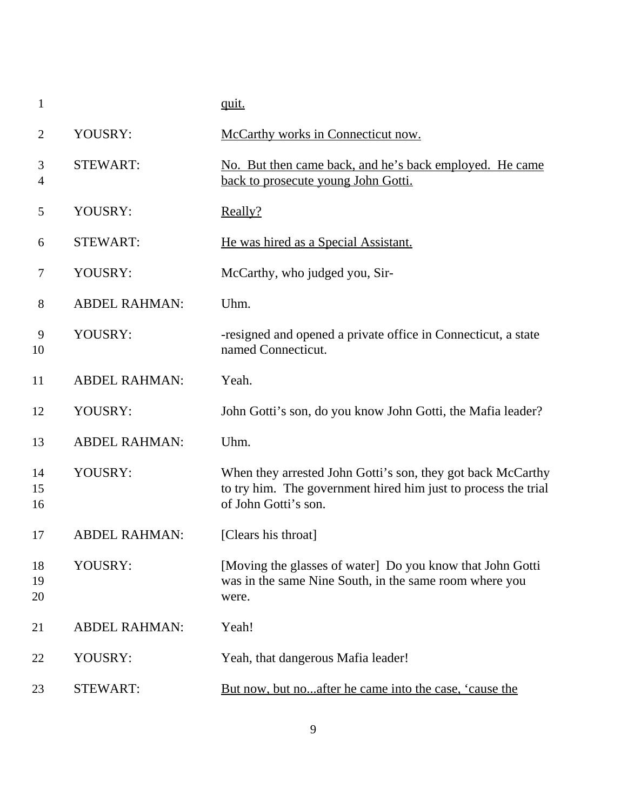|                      | quit.                                                                                                                                                 |
|----------------------|-------------------------------------------------------------------------------------------------------------------------------------------------------|
| YOUSRY:              | McCarthy works in Connecticut now.                                                                                                                    |
| <b>STEWART:</b>      | No. But then came back, and he's back employed. He came<br>back to prosecute young John Gotti.                                                        |
| YOUSRY:              | Really?                                                                                                                                               |
| <b>STEWART:</b>      | He was hired as a Special Assistant.                                                                                                                  |
| YOUSRY:              | McCarthy, who judged you, Sir-                                                                                                                        |
| <b>ABDEL RAHMAN:</b> | Uhm.                                                                                                                                                  |
| YOUSRY:              | -resigned and opened a private office in Connecticut, a state<br>named Connecticut.                                                                   |
| <b>ABDEL RAHMAN:</b> | Yeah.                                                                                                                                                 |
| YOUSRY:              | John Gotti's son, do you know John Gotti, the Mafia leader?                                                                                           |
| <b>ABDEL RAHMAN:</b> | Uhm.                                                                                                                                                  |
| YOUSRY:              | When they arrested John Gotti's son, they got back McCarthy<br>to try him. The government hired him just to process the trial<br>of John Gotti's son. |
| <b>ABDEL RAHMAN:</b> | [Clears his throat]                                                                                                                                   |
| YOUSRY:              | [Moving the glasses of water] Do you know that John Gotti<br>was in the same Nine South, in the same room where you<br>were.                          |
| <b>ABDEL RAHMAN:</b> | Yeah!                                                                                                                                                 |
| YOUSRY:              | Yeah, that dangerous Mafia leader!                                                                                                                    |
| <b>STEWART:</b>      | But now, but noafter he came into the case, 'cause the                                                                                                |
|                      |                                                                                                                                                       |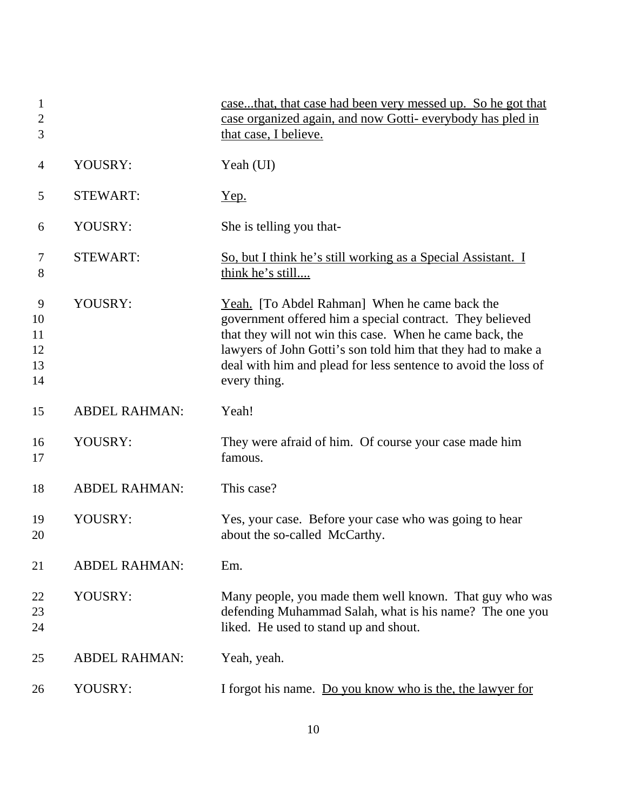| 1<br>$\overline{2}$<br>3        |                      | casethat, that case had been very messed up. So he got that<br>case organized again, and now Gotti-everybody has pled in<br>that case, I believe.                                                                                                                                                                       |
|---------------------------------|----------------------|-------------------------------------------------------------------------------------------------------------------------------------------------------------------------------------------------------------------------------------------------------------------------------------------------------------------------|
| 4                               | YOUSRY:              | Yeah (UI)                                                                                                                                                                                                                                                                                                               |
| 5                               | <b>STEWART:</b>      | <u>Yep.</u>                                                                                                                                                                                                                                                                                                             |
| 6                               | YOUSRY:              | She is telling you that-                                                                                                                                                                                                                                                                                                |
| 7<br>8                          | <b>STEWART:</b>      | So, but I think he's still working as a Special Assistant. I<br>think he's still                                                                                                                                                                                                                                        |
| 9<br>10<br>11<br>12<br>13<br>14 | YOUSRY:              | Yeah. [To Abdel Rahman] When he came back the<br>government offered him a special contract. They believed<br>that they will not win this case. When he came back, the<br>lawyers of John Gotti's son told him that they had to make a<br>deal with him and plead for less sentence to avoid the loss of<br>every thing. |
| 15                              | <b>ABDEL RAHMAN:</b> | Yeah!                                                                                                                                                                                                                                                                                                                   |
| 16<br>17                        | YOUSRY:              | They were afraid of him. Of course your case made him<br>famous.                                                                                                                                                                                                                                                        |
| 18                              | <b>ABDEL RAHMAN:</b> | This case?                                                                                                                                                                                                                                                                                                              |
| 19<br>20                        | YOUSRY:              | Yes, your case. Before your case who was going to hear<br>about the so-called McCarthy.                                                                                                                                                                                                                                 |
| 21                              | <b>ABDEL RAHMAN:</b> | Em.                                                                                                                                                                                                                                                                                                                     |
| 22<br>23<br>24                  | YOUSRY:              | Many people, you made them well known. That guy who was<br>defending Muhammad Salah, what is his name? The one you<br>liked. He used to stand up and shout.                                                                                                                                                             |
| 25                              | <b>ABDEL RAHMAN:</b> | Yeah, yeah.                                                                                                                                                                                                                                                                                                             |
| 26                              | YOUSRY:              | I forgot his name. Do you know who is the, the lawyer for                                                                                                                                                                                                                                                               |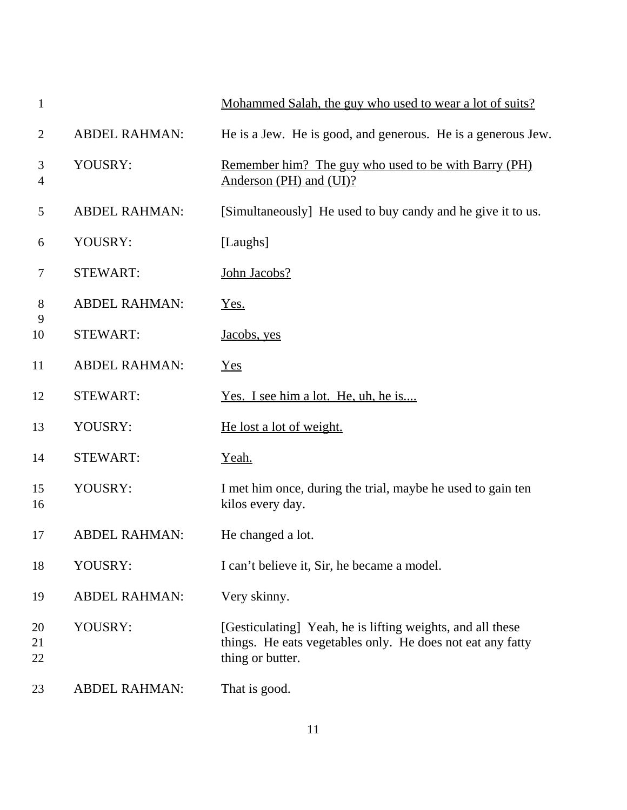| $\mathbf{1}$   |                      | Mohammed Salah, the guy who used to wear a lot of suits?                                                                                     |
|----------------|----------------------|----------------------------------------------------------------------------------------------------------------------------------------------|
| $\overline{2}$ | <b>ABDEL RAHMAN:</b> | He is a Jew. He is good, and generous. He is a generous Jew.                                                                                 |
| 3<br>4         | YOUSRY:              | Remember him? The guy who used to be with Barry (PH)<br>Anderson (PH) and (UI)?                                                              |
| 5              | <b>ABDEL RAHMAN:</b> | [Simultaneously] He used to buy candy and he give it to us.                                                                                  |
| 6              | YOUSRY:              | [Laughs]                                                                                                                                     |
| 7              | <b>STEWART:</b>      | John Jacobs?                                                                                                                                 |
| 8              | <b>ABDEL RAHMAN:</b> | Yes.                                                                                                                                         |
| 9<br>10        | <b>STEWART:</b>      | Jacobs, yes                                                                                                                                  |
| 11             | <b>ABDEL RAHMAN:</b> | Yes                                                                                                                                          |
| 12             | <b>STEWART:</b>      | Yes. I see him a lot. He, uh, he is                                                                                                          |
| 13             | YOUSRY:              | He lost a lot of weight.                                                                                                                     |
| 14             | <b>STEWART:</b>      | Yeah.                                                                                                                                        |
| 15<br>16       | YOUSRY:              | I met him once, during the trial, maybe he used to gain ten<br>kilos every day.                                                              |
| 17             | <b>ABDEL RAHMAN:</b> | He changed a lot.                                                                                                                            |
| 18             | YOUSRY:              | I can't believe it, Sir, he became a model.                                                                                                  |
| 19             | <b>ABDEL RAHMAN:</b> | Very skinny.                                                                                                                                 |
| 20<br>21<br>22 | YOUSRY:              | [Gesticulating] Yeah, he is lifting weights, and all these<br>things. He eats vegetables only. He does not eat any fatty<br>thing or butter. |
| 23             | <b>ABDEL RAHMAN:</b> | That is good.                                                                                                                                |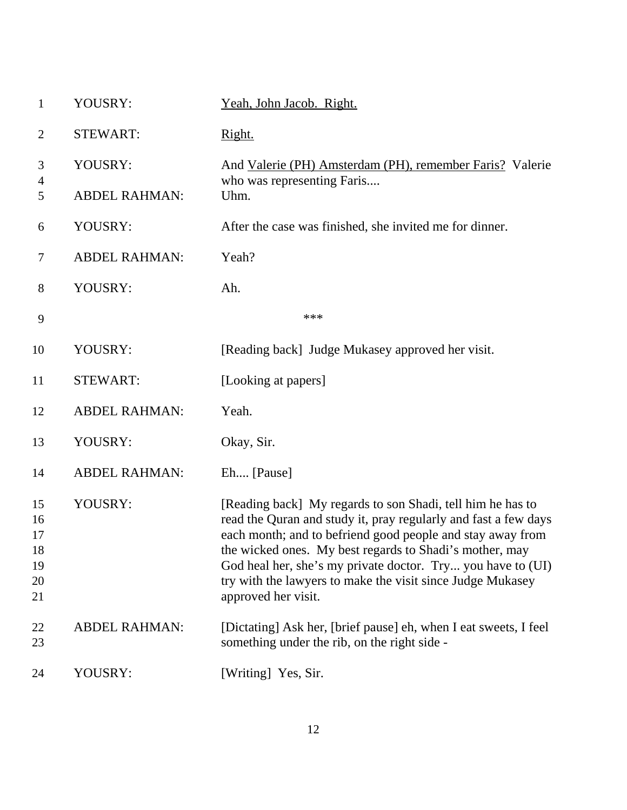| $\mathbf{1}$                           | YOUSRY:              | Yeah, John Jacob. Right.                                                                                                                                                                                                                                                                                                                                                                                   |
|----------------------------------------|----------------------|------------------------------------------------------------------------------------------------------------------------------------------------------------------------------------------------------------------------------------------------------------------------------------------------------------------------------------------------------------------------------------------------------------|
| $\overline{2}$                         | <b>STEWART:</b>      | Right.                                                                                                                                                                                                                                                                                                                                                                                                     |
| 3                                      | YOUSRY:              | And Valerie (PH) Amsterdam (PH), remember Faris? Valerie                                                                                                                                                                                                                                                                                                                                                   |
| 4<br>5                                 | <b>ABDEL RAHMAN:</b> | who was representing Faris<br>Uhm.                                                                                                                                                                                                                                                                                                                                                                         |
| 6                                      | YOUSRY:              | After the case was finished, she invited me for dinner.                                                                                                                                                                                                                                                                                                                                                    |
| $\tau$                                 | <b>ABDEL RAHMAN:</b> | Yeah?                                                                                                                                                                                                                                                                                                                                                                                                      |
| $8\,$                                  | YOUSRY:              | Ah.                                                                                                                                                                                                                                                                                                                                                                                                        |
| 9                                      |                      | ***                                                                                                                                                                                                                                                                                                                                                                                                        |
| 10                                     | YOUSRY:              | [Reading back] Judge Mukasey approved her visit.                                                                                                                                                                                                                                                                                                                                                           |
| 11                                     | <b>STEWART:</b>      | [Looking at papers]                                                                                                                                                                                                                                                                                                                                                                                        |
| 12                                     | <b>ABDEL RAHMAN:</b> | Yeah.                                                                                                                                                                                                                                                                                                                                                                                                      |
| 13                                     | YOUSRY:              | Okay, Sir.                                                                                                                                                                                                                                                                                                                                                                                                 |
| 14                                     | <b>ABDEL RAHMAN:</b> | Eh [Pause]                                                                                                                                                                                                                                                                                                                                                                                                 |
| 15<br>16<br>17<br>18<br>19<br>20<br>21 | YOUSRY:              | [Reading back] My regards to son Shadi, tell him he has to<br>read the Quran and study it, pray regularly and fast a few days<br>each month; and to befriend good people and stay away from<br>the wicked ones. My best regards to Shadi's mother, may<br>God heal her, she's my private doctor. Try you have to (UI)<br>try with the lawyers to make the visit since Judge Mukasey<br>approved her visit. |
| 22<br>23                               | <b>ABDEL RAHMAN:</b> | [Dictating] Ask her, [brief pause] eh, when I eat sweets, I feel<br>something under the rib, on the right side -                                                                                                                                                                                                                                                                                           |
| 24                                     | YOUSRY:              | [Writing] Yes, Sir.                                                                                                                                                                                                                                                                                                                                                                                        |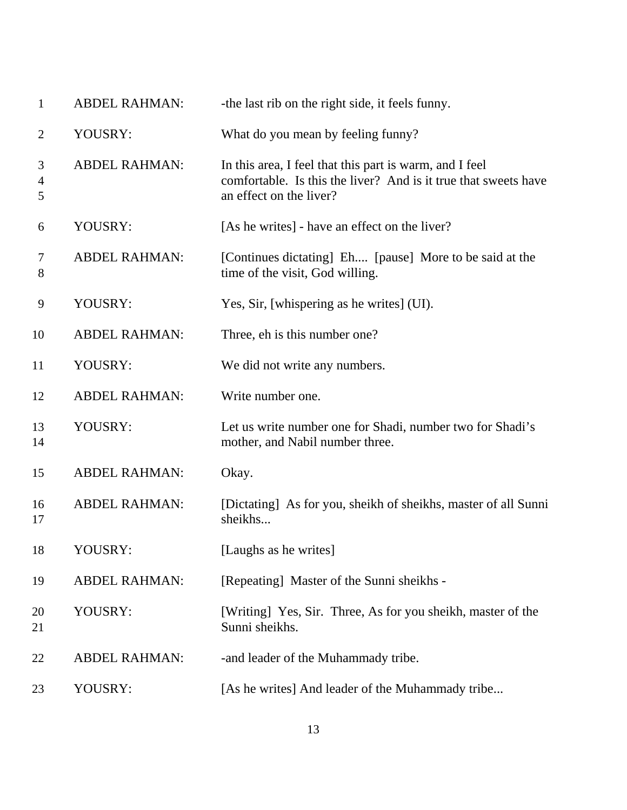| $\mathbf{1}$             | <b>ABDEL RAHMAN:</b> | -the last rib on the right side, it feels funny.                                                                                                      |
|--------------------------|----------------------|-------------------------------------------------------------------------------------------------------------------------------------------------------|
| $\overline{2}$           | YOUSRY:              | What do you mean by feeling funny?                                                                                                                    |
| 3<br>$\overline{4}$<br>5 | <b>ABDEL RAHMAN:</b> | In this area, I feel that this part is warm, and I feel<br>comfortable. Is this the liver? And is it true that sweets have<br>an effect on the liver? |
| 6                        | YOUSRY:              | [As he writes] - have an effect on the liver?                                                                                                         |
| 7<br>8                   | <b>ABDEL RAHMAN:</b> | [Continues dictating] Eh [pause] More to be said at the<br>time of the visit, God willing.                                                            |
| 9                        | YOUSRY:              | Yes, Sir, [whispering as he writes] (UI).                                                                                                             |
| 10                       | <b>ABDEL RAHMAN:</b> | Three, eh is this number one?                                                                                                                         |
| 11                       | YOUSRY:              | We did not write any numbers.                                                                                                                         |
| 12                       | <b>ABDEL RAHMAN:</b> | Write number one.                                                                                                                                     |
| 13<br>14                 | YOUSRY:              | Let us write number one for Shadi, number two for Shadi's<br>mother, and Nabil number three.                                                          |
| 15                       | <b>ABDEL RAHMAN:</b> | Okay.                                                                                                                                                 |
| 16<br>17                 | <b>ABDEL RAHMAN:</b> | [Dictating] As for you, sheikh of sheikhs, master of all Sunni<br>sheikhs                                                                             |
| 18                       | YOUSRY:              | [Laughs as he writes]                                                                                                                                 |
| 19                       | <b>ABDEL RAHMAN:</b> | [Repeating] Master of the Sunni sheikhs -                                                                                                             |
| 20<br>21                 | YOUSRY:              | [Writing] Yes, Sir. Three, As for you sheikh, master of the<br>Sunni sheikhs.                                                                         |
| 22                       | <b>ABDEL RAHMAN:</b> | -and leader of the Muhammady tribe.                                                                                                                   |
| 23                       | YOUSRY:              | [As he writes] And leader of the Muhammady tribe                                                                                                      |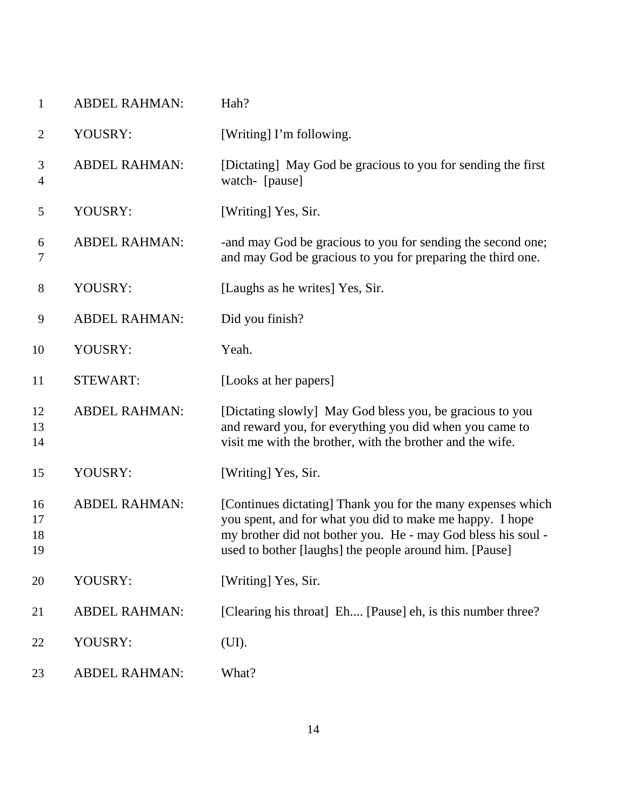| $\mathbf{1}$         | <b>ABDEL RAHMAN:</b> | Hah?                                                                                                                                                                                                                                              |
|----------------------|----------------------|---------------------------------------------------------------------------------------------------------------------------------------------------------------------------------------------------------------------------------------------------|
| $\overline{2}$       | YOUSRY:              | [Writing] I'm following.                                                                                                                                                                                                                          |
| 3<br>$\overline{4}$  | <b>ABDEL RAHMAN:</b> | [Dictating] May God be gracious to you for sending the first<br>watch- [pause]                                                                                                                                                                    |
| 5                    | YOUSRY:              | [Writing] Yes, Sir.                                                                                                                                                                                                                               |
| 6<br>7               | <b>ABDEL RAHMAN:</b> | -and may God be gracious to you for sending the second one;<br>and may God be gracious to you for preparing the third one.                                                                                                                        |
| $8\,$                | YOUSRY:              | [Laughs as he writes] Yes, Sir.                                                                                                                                                                                                                   |
| 9                    | <b>ABDEL RAHMAN:</b> | Did you finish?                                                                                                                                                                                                                                   |
| 10                   | YOUSRY:              | Yeah.                                                                                                                                                                                                                                             |
| 11                   | <b>STEWART:</b>      | [Looks at her papers]                                                                                                                                                                                                                             |
| 12<br>13<br>14       | <b>ABDEL RAHMAN:</b> | [Dictating slowly] May God bless you, be gracious to you<br>and reward you, for everything you did when you came to<br>visit me with the brother, with the brother and the wife.                                                                  |
| 15                   | YOUSRY:              | [Writing] Yes, Sir.                                                                                                                                                                                                                               |
| 16<br>17<br>18<br>19 | <b>ABDEL RAHMAN:</b> | [Continues dictating] Thank you for the many expenses which<br>you spent, and for what you did to make me happy. I hope<br>my brother did not bother you. He - may God bless his soul -<br>used to bother [laughs] the people around him. [Pause] |
| 20                   | YOUSRY:              | [Writing] Yes, Sir.                                                                                                                                                                                                                               |
| 21                   | <b>ABDEL RAHMAN:</b> | [Clearing his throat] Eh [Pause] eh, is this number three?                                                                                                                                                                                        |
| 22                   | YOUSRY:              | (UI).                                                                                                                                                                                                                                             |
| 23                   | <b>ABDEL RAHMAN:</b> | What?                                                                                                                                                                                                                                             |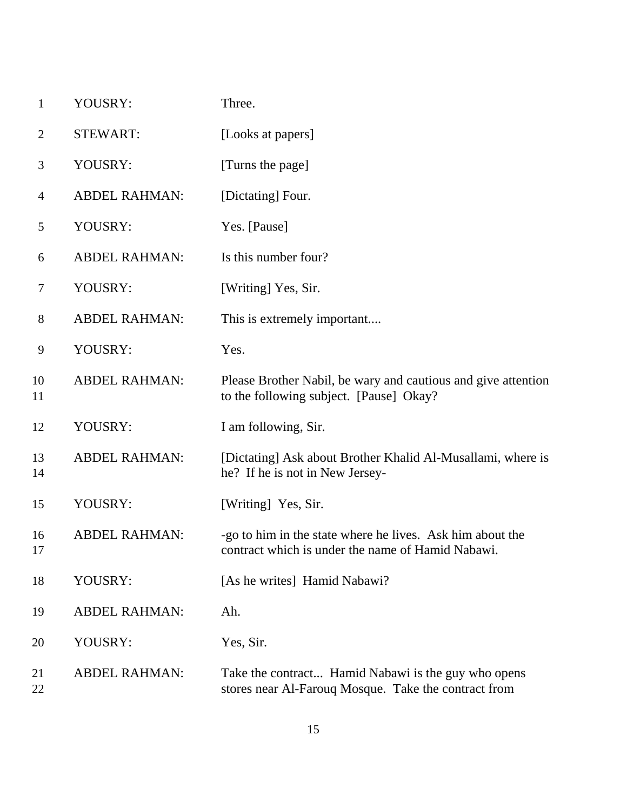| $\mathbf{1}$   | YOUSRY:              | Three.                                                                                                         |
|----------------|----------------------|----------------------------------------------------------------------------------------------------------------|
| $\overline{2}$ | <b>STEWART:</b>      | [Looks at papers]                                                                                              |
| 3              | YOUSRY:              | [Turns the page]                                                                                               |
| $\overline{4}$ | <b>ABDEL RAHMAN:</b> | [Dictating] Four.                                                                                              |
| 5              | YOUSRY:              | Yes. [Pause]                                                                                                   |
| 6              | <b>ABDEL RAHMAN:</b> | Is this number four?                                                                                           |
| 7              | YOUSRY:              | [Writing] Yes, Sir.                                                                                            |
| 8              | <b>ABDEL RAHMAN:</b> | This is extremely important                                                                                    |
| 9              | YOUSRY:              | Yes.                                                                                                           |
| 10<br>11       | <b>ABDEL RAHMAN:</b> | Please Brother Nabil, be wary and cautious and give attention<br>to the following subject. [Pause] Okay?       |
| 12             | YOUSRY:              | I am following, Sir.                                                                                           |
| 13<br>14       | <b>ABDEL RAHMAN:</b> | [Dictating] Ask about Brother Khalid Al-Musallami, where is<br>he? If he is not in New Jersey-                 |
| 15             | YOUSRY:              | [Writing] Yes, Sir.                                                                                            |
| 16<br>17       | <b>ABDEL RAHMAN:</b> | -go to him in the state where he lives. Ask him about the<br>contract which is under the name of Hamid Nabawi. |
| 18             | YOUSRY:              | [As he writes] Hamid Nabawi?                                                                                   |
| 19             | <b>ABDEL RAHMAN:</b> | Ah.                                                                                                            |
| 20             | YOUSRY:              | Yes, Sir.                                                                                                      |
| 21<br>22       | <b>ABDEL RAHMAN:</b> | Take the contract Hamid Nabawi is the guy who opens<br>stores near Al-Farouq Mosque. Take the contract from    |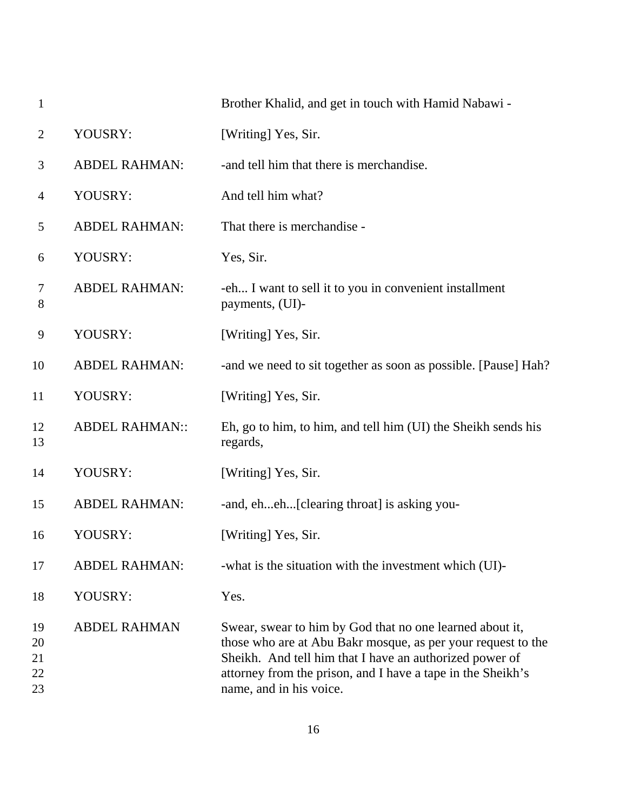| $\mathbf{1}$               |                       | Brother Khalid, and get in touch with Hamid Nabawi -                                                                                                                                                                                                                          |
|----------------------------|-----------------------|-------------------------------------------------------------------------------------------------------------------------------------------------------------------------------------------------------------------------------------------------------------------------------|
| $\overline{2}$             | YOUSRY:               | [Writing] Yes, Sir.                                                                                                                                                                                                                                                           |
| 3                          | <b>ABDEL RAHMAN:</b>  | -and tell him that there is merchandise.                                                                                                                                                                                                                                      |
| 4                          | YOUSRY:               | And tell him what?                                                                                                                                                                                                                                                            |
| 5                          | <b>ABDEL RAHMAN:</b>  | That there is merchandise -                                                                                                                                                                                                                                                   |
| 6                          | YOUSRY:               | Yes, Sir.                                                                                                                                                                                                                                                                     |
| 7<br>8                     | <b>ABDEL RAHMAN:</b>  | -eh I want to sell it to you in convenient installment<br>payments, (UI)-                                                                                                                                                                                                     |
| 9                          | YOUSRY:               | [Writing] Yes, Sir.                                                                                                                                                                                                                                                           |
| 10                         | <b>ABDEL RAHMAN:</b>  | -and we need to sit together as soon as possible. [Pause] Hah?                                                                                                                                                                                                                |
| 11                         | YOUSRY:               | [Writing] Yes, Sir.                                                                                                                                                                                                                                                           |
| 12<br>13                   | <b>ABDEL RAHMAN::</b> | Eh, go to him, to him, and tell him (UI) the Sheikh sends his<br>regards,                                                                                                                                                                                                     |
| 14                         | YOUSRY:               | [Writing] Yes, Sir.                                                                                                                                                                                                                                                           |
| 15                         | <b>ABDEL RAHMAN:</b>  | -and, eheh[clearing throat] is asking you-                                                                                                                                                                                                                                    |
| 16                         | YOUSRY:               | [Writing] Yes, Sir.                                                                                                                                                                                                                                                           |
| 17                         | <b>ABDEL RAHMAN:</b>  | -what is the situation with the investment which (UI)-                                                                                                                                                                                                                        |
| 18                         | YOUSRY:               | Yes.                                                                                                                                                                                                                                                                          |
| 19<br>20<br>21<br>22<br>23 | <b>ABDEL RAHMAN</b>   | Swear, swear to him by God that no one learned about it,<br>those who are at Abu Bakr mosque, as per your request to the<br>Sheikh. And tell him that I have an authorized power of<br>attorney from the prison, and I have a tape in the Sheikh's<br>name, and in his voice. |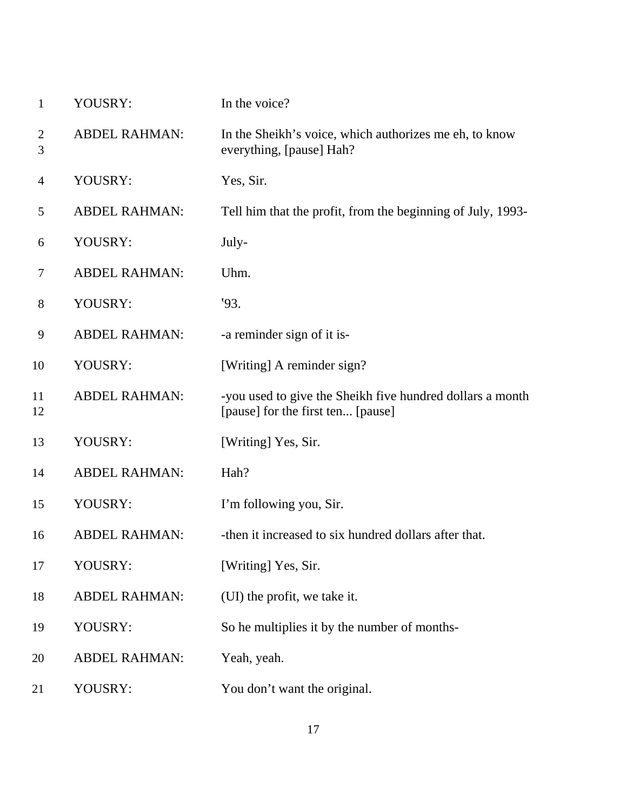| 1                   | YOUSRY:              | In the voice?                                                                                  |
|---------------------|----------------------|------------------------------------------------------------------------------------------------|
| $\overline{c}$<br>3 | <b>ABDEL RAHMAN:</b> | In the Sheikh's voice, which authorizes me eh, to know<br>everything, [pause] Hah?             |
| 4                   | YOUSRY:              | Yes, Sir.                                                                                      |
| 5                   | <b>ABDEL RAHMAN:</b> | Tell him that the profit, from the beginning of July, 1993-                                    |
| 6                   | YOUSRY:              | July-                                                                                          |
| 7                   | <b>ABDEL RAHMAN:</b> | Uhm.                                                                                           |
| 8                   | YOUSRY:              | 93.                                                                                            |
| 9                   | <b>ABDEL RAHMAN:</b> | -a reminder sign of it is-                                                                     |
| 10                  | YOUSRY:              | [Writing] A reminder sign?                                                                     |
| 11<br>12            | <b>ABDEL RAHMAN:</b> | -you used to give the Sheikh five hundred dollars a month<br>[pause] for the first ten [pause] |
| 13                  | YOUSRY:              | [Writing] Yes, Sir.                                                                            |
| 14                  | <b>ABDEL RAHMAN:</b> | Hah?                                                                                           |
| 15                  | YOUSRY:              | I'm following you, Sir.                                                                        |
| 16                  | <b>ABDEL RAHMAN:</b> | -then it increased to six hundred dollars after that.                                          |
| 17                  | YOUSRY:              | [Writing] Yes, Sir.                                                                            |
| 18                  | <b>ABDEL RAHMAN:</b> | (UI) the profit, we take it.                                                                   |
| 19                  | YOUSRY:              | So he multiplies it by the number of months-                                                   |
| 20                  | <b>ABDEL RAHMAN:</b> | Yeah, yeah.                                                                                    |
| 21                  | YOUSRY:              | You don't want the original.                                                                   |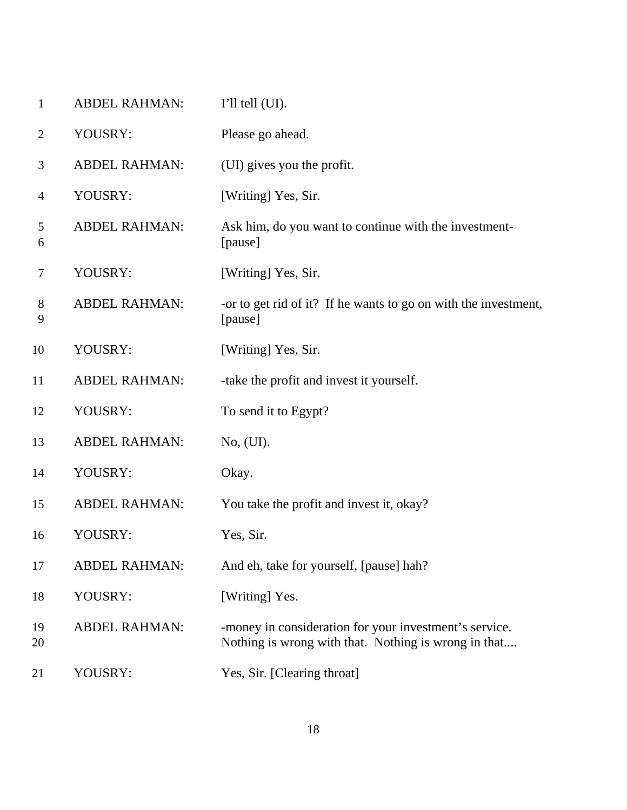| $\mathbf{1}$   | <b>ABDEL RAHMAN:</b> | $I'll$ tell $(UI)$ .                                                                                           |
|----------------|----------------------|----------------------------------------------------------------------------------------------------------------|
| $\overline{2}$ | YOUSRY:              | Please go ahead.                                                                                               |
| 3              | <b>ABDEL RAHMAN:</b> | (UI) gives you the profit.                                                                                     |
| $\overline{4}$ | YOUSRY:              | [Writing] Yes, Sir.                                                                                            |
| 5<br>6         | <b>ABDEL RAHMAN:</b> | Ask him, do you want to continue with the investment-<br>[pause]                                               |
| $\tau$         | YOUSRY:              | [Writing] Yes, Sir.                                                                                            |
| $8\,$<br>9     | <b>ABDEL RAHMAN:</b> | -or to get rid of it? If he wants to go on with the investment,<br>[pause]                                     |
| 10             | YOUSRY:              | [Writing] Yes, Sir.                                                                                            |
| 11             | <b>ABDEL RAHMAN:</b> | -take the profit and invest it yourself.                                                                       |
| 12             | YOUSRY:              | To send it to Egypt?                                                                                           |
| 13             | <b>ABDEL RAHMAN:</b> | No, (UI).                                                                                                      |
| 14             | YOUSRY:              | Okay.                                                                                                          |
| 15             | <b>ABDEL RAHMAN:</b> | You take the profit and invest it, okay?                                                                       |
| 16             | YOUSRY:              | Yes, Sir.                                                                                                      |
| 17             | <b>ABDEL RAHMAN:</b> | And eh, take for yourself, [pause] hah?                                                                        |
| 18             | YOUSRY:              | [Writing] Yes.                                                                                                 |
| 19<br>20       | <b>ABDEL RAHMAN:</b> | -money in consideration for your investment's service.<br>Nothing is wrong with that. Nothing is wrong in that |
| 21             | YOUSRY:              | Yes, Sir. [Clearing throat]                                                                                    |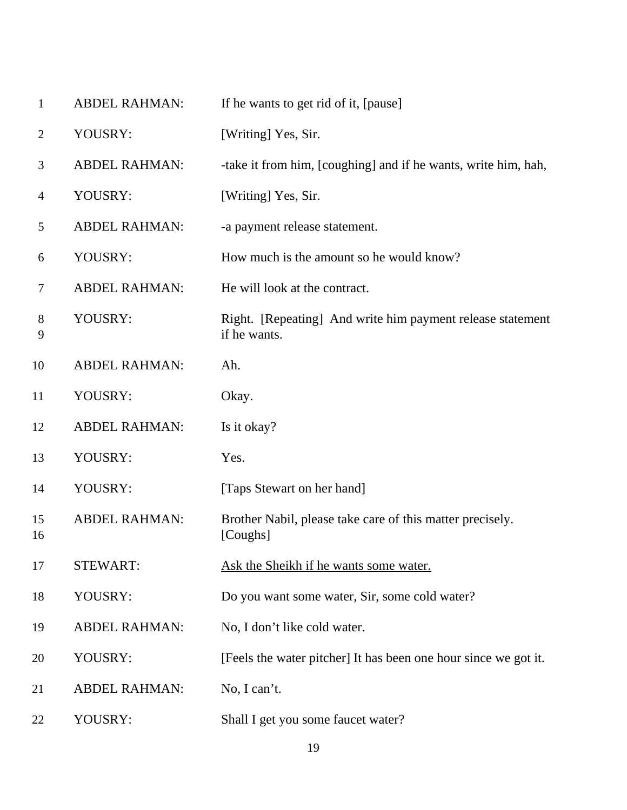| 1              | <b>ABDEL RAHMAN:</b> | If he wants to get rid of it, [pause]                                      |
|----------------|----------------------|----------------------------------------------------------------------------|
| 2              | YOUSRY:              | [Writing] Yes, Sir.                                                        |
| 3              | <b>ABDEL RAHMAN:</b> | -take it from him, [coughing] and if he wants, write him, hah,             |
| $\overline{4}$ | YOUSRY:              | [Writing] Yes, Sir.                                                        |
| 5              | <b>ABDEL RAHMAN:</b> | -a payment release statement.                                              |
| 6              | YOUSRY:              | How much is the amount so he would know?                                   |
| 7              | <b>ABDEL RAHMAN:</b> | He will look at the contract.                                              |
| 8<br>9         | YOUSRY:              | Right. [Repeating] And write him payment release statement<br>if he wants. |
| 10             | <b>ABDEL RAHMAN:</b> | Ah.                                                                        |
| 11             | YOUSRY:              | Okay.                                                                      |
| 12             | <b>ABDEL RAHMAN:</b> | Is it okay?                                                                |
| 13             | YOUSRY:              | Yes.                                                                       |
| 14             | YOUSRY:              | [Taps Stewart on her hand]                                                 |
| 15<br>16       | <b>ABDEL RAHMAN:</b> | Brother Nabil, please take care of this matter precisely.<br>[Coughs]      |
| 17             | <b>STEWART:</b>      | Ask the Sheikh if he wants some water.                                     |
| 18             | YOUSRY:              | Do you want some water, Sir, some cold water?                              |
| 19             | <b>ABDEL RAHMAN:</b> | No, I don't like cold water.                                               |
| 20             | YOUSRY:              | [Feels the water pitcher] It has been one hour since we got it.            |
| 21             | <b>ABDEL RAHMAN:</b> | No, I can't.                                                               |
| 22             | YOUSRY:              | Shall I get you some faucet water?                                         |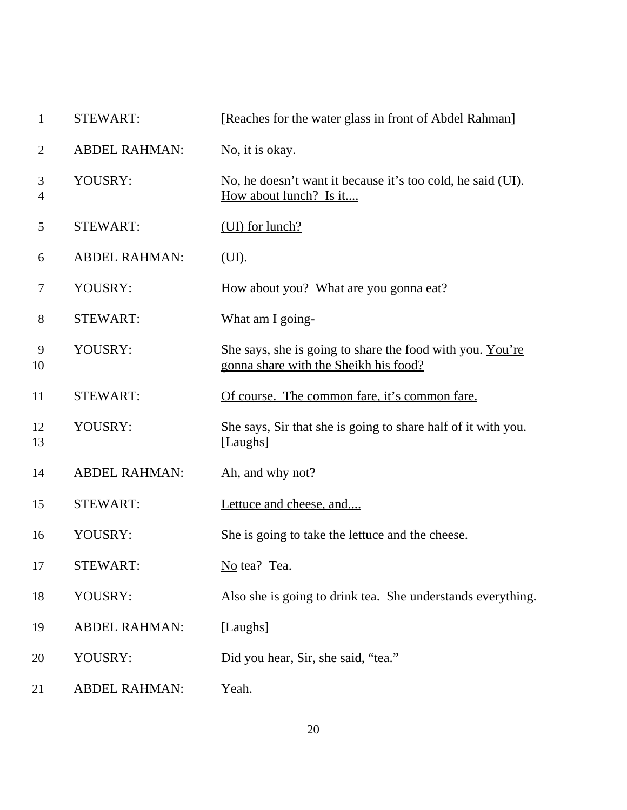| $\mathbf{1}$   | <b>STEWART:</b>      | [Reaches for the water glass in front of Abdel Rahman]                                             |
|----------------|----------------------|----------------------------------------------------------------------------------------------------|
| $\overline{2}$ | <b>ABDEL RAHMAN:</b> | No, it is okay.                                                                                    |
| 3<br>4         | YOUSRY:              | No, he doesn't want it because it's too cold, he said (UI).<br><u>How about lunch? Is it</u>       |
| 5              | <b>STEWART:</b>      | (UI) for lunch?                                                                                    |
| 6              | <b>ABDEL RAHMAN:</b> | (UI).                                                                                              |
| 7              | YOUSRY:              | <u>How about you? What are you gonna eat?</u>                                                      |
| 8              | <b>STEWART:</b>      | What am I going-                                                                                   |
| 9<br>10        | YOUSRY:              | She says, she is going to share the food with you. You're<br>gonna share with the Sheikh his food? |
| 11             | <b>STEWART:</b>      | Of course. The common fare, it's common fare.                                                      |
| 12<br>13       | YOUSRY:              | She says, Sir that she is going to share half of it with you.<br>[Laughs]                          |
| 14             | <b>ABDEL RAHMAN:</b> | Ah, and why not?                                                                                   |
| 15             | <b>STEWART:</b>      | Lettuce and cheese, and                                                                            |
| 16             | YOUSRY:              | She is going to take the lettuce and the cheese.                                                   |
| 17             | <b>STEWART:</b>      | No tea? Tea.                                                                                       |
| 18             | YOUSRY:              | Also she is going to drink tea. She understands everything.                                        |
| 19             | <b>ABDEL RAHMAN:</b> | [Laughs]                                                                                           |
| 20             | YOUSRY:              | Did you hear, Sir, she said, "tea."                                                                |
| 21             | <b>ABDEL RAHMAN:</b> | Yeah.                                                                                              |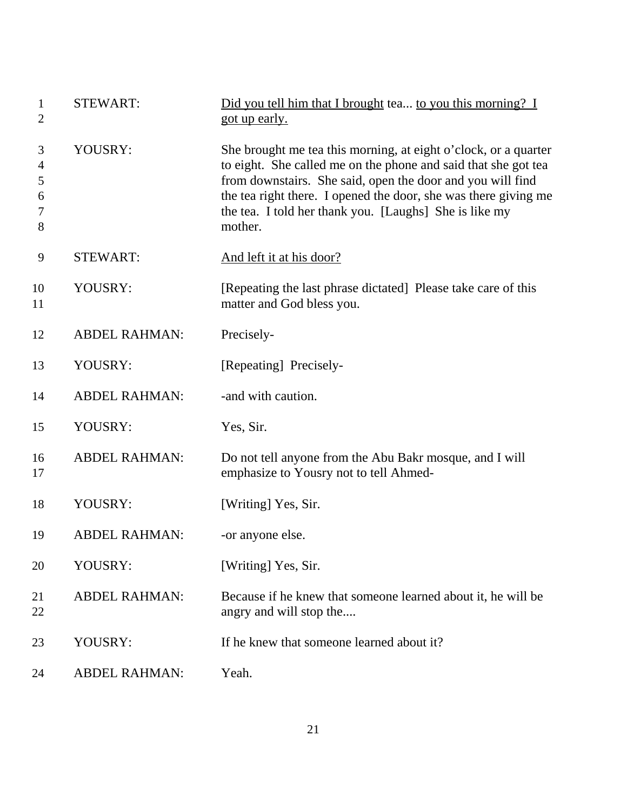| 1<br>$\overline{2}$        | <b>STEWART:</b>      | Did you tell him that I brought tea to you this morning? I<br>got up early.                                                                                                                                                                                                                                                             |
|----------------------------|----------------------|-----------------------------------------------------------------------------------------------------------------------------------------------------------------------------------------------------------------------------------------------------------------------------------------------------------------------------------------|
| 3<br>4<br>5<br>6<br>7<br>8 | YOUSRY:              | She brought me tea this morning, at eight o'clock, or a quarter<br>to eight. She called me on the phone and said that she got tea<br>from downstairs. She said, open the door and you will find<br>the tea right there. I opened the door, she was there giving me<br>the tea. I told her thank you. [Laughs] She is like my<br>mother. |
| 9                          | <b>STEWART:</b>      | And left it at his door?                                                                                                                                                                                                                                                                                                                |
| 10<br>11                   | YOUSRY:              | [Repeating the last phrase dictated] Please take care of this<br>matter and God bless you.                                                                                                                                                                                                                                              |
| 12                         | <b>ABDEL RAHMAN:</b> | Precisely-                                                                                                                                                                                                                                                                                                                              |
| 13                         | YOUSRY:              | [Repeating] Precisely-                                                                                                                                                                                                                                                                                                                  |
| 14                         | <b>ABDEL RAHMAN:</b> | -and with caution.                                                                                                                                                                                                                                                                                                                      |
| 15                         | YOUSRY:              | Yes, Sir.                                                                                                                                                                                                                                                                                                                               |
| 16<br>17                   | <b>ABDEL RAHMAN:</b> | Do not tell anyone from the Abu Bakr mosque, and I will<br>emphasize to Yousry not to tell Ahmed-                                                                                                                                                                                                                                       |
| 18                         | YOUSRY:              | [Writing] Yes, Sir.                                                                                                                                                                                                                                                                                                                     |
| 19                         | <b>ABDEL RAHMAN:</b> | -or anyone else.                                                                                                                                                                                                                                                                                                                        |
| 20                         | YOUSRY:              | [Writing] Yes, Sir.                                                                                                                                                                                                                                                                                                                     |
| 21<br>22                   | <b>ABDEL RAHMAN:</b> | Because if he knew that someone learned about it, he will be<br>angry and will stop the                                                                                                                                                                                                                                                 |
| 23                         | YOUSRY:              | If he knew that someone learned about it?                                                                                                                                                                                                                                                                                               |
| 24                         | <b>ABDEL RAHMAN:</b> | Yeah.                                                                                                                                                                                                                                                                                                                                   |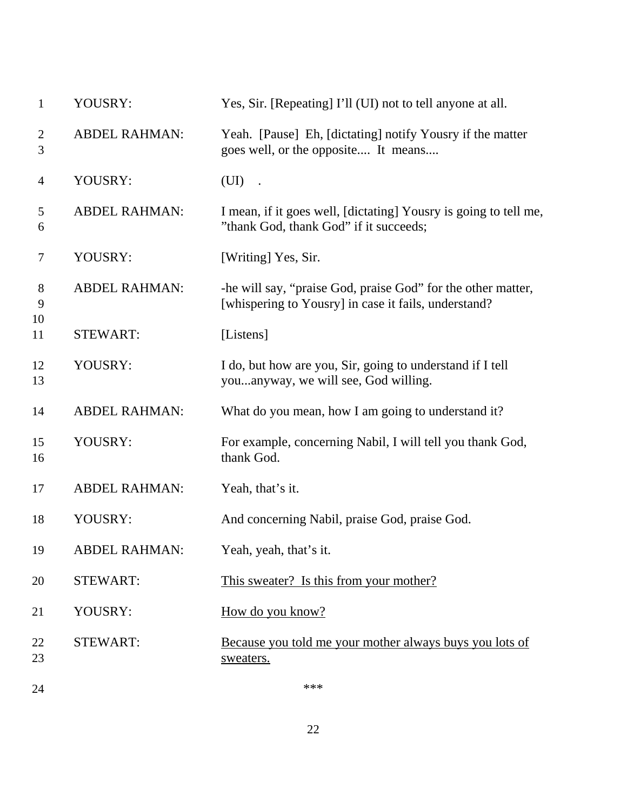| $\mathbf{1}$        | YOUSRY:              | Yes, Sir. [Repeating] I'll (UI) not to tell anyone at all.                                                           |
|---------------------|----------------------|----------------------------------------------------------------------------------------------------------------------|
| $\overline{2}$<br>3 | <b>ABDEL RAHMAN:</b> | Yeah. [Pause] Eh, [dictating] notify Yousry if the matter<br>goes well, or the opposite It means                     |
| $\overline{4}$      | YOUSRY:              | (UI)                                                                                                                 |
| 5<br>6              | <b>ABDEL RAHMAN:</b> | I mean, if it goes well, [dictating] Yousry is going to tell me,<br>"thank God, thank God" if it succeeds;           |
| $\overline{7}$      | YOUSRY:              | [Writing] Yes, Sir.                                                                                                  |
| $8\phantom{1}$<br>9 | <b>ABDEL RAHMAN:</b> | -he will say, "praise God, praise God" for the other matter,<br>[whispering to Yousry] in case it fails, understand? |
| 10<br>11            | <b>STEWART:</b>      | [Listens]                                                                                                            |
| 12<br>13            | YOUSRY:              | I do, but how are you, Sir, going to understand if I tell<br>youanyway, we will see, God willing.                    |
| 14                  | <b>ABDEL RAHMAN:</b> | What do you mean, how I am going to understand it?                                                                   |
| 15<br>16            | YOUSRY:              | For example, concerning Nabil, I will tell you thank God,<br>thank God.                                              |
| 17                  | <b>ABDEL RAHMAN:</b> | Yeah, that's it.                                                                                                     |
| 18                  | YOUSRY:              | And concerning Nabil, praise God, praise God.                                                                        |
| 19                  | <b>ABDEL RAHMAN:</b> | Yeah, yeah, that's it.                                                                                               |
| 20                  | <b>STEWART:</b>      | This sweater? Is this from your mother?                                                                              |
| 21                  | YOUSRY:              | How do you know?                                                                                                     |
| 22<br>23            | <b>STEWART:</b>      | Because you told me your mother always buys you lots of<br>sweaters.                                                 |
|                     |                      |                                                                                                                      |

 $24$  \*\*\*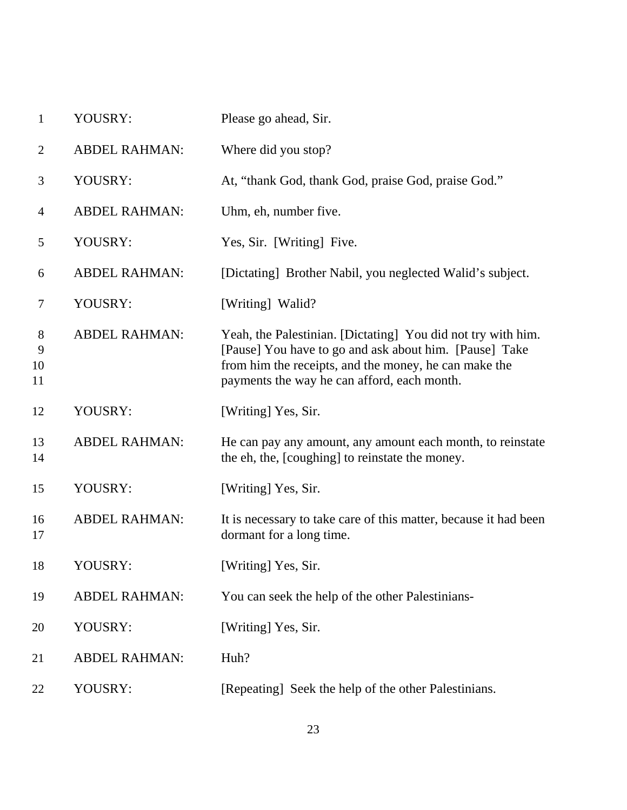| $\mathbf{1}$       | YOUSRY:              | Please go ahead, Sir.                                                                                                                                                                                                          |
|--------------------|----------------------|--------------------------------------------------------------------------------------------------------------------------------------------------------------------------------------------------------------------------------|
| $\overline{2}$     | <b>ABDEL RAHMAN:</b> | Where did you stop?                                                                                                                                                                                                            |
| 3                  | YOUSRY:              | At, "thank God, thank God, praise God, praise God."                                                                                                                                                                            |
| 4                  | <b>ABDEL RAHMAN:</b> | Uhm, eh, number five.                                                                                                                                                                                                          |
| 5                  | YOUSRY:              | Yes, Sir. [Writing] Five.                                                                                                                                                                                                      |
| 6                  | <b>ABDEL RAHMAN:</b> | [Dictating] Brother Nabil, you neglected Walid's subject.                                                                                                                                                                      |
| 7                  | YOUSRY:              | [Writing] Walid?                                                                                                                                                                                                               |
| 8<br>9<br>10<br>11 | <b>ABDEL RAHMAN:</b> | Yeah, the Palestinian. [Dictating] You did not try with him.<br>[Pause] You have to go and ask about him. [Pause] Take<br>from him the receipts, and the money, he can make the<br>payments the way he can afford, each month. |
| 12                 | YOUSRY:              | [Writing] Yes, Sir.                                                                                                                                                                                                            |
| 13<br>14           | <b>ABDEL RAHMAN:</b> | He can pay any amount, any amount each month, to reinstate<br>the eh, the, [coughing] to reinstate the money.                                                                                                                  |
| 15                 | YOUSRY:              | [Writing] Yes, Sir.                                                                                                                                                                                                            |
| 16<br>17           | <b>ABDEL RAHMAN:</b> | It is necessary to take care of this matter, because it had been<br>dormant for a long time.                                                                                                                                   |
| 18                 | YOUSRY:              | [Writing] Yes, Sir.                                                                                                                                                                                                            |
| 19                 | <b>ABDEL RAHMAN:</b> | You can seek the help of the other Palestinians-                                                                                                                                                                               |
| 20                 | YOUSRY:              | [Writing] Yes, Sir.                                                                                                                                                                                                            |
| 21                 | <b>ABDEL RAHMAN:</b> | Huh?                                                                                                                                                                                                                           |
| 22                 | YOUSRY:              | [Repeating] Seek the help of the other Palestinians.                                                                                                                                                                           |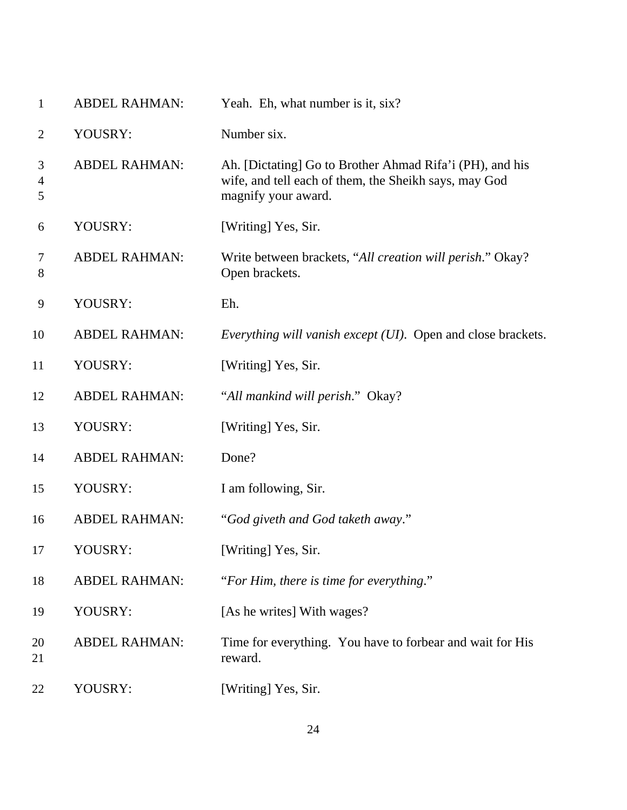| $\mathbf{1}$             | <b>ABDEL RAHMAN:</b> | Yeah. Eh, what number is it, six?                                                                                                        |
|--------------------------|----------------------|------------------------------------------------------------------------------------------------------------------------------------------|
| $\overline{2}$           | YOUSRY:              | Number six.                                                                                                                              |
| 3<br>$\overline{4}$<br>5 | <b>ABDEL RAHMAN:</b> | Ah. [Dictating] Go to Brother Ahmad Rifa'i (PH), and his<br>wife, and tell each of them, the Sheikh says, may God<br>magnify your award. |
| 6                        | YOUSRY:              | [Writing] Yes, Sir.                                                                                                                      |
| 7<br>8                   | <b>ABDEL RAHMAN:</b> | Write between brackets, "All creation will perish." Okay?<br>Open brackets.                                                              |
| 9                        | YOUSRY:              | Eh.                                                                                                                                      |
| 10                       | <b>ABDEL RAHMAN:</b> | <i>Everything will vanish except (UI).</i> Open and close brackets.                                                                      |
| 11                       | YOUSRY:              | [Writing] Yes, Sir.                                                                                                                      |
| 12                       | <b>ABDEL RAHMAN:</b> | "All mankind will perish." Okay?                                                                                                         |
| 13                       | YOUSRY:              | [Writing] Yes, Sir.                                                                                                                      |
| 14                       | <b>ABDEL RAHMAN:</b> | Done?                                                                                                                                    |
| 15                       | YOUSRY:              | I am following, Sir.                                                                                                                     |
| 16                       | <b>ABDEL RAHMAN:</b> | "God giveth and God taketh away."                                                                                                        |
| 17                       | YOUSRY:              | [Writing] Yes, Sir.                                                                                                                      |
| 18                       | <b>ABDEL RAHMAN:</b> | "For Him, there is time for everything."                                                                                                 |
| 19                       | YOUSRY:              | [As he writes] With wages?                                                                                                               |
| 20<br>21                 | <b>ABDEL RAHMAN:</b> | Time for everything. You have to forbear and wait for His<br>reward.                                                                     |
| 22                       | YOUSRY:              | [Writing] Yes, Sir.                                                                                                                      |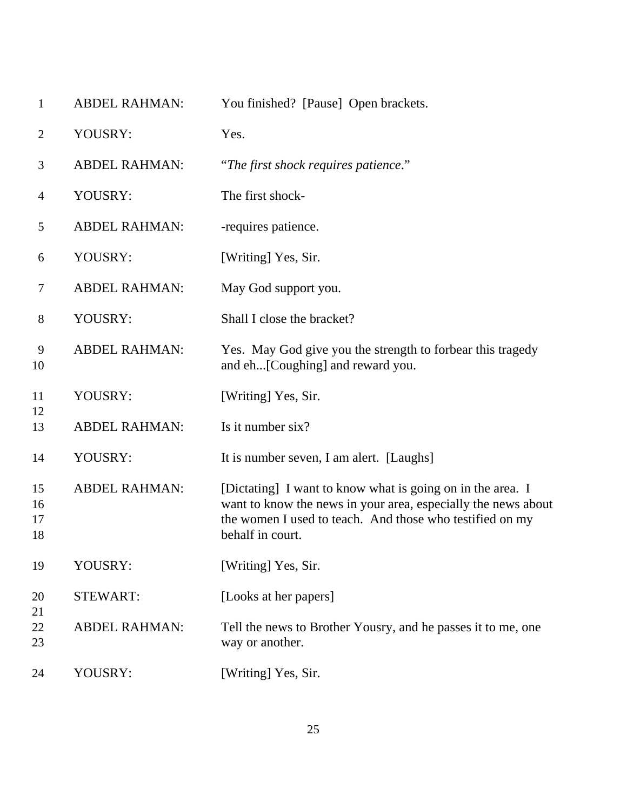| $\mathbf{1}$         | <b>ABDEL RAHMAN:</b> | You finished? [Pause] Open brackets.                                                                                                                                                                        |
|----------------------|----------------------|-------------------------------------------------------------------------------------------------------------------------------------------------------------------------------------------------------------|
| 2                    | YOUSRY:              | Yes.                                                                                                                                                                                                        |
| 3                    | <b>ABDEL RAHMAN:</b> | "The first shock requires patience."                                                                                                                                                                        |
| 4                    | YOUSRY:              | The first shock-                                                                                                                                                                                            |
| 5                    | <b>ABDEL RAHMAN:</b> | -requires patience.                                                                                                                                                                                         |
| 6                    | YOUSRY:              | [Writing] Yes, Sir.                                                                                                                                                                                         |
| 7                    | <b>ABDEL RAHMAN:</b> | May God support you.                                                                                                                                                                                        |
| 8                    | YOUSRY:              | Shall I close the bracket?                                                                                                                                                                                  |
| 9<br>10              | <b>ABDEL RAHMAN:</b> | Yes. May God give you the strength to forbear this tragedy<br>and eh[Coughing] and reward you.                                                                                                              |
| 11                   | YOUSRY:              | [Writing] Yes, Sir.                                                                                                                                                                                         |
| 12<br>13             | <b>ABDEL RAHMAN:</b> | Is it number six?                                                                                                                                                                                           |
| 14                   | YOUSRY:              | It is number seven, I am alert. [Laughs]                                                                                                                                                                    |
| 15<br>16<br>17<br>18 | <b>ABDEL RAHMAN:</b> | [Dictating] I want to know what is going on in the area. I<br>want to know the news in your area, especially the news about<br>the women I used to teach. And those who testified on my<br>behalf in court. |
| 19                   | YOUSRY:              | [Writing] Yes, Sir.                                                                                                                                                                                         |
| 20<br>21             | <b>STEWART:</b>      | [Looks at her papers]                                                                                                                                                                                       |
| 22<br>23             | <b>ABDEL RAHMAN:</b> | Tell the news to Brother Yousry, and he passes it to me, one<br>way or another.                                                                                                                             |
| 24                   | YOUSRY:              | [Writing] Yes, Sir.                                                                                                                                                                                         |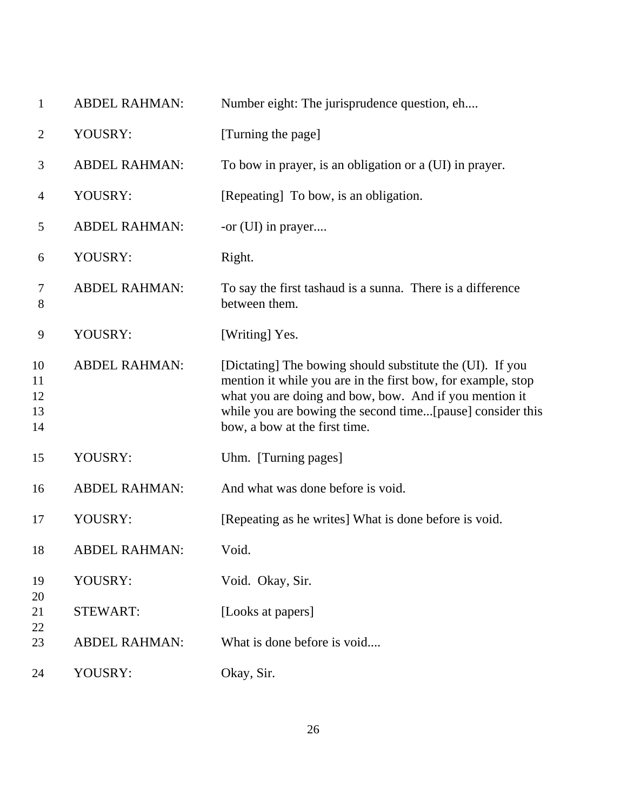| $\mathbf{1}$               | <b>ABDEL RAHMAN:</b> | Number eight: The jurisprudence question, eh                                                                                                                                                                                                                                      |
|----------------------------|----------------------|-----------------------------------------------------------------------------------------------------------------------------------------------------------------------------------------------------------------------------------------------------------------------------------|
| $\overline{c}$             | YOUSRY:              | [Turning the page]                                                                                                                                                                                                                                                                |
| 3                          | <b>ABDEL RAHMAN:</b> | To bow in prayer, is an obligation or a (UI) in prayer.                                                                                                                                                                                                                           |
| 4                          | YOUSRY:              | [Repeating] To bow, is an obligation.                                                                                                                                                                                                                                             |
| 5                          | <b>ABDEL RAHMAN:</b> | -or (UI) in prayer                                                                                                                                                                                                                                                                |
| 6                          | YOUSRY:              | Right.                                                                                                                                                                                                                                                                            |
| 7<br>8                     | <b>ABDEL RAHMAN:</b> | To say the first tashaud is a sunna. There is a difference<br>between them.                                                                                                                                                                                                       |
| 9                          | YOUSRY:              | [Writing] Yes.                                                                                                                                                                                                                                                                    |
| 10<br>11<br>12<br>13<br>14 | <b>ABDEL RAHMAN:</b> | [Dictating] The bowing should substitute the (UI). If you<br>mention it while you are in the first bow, for example, stop<br>what you are doing and bow, bow. And if you mention it<br>while you are bowing the second time[pause] consider this<br>bow, a bow at the first time. |
| 15                         | YOUSRY:              | Uhm. [Turning pages]                                                                                                                                                                                                                                                              |
| 16                         | <b>ABDEL RAHMAN:</b> | And what was done before is void.                                                                                                                                                                                                                                                 |
| 17                         | YOUSRY:              | [Repeating as he writes] What is done before is void.                                                                                                                                                                                                                             |
| 18                         | <b>ABDEL RAHMAN:</b> | Void.                                                                                                                                                                                                                                                                             |
| 19                         | YOUSRY:              | Void. Okay, Sir.                                                                                                                                                                                                                                                                  |
| 20<br>21                   | <b>STEWART:</b>      | [Looks at papers]                                                                                                                                                                                                                                                                 |
| 22<br>23                   | <b>ABDEL RAHMAN:</b> | What is done before is void                                                                                                                                                                                                                                                       |
| 24                         | YOUSRY:              | Okay, Sir.                                                                                                                                                                                                                                                                        |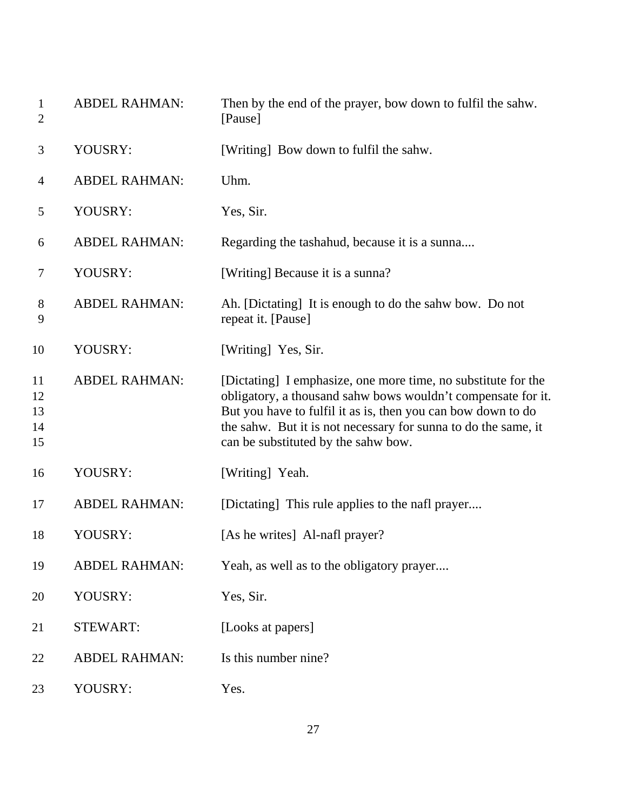| $\mathbf{1}$<br>$\mathbf{2}$ | <b>ABDEL RAHMAN:</b> | Then by the end of the prayer, bow down to fulfil the sahw.<br>[Pause]                                                                                                                                                                                                                                 |
|------------------------------|----------------------|--------------------------------------------------------------------------------------------------------------------------------------------------------------------------------------------------------------------------------------------------------------------------------------------------------|
| 3                            | YOUSRY:              | [Writing] Bow down to fulfil the sahw.                                                                                                                                                                                                                                                                 |
| 4                            | <b>ABDEL RAHMAN:</b> | Uhm.                                                                                                                                                                                                                                                                                                   |
| 5                            | YOUSRY:              | Yes, Sir.                                                                                                                                                                                                                                                                                              |
| 6                            | <b>ABDEL RAHMAN:</b> | Regarding the tashahud, because it is a sunna                                                                                                                                                                                                                                                          |
| 7                            | YOUSRY:              | [Writing] Because it is a sunna?                                                                                                                                                                                                                                                                       |
| 8<br>9                       | <b>ABDEL RAHMAN:</b> | Ah. [Dictating] It is enough to do the sahw bow. Do not<br>repeat it. [Pause]                                                                                                                                                                                                                          |
| 10                           | YOUSRY:              | [Writing] Yes, Sir.                                                                                                                                                                                                                                                                                    |
| 11<br>12<br>13<br>14<br>15   | <b>ABDEL RAHMAN:</b> | [Dictating] I emphasize, one more time, no substitute for the<br>obligatory, a thousand sahw bows wouldn't compensate for it.<br>But you have to fulfil it as is, then you can bow down to do<br>the sahw. But it is not necessary for sunna to do the same, it<br>can be substituted by the sahw bow. |
| 16                           | YOUSRY:              | [Writing] Yeah.                                                                                                                                                                                                                                                                                        |
| 17                           | <b>ABDEL RAHMAN:</b> | [Dictating] This rule applies to the nafl prayer                                                                                                                                                                                                                                                       |
| 18                           | YOUSRY:              | [As he writes] Al-nafl prayer?                                                                                                                                                                                                                                                                         |
| 19                           | <b>ABDEL RAHMAN:</b> | Yeah, as well as to the obligatory prayer                                                                                                                                                                                                                                                              |
| 20                           | YOUSRY:              | Yes, Sir.                                                                                                                                                                                                                                                                                              |
| 21                           | <b>STEWART:</b>      | [Looks at papers]                                                                                                                                                                                                                                                                                      |
| 22                           | <b>ABDEL RAHMAN:</b> | Is this number nine?                                                                                                                                                                                                                                                                                   |
| 23                           | YOUSRY:              | Yes.                                                                                                                                                                                                                                                                                                   |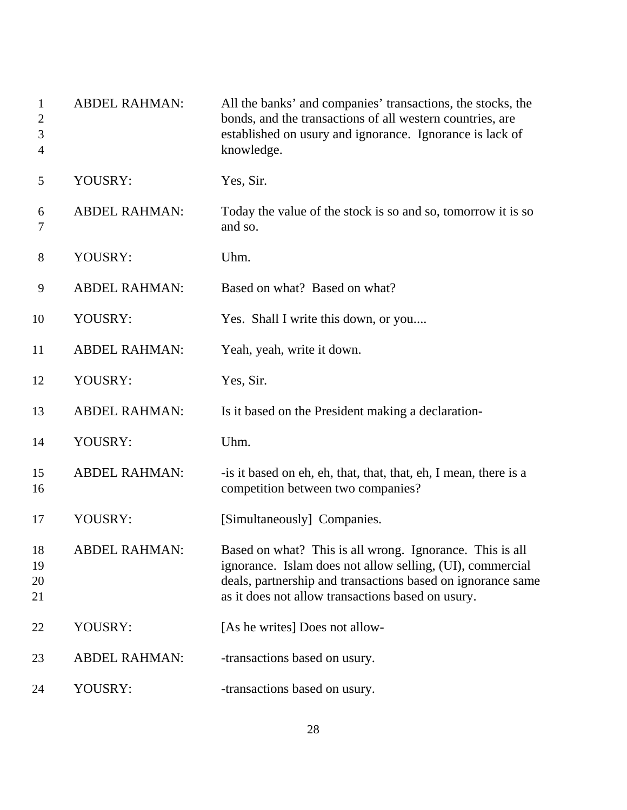| $\mathbf{1}$<br>$\overline{2}$<br>3<br>$\overline{4}$ | <b>ABDEL RAHMAN:</b> | All the banks' and companies' transactions, the stocks, the<br>bonds, and the transactions of all western countries, are<br>established on usury and ignorance. Ignorance is lack of<br>knowledge.                                        |
|-------------------------------------------------------|----------------------|-------------------------------------------------------------------------------------------------------------------------------------------------------------------------------------------------------------------------------------------|
| 5                                                     | YOUSRY:              | Yes, Sir.                                                                                                                                                                                                                                 |
| 6<br>7                                                | <b>ABDEL RAHMAN:</b> | Today the value of the stock is so and so, tomorrow it is so<br>and so.                                                                                                                                                                   |
| 8                                                     | YOUSRY:              | Uhm.                                                                                                                                                                                                                                      |
| 9                                                     | <b>ABDEL RAHMAN:</b> | Based on what? Based on what?                                                                                                                                                                                                             |
| 10                                                    | YOUSRY:              | Yes. Shall I write this down, or you                                                                                                                                                                                                      |
| 11                                                    | <b>ABDEL RAHMAN:</b> | Yeah, yeah, write it down.                                                                                                                                                                                                                |
| 12                                                    | YOUSRY:              | Yes, Sir.                                                                                                                                                                                                                                 |
| 13                                                    | <b>ABDEL RAHMAN:</b> | Is it based on the President making a declaration-                                                                                                                                                                                        |
| 14                                                    | YOUSRY:              | Uhm.                                                                                                                                                                                                                                      |
| 15<br>16                                              | <b>ABDEL RAHMAN:</b> | -is it based on eh, eh, that, that, that, eh, I mean, there is a<br>competition between two companies?                                                                                                                                    |
| 17                                                    | YOUSRY:              | [Simultaneously] Companies.                                                                                                                                                                                                               |
| 18<br>19<br>20<br>21                                  | <b>ABDEL RAHMAN:</b> | Based on what? This is all wrong. Ignorance. This is all<br>ignorance. Islam does not allow selling, (UI), commercial<br>deals, partnership and transactions based on ignorance same<br>as it does not allow transactions based on usury. |
| 22                                                    | YOUSRY:              | [As he writes] Does not allow-                                                                                                                                                                                                            |
| 23                                                    | <b>ABDEL RAHMAN:</b> | -transactions based on usury.                                                                                                                                                                                                             |
| 24                                                    | YOUSRY:              | -transactions based on usury.                                                                                                                                                                                                             |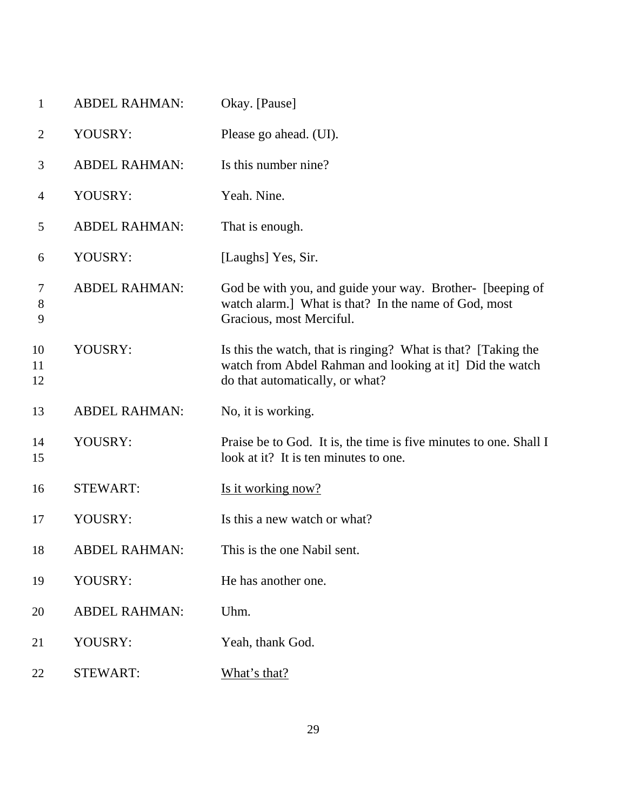| $\mathbf{1}$   | <b>ABDEL RAHMAN:</b> | Okay. [Pause]                                                                                                                                                |
|----------------|----------------------|--------------------------------------------------------------------------------------------------------------------------------------------------------------|
| $\overline{2}$ | YOUSRY:              | Please go ahead. (UI).                                                                                                                                       |
| 3              | <b>ABDEL RAHMAN:</b> | Is this number nine?                                                                                                                                         |
| $\overline{4}$ | YOUSRY:              | Yeah. Nine.                                                                                                                                                  |
| 5              | <b>ABDEL RAHMAN:</b> | That is enough.                                                                                                                                              |
| 6              | YOUSRY:              | [Laughs] Yes, Sir.                                                                                                                                           |
| 7<br>8<br>9    | <b>ABDEL RAHMAN:</b> | God be with you, and guide your way. Brother- [beeping of<br>watch alarm.] What is that? In the name of God, most<br>Gracious, most Merciful.                |
| 10<br>11<br>12 | YOUSRY:              | Is this the watch, that is ringing? What is that? [Taking the<br>watch from Abdel Rahman and looking at it] Did the watch<br>do that automatically, or what? |
| 13             | <b>ABDEL RAHMAN:</b> | No, it is working.                                                                                                                                           |
| 14<br>15       | YOUSRY:              | Praise be to God. It is, the time is five minutes to one. Shall I<br>look at it? It is ten minutes to one.                                                   |
| 16             | <b>STEWART:</b>      | <u>Is it working now?</u>                                                                                                                                    |
| 17             | YOUSRY:              | Is this a new watch or what?                                                                                                                                 |
| 18             | <b>ABDEL RAHMAN:</b> | This is the one Nabil sent.                                                                                                                                  |
| 19             | YOUSRY:              | He has another one.                                                                                                                                          |
| 20             | <b>ABDEL RAHMAN:</b> | Uhm.                                                                                                                                                         |
| 21             | YOUSRY:              | Yeah, thank God.                                                                                                                                             |
| 22             | <b>STEWART:</b>      | What's that?                                                                                                                                                 |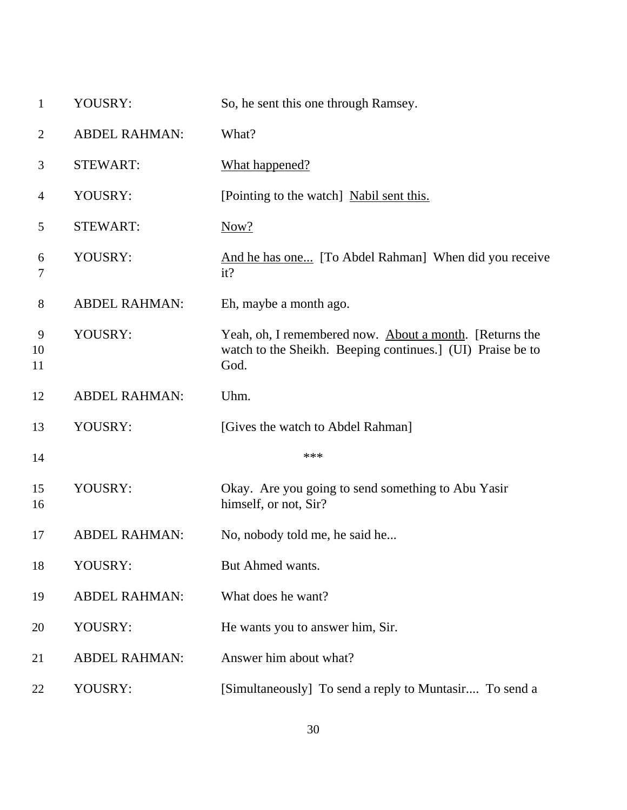| $\mathbf{1}$   | YOUSRY:              | So, he sent this one through Ramsey.                                                                                          |
|----------------|----------------------|-------------------------------------------------------------------------------------------------------------------------------|
| $\overline{2}$ | <b>ABDEL RAHMAN:</b> | What?                                                                                                                         |
| 3              | <b>STEWART:</b>      | What happened?                                                                                                                |
| 4              | YOUSRY:              | [Pointing to the watch] Nabil sent this.                                                                                      |
| 5              | <b>STEWART:</b>      | Now?                                                                                                                          |
| 6<br>7         | YOUSRY:              | And he has one [To Abdel Rahman] When did you receive<br>it?                                                                  |
| $8\,$          | <b>ABDEL RAHMAN:</b> | Eh, maybe a month ago.                                                                                                        |
| 9<br>10<br>11  | YOUSRY:              | Yeah, oh, I remembered now. About a month. [Returns the<br>watch to the Sheikh. Beeping continues.] (UI) Praise be to<br>God. |
| 12             | <b>ABDEL RAHMAN:</b> | Uhm.                                                                                                                          |
| 13             | YOUSRY:              | [Gives the watch to Abdel Rahman]                                                                                             |
| 14             |                      | ***                                                                                                                           |
| 15<br>16       | YOUSRY:              | Okay. Are you going to send something to Abu Yasir<br>himself, or not, Sir?                                                   |
| 17             | <b>ABDEL RAHMAN:</b> | No, nobody told me, he said he                                                                                                |
| 18             | YOUSRY:              | But Ahmed wants.                                                                                                              |
| 19             | <b>ABDEL RAHMAN:</b> | What does he want?                                                                                                            |
| 20             | YOUSRY:              | He wants you to answer him, Sir.                                                                                              |
| 21             | <b>ABDEL RAHMAN:</b> | Answer him about what?                                                                                                        |
| 22             | YOUSRY:              | [Simultaneously] To send a reply to Muntasir To send a                                                                        |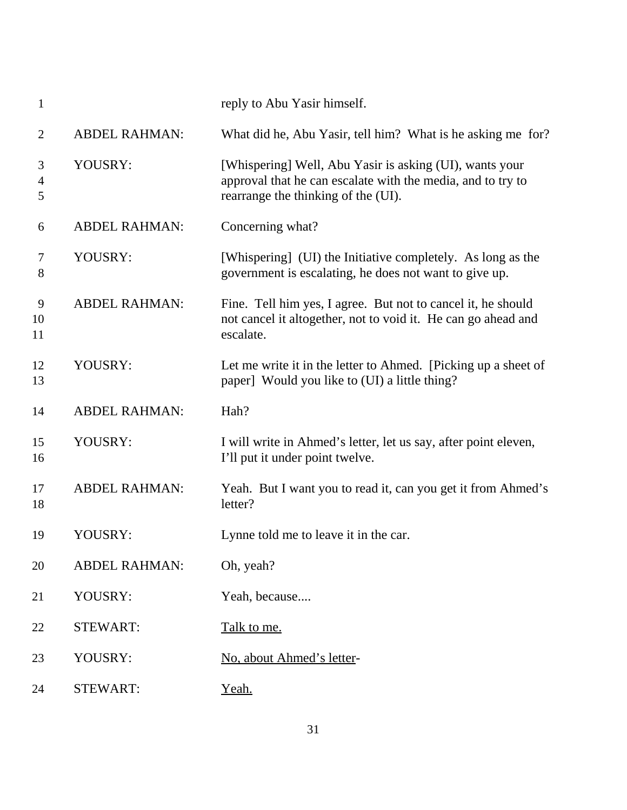| 1                        |                      | reply to Abu Yasir himself.                                                                                                                                   |
|--------------------------|----------------------|---------------------------------------------------------------------------------------------------------------------------------------------------------------|
| $\overline{2}$           | <b>ABDEL RAHMAN:</b> | What did he, Abu Yasir, tell him? What is he asking me for?                                                                                                   |
| 3<br>$\overline{4}$<br>5 | YOUSRY:              | [Whispering] Well, Abu Yasir is asking (UI), wants your<br>approval that he can escalate with the media, and to try to<br>rearrange the thinking of the (UI). |
| 6                        | <b>ABDEL RAHMAN:</b> | Concerning what?                                                                                                                                              |
| 7<br>8                   | YOUSRY:              | [Whispering] (UI) the Initiative completely. As long as the<br>government is escalating, he does not want to give up.                                         |
| 9<br>10<br>11            | <b>ABDEL RAHMAN:</b> | Fine. Tell him yes, I agree. But not to cancel it, he should<br>not cancel it altogether, not to void it. He can go ahead and<br>escalate.                    |
| 12<br>13                 | YOUSRY:              | Let me write it in the letter to Ahmed. [Picking up a sheet of<br>paper] Would you like to (UI) a little thing?                                               |
| 14                       | <b>ABDEL RAHMAN:</b> | Hah?                                                                                                                                                          |
| 15<br>16                 | YOUSRY:              | I will write in Ahmed's letter, let us say, after point eleven,<br>I'll put it under point twelve.                                                            |
| 17<br>18                 | <b>ABDEL RAHMAN:</b> | Yeah. But I want you to read it, can you get it from Ahmed's<br>letter?                                                                                       |
| 19                       | YOUSRY:              | Lynne told me to leave it in the car.                                                                                                                         |
| 20                       | <b>ABDEL RAHMAN:</b> | Oh, yeah?                                                                                                                                                     |
| 21                       | YOUSRY:              | Yeah, because                                                                                                                                                 |
| 22                       | <b>STEWART:</b>      | Talk to me.                                                                                                                                                   |
| 23                       | YOUSRY:              | No, about Ahmed's letter-                                                                                                                                     |
| 24                       | <b>STEWART:</b>      | Yeah.                                                                                                                                                         |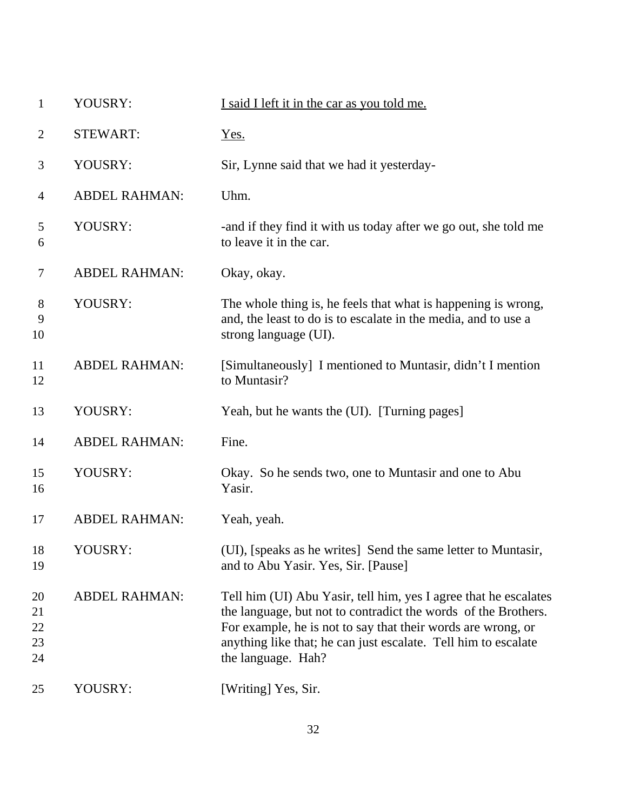| 1                          | YOUSRY:              | I said I left it in the car as you told me.                                                                                                                                                                                                                                                |
|----------------------------|----------------------|--------------------------------------------------------------------------------------------------------------------------------------------------------------------------------------------------------------------------------------------------------------------------------------------|
| $\overline{2}$             | <b>STEWART:</b>      | Yes.                                                                                                                                                                                                                                                                                       |
| 3                          | YOUSRY:              | Sir, Lynne said that we had it yesterday-                                                                                                                                                                                                                                                  |
| $\overline{4}$             | <b>ABDEL RAHMAN:</b> | Uhm.                                                                                                                                                                                                                                                                                       |
| 5<br>6                     | YOUSRY:              | -and if they find it with us today after we go out, she told me<br>to leave it in the car.                                                                                                                                                                                                 |
| $\tau$                     | <b>ABDEL RAHMAN:</b> | Okay, okay.                                                                                                                                                                                                                                                                                |
| 8<br>9<br>10               | YOUSRY:              | The whole thing is, he feels that what is happening is wrong,<br>and, the least to do is to escalate in the media, and to use a<br>strong language (UI).                                                                                                                                   |
| 11<br>12                   | <b>ABDEL RAHMAN:</b> | [Simultaneously] I mentioned to Muntasir, didn't I mention<br>to Muntasir?                                                                                                                                                                                                                 |
| 13                         | YOUSRY:              | Yeah, but he wants the (UI). [Turning pages]                                                                                                                                                                                                                                               |
| 14                         | <b>ABDEL RAHMAN:</b> | Fine.                                                                                                                                                                                                                                                                                      |
| 15<br>16                   | YOUSRY:              | Okay. So he sends two, one to Muntasir and one to Abu<br>Yasir.                                                                                                                                                                                                                            |
| 17                         | <b>ABDEL RAHMAN:</b> | Yeah, yeah.                                                                                                                                                                                                                                                                                |
| 18<br>19                   | YOUSRY:              | (UI), [speaks as he writes] Send the same letter to Muntasir,<br>and to Abu Yasir. Yes, Sir. [Pause]                                                                                                                                                                                       |
| 20<br>21<br>22<br>23<br>24 | <b>ABDEL RAHMAN:</b> | Tell him (UI) Abu Yasir, tell him, yes I agree that he escalates<br>the language, but not to contradict the words of the Brothers.<br>For example, he is not to say that their words are wrong, or<br>anything like that; he can just escalate. Tell him to escalate<br>the language. Hah? |
| 25                         | YOUSRY:              | [Writing] Yes, Sir.                                                                                                                                                                                                                                                                        |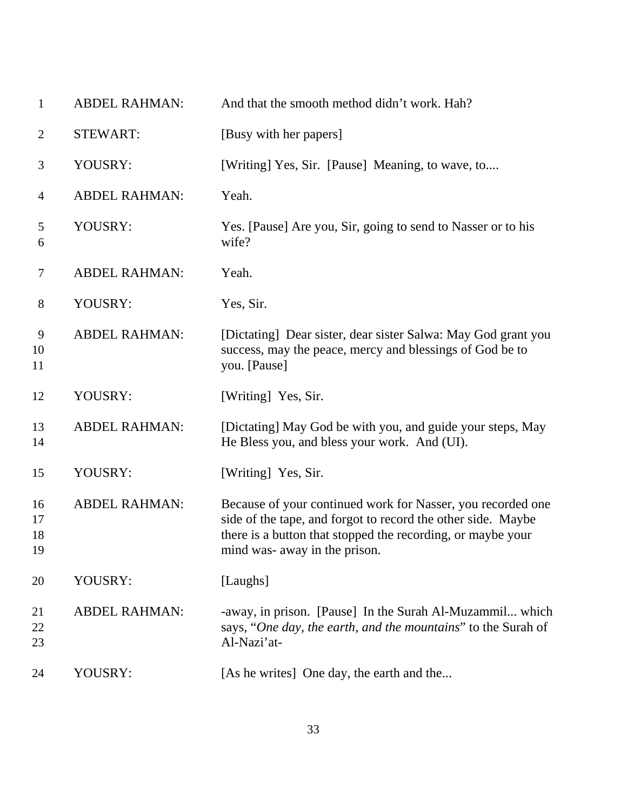| $\mathbf{1}$         | <b>ABDEL RAHMAN:</b> | And that the smooth method didn't work. Hah?                                                                                                                                                                                |
|----------------------|----------------------|-----------------------------------------------------------------------------------------------------------------------------------------------------------------------------------------------------------------------------|
| $\overline{2}$       | <b>STEWART:</b>      | [Busy with her papers]                                                                                                                                                                                                      |
| 3                    | YOUSRY:              | [Writing] Yes, Sir. [Pause] Meaning, to wave, to                                                                                                                                                                            |
| 4                    | <b>ABDEL RAHMAN:</b> | Yeah.                                                                                                                                                                                                                       |
| 5<br>6               | YOUSRY:              | Yes. [Pause] Are you, Sir, going to send to Nasser or to his<br>wife?                                                                                                                                                       |
| $\tau$               | <b>ABDEL RAHMAN:</b> | Yeah.                                                                                                                                                                                                                       |
| $8\,$                | YOUSRY:              | Yes, Sir.                                                                                                                                                                                                                   |
| 9<br>10<br>11        | <b>ABDEL RAHMAN:</b> | [Dictating] Dear sister, dear sister Salwa: May God grant you<br>success, may the peace, mercy and blessings of God be to<br>you. [Pause]                                                                                   |
| 12                   | YOUSRY:              | [Writing] Yes, Sir.                                                                                                                                                                                                         |
| 13<br>14             | <b>ABDEL RAHMAN:</b> | [Dictating] May God be with you, and guide your steps, May<br>He Bless you, and bless your work. And (UI).                                                                                                                  |
| 15                   | YOUSRY:              | [Writing] Yes, Sir.                                                                                                                                                                                                         |
| 16<br>17<br>18<br>19 | <b>ABDEL RAHMAN:</b> | Because of your continued work for Nasser, you recorded one<br>side of the tape, and forgot to record the other side. Maybe<br>there is a button that stopped the recording, or maybe your<br>mind was- away in the prison. |
| 20                   | YOUSRY:              | [Laughs]                                                                                                                                                                                                                    |
| 21<br>22<br>23       | <b>ABDEL RAHMAN:</b> | -away, in prison. [Pause] In the Surah Al-Muzammil which<br>says, "One day, the earth, and the mountains" to the Surah of<br>Al-Nazi'at-                                                                                    |
| 24                   | YOUSRY:              | [As he writes] One day, the earth and the                                                                                                                                                                                   |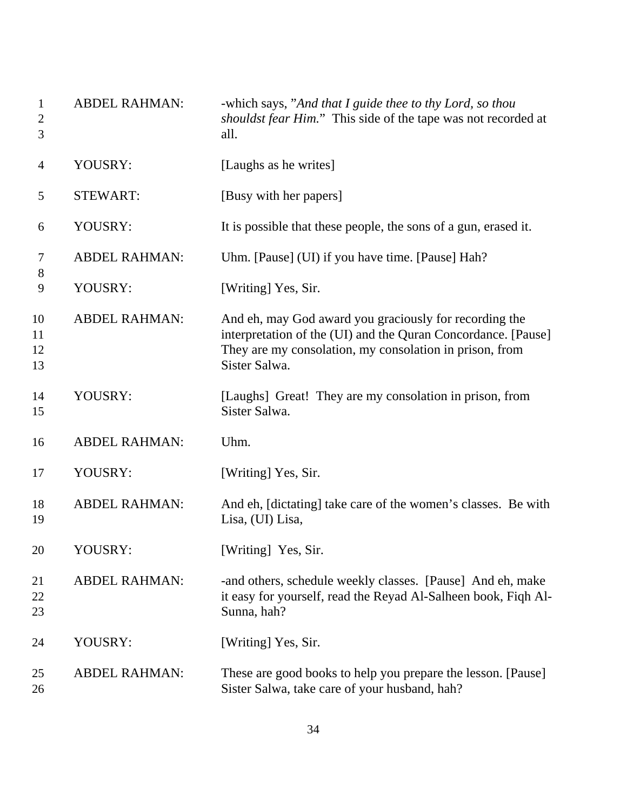| $\mathbf{1}$<br>2<br>3 | <b>ABDEL RAHMAN:</b> | -which says, "And that I guide thee to thy Lord, so thou<br>shouldst fear Him." This side of the tape was not recorded at<br>all.                                                                   |
|------------------------|----------------------|-----------------------------------------------------------------------------------------------------------------------------------------------------------------------------------------------------|
| 4                      | YOUSRY:              | [Laughs as he writes]                                                                                                                                                                               |
| 5                      | <b>STEWART:</b>      | [Busy with her papers]                                                                                                                                                                              |
| 6                      | YOUSRY:              | It is possible that these people, the sons of a gun, erased it.                                                                                                                                     |
| 7                      | <b>ABDEL RAHMAN:</b> | Uhm. [Pause] (UI) if you have time. [Pause] Hah?                                                                                                                                                    |
| $8\,$<br>9             | YOUSRY:              | [Writing] Yes, Sir.                                                                                                                                                                                 |
| 10<br>11<br>12<br>13   | <b>ABDEL RAHMAN:</b> | And eh, may God award you graciously for recording the<br>interpretation of the (UI) and the Quran Concordance. [Pause]<br>They are my consolation, my consolation in prison, from<br>Sister Salwa. |
| 14<br>15               | YOUSRY:              | [Laughs] Great! They are my consolation in prison, from<br>Sister Salwa.                                                                                                                            |
| 16                     | <b>ABDEL RAHMAN:</b> | Uhm.                                                                                                                                                                                                |
| 17                     | YOUSRY:              | [Writing] Yes, Sir.                                                                                                                                                                                 |
| 18<br>19               | <b>ABDEL RAHMAN:</b> | And eh, [dictating] take care of the women's classes. Be with<br>Lisa, (UI) Lisa,                                                                                                                   |
| 20                     | YOUSRY:              | [Writing] Yes, Sir.                                                                                                                                                                                 |
| 21<br>22<br>23         | <b>ABDEL RAHMAN:</b> | -and others, schedule weekly classes. [Pause] And eh, make<br>it easy for yourself, read the Reyad Al-Salheen book, Fiqh Al-<br>Sunna, hah?                                                         |
| 24                     | YOUSRY:              | [Writing] Yes, Sir.                                                                                                                                                                                 |
| 25<br>26               | <b>ABDEL RAHMAN:</b> | These are good books to help you prepare the lesson. [Pause]<br>Sister Salwa, take care of your husband, hah?                                                                                       |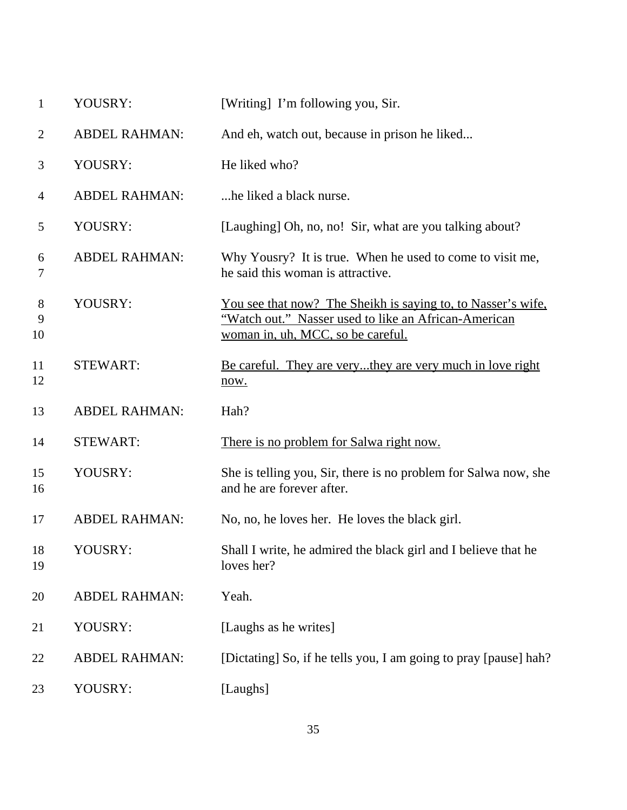| $\mathbf{1}$   | YOUSRY:              | [Writing] I'm following you, Sir.                                                                                                                                |
|----------------|----------------------|------------------------------------------------------------------------------------------------------------------------------------------------------------------|
| $\overline{2}$ | <b>ABDEL RAHMAN:</b> | And eh, watch out, because in prison he liked                                                                                                                    |
| 3              | YOUSRY:              | He liked who?                                                                                                                                                    |
| $\overline{4}$ | <b>ABDEL RAHMAN:</b> | he liked a black nurse.                                                                                                                                          |
| 5              | YOUSRY:              | [Laughing] Oh, no, no! Sir, what are you talking about?                                                                                                          |
| 6<br>7         | <b>ABDEL RAHMAN:</b> | Why Yousry? It is true. When he used to come to visit me,<br>he said this woman is attractive.                                                                   |
| 8<br>9<br>10   | YOUSRY:              | <u>You see that now? The Sheikh is saying to, to Nasser's wife,</u><br>"Watch out." Nasser used to like an African-American<br>woman in, uh, MCC, so be careful. |
| 11<br>12       | <b>STEWART:</b>      | <u>Be careful. They are verythey are very much in love right</u><br>now.                                                                                         |
| 13             | <b>ABDEL RAHMAN:</b> | Hah?                                                                                                                                                             |
| 14             | <b>STEWART:</b>      | There is no problem for Salwa right now.                                                                                                                         |
| 15<br>16       | YOUSRY:              | She is telling you, Sir, there is no problem for Salwa now, she<br>and he are forever after.                                                                     |
| 17             | <b>ABDEL RAHMAN:</b> | No, no, he loves her. He loves the black girl.                                                                                                                   |
| 18<br>19       | YOUSRY:              | Shall I write, he admired the black girl and I believe that he<br>loves her?                                                                                     |
| 20             | <b>ABDEL RAHMAN:</b> | Yeah.                                                                                                                                                            |
| 21             | YOUSRY:              | [Laughs as he writes]                                                                                                                                            |
| 22             | <b>ABDEL RAHMAN:</b> | [Dictating] So, if he tells you, I am going to pray [pause] hah?                                                                                                 |
| 23             | YOUSRY:              | [Laughs]                                                                                                                                                         |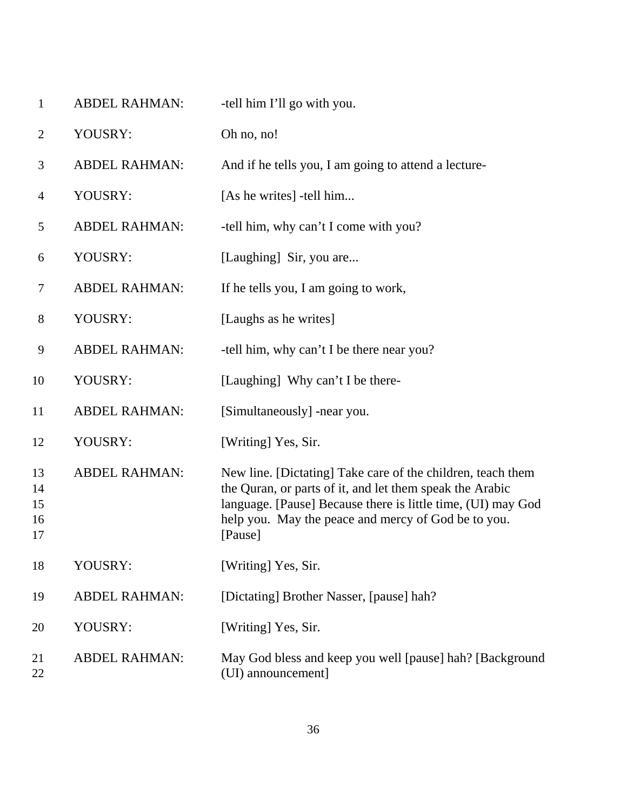| $\mathbf{1}$               | <b>ABDEL RAHMAN:</b> | -tell him I'll go with you.                                                                                                                                                                                                                               |
|----------------------------|----------------------|-----------------------------------------------------------------------------------------------------------------------------------------------------------------------------------------------------------------------------------------------------------|
| $\overline{2}$             | YOUSRY:              | Oh no, no!                                                                                                                                                                                                                                                |
| 3                          | <b>ABDEL RAHMAN:</b> | And if he tells you, I am going to attend a lecture-                                                                                                                                                                                                      |
| $\overline{4}$             | YOUSRY:              | [As he writes] -tell him                                                                                                                                                                                                                                  |
| 5                          | <b>ABDEL RAHMAN:</b> | -tell him, why can't I come with you?                                                                                                                                                                                                                     |
| 6                          | YOUSRY:              | [Laughing] Sir, you are                                                                                                                                                                                                                                   |
| 7                          | <b>ABDEL RAHMAN:</b> | If he tells you, I am going to work,                                                                                                                                                                                                                      |
| $8\phantom{1}$             | YOUSRY:              | [Laughs as he writes]                                                                                                                                                                                                                                     |
| 9                          | <b>ABDEL RAHMAN:</b> | -tell him, why can't I be there near you?                                                                                                                                                                                                                 |
| 10                         | YOUSRY:              | [Laughing] Why can't I be there-                                                                                                                                                                                                                          |
| 11                         | <b>ABDEL RAHMAN:</b> | [Simultaneously] -near you.                                                                                                                                                                                                                               |
| 12                         | YOUSRY:              | [Writing] Yes, Sir.                                                                                                                                                                                                                                       |
| 13<br>14<br>15<br>16<br>17 | <b>ABDEL RAHMAN:</b> | New line. [Dictating] Take care of the children, teach them<br>the Quran, or parts of it, and let them speak the Arabic<br>language. [Pause] Because there is little time, (UI) may God<br>help you. May the peace and mercy of God be to you.<br>[Pause] |
| 18                         | YOUSRY:              | [Writing] Yes, Sir.                                                                                                                                                                                                                                       |
| 19                         | <b>ABDEL RAHMAN:</b> | [Dictating] Brother Nasser, [pause] hah?                                                                                                                                                                                                                  |
| 20                         | YOUSRY:              | [Writing] Yes, Sir.                                                                                                                                                                                                                                       |
| 21<br>22                   | <b>ABDEL RAHMAN:</b> | May God bless and keep you well [pause] hah? [Background<br>(UI) announcement]                                                                                                                                                                            |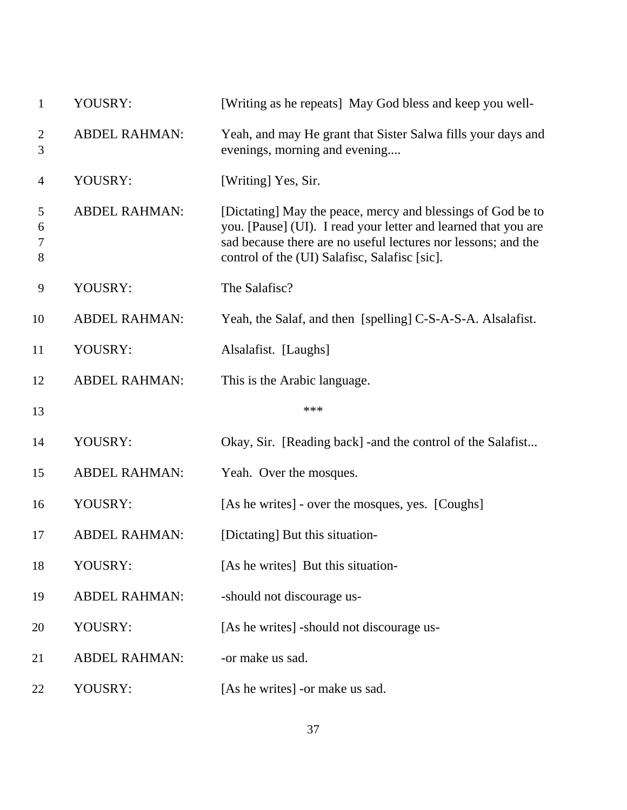| $\mathbf{1}$        | YOUSRY:              | [Writing as he repeats] May God bless and keep you well-                                                                                                                                                                                        |
|---------------------|----------------------|-------------------------------------------------------------------------------------------------------------------------------------------------------------------------------------------------------------------------------------------------|
| $\overline{2}$<br>3 | <b>ABDEL RAHMAN:</b> | Yeah, and may He grant that Sister Salwa fills your days and<br>evenings, morning and evening                                                                                                                                                   |
| $\overline{4}$      | YOUSRY:              | [Writing] Yes, Sir.                                                                                                                                                                                                                             |
| 5<br>6<br>7<br>8    | <b>ABDEL RAHMAN:</b> | [Dictating] May the peace, mercy and blessings of God be to<br>you. [Pause] (UI). I read your letter and learned that you are<br>sad because there are no useful lectures nor lessons; and the<br>control of the (UI) Salafisc, Salafisc [sic]. |
| 9                   | YOUSRY:              | The Salafisc?                                                                                                                                                                                                                                   |
| 10                  | <b>ABDEL RAHMAN:</b> | Yeah, the Salaf, and then [spelling] C-S-A-S-A. Alsalafist.                                                                                                                                                                                     |
| 11                  | YOUSRY:              | Alsalafist. [Laughs]                                                                                                                                                                                                                            |
| 12                  | <b>ABDEL RAHMAN:</b> | This is the Arabic language.                                                                                                                                                                                                                    |
| 13                  |                      | ***                                                                                                                                                                                                                                             |
| 14                  | YOUSRY:              | Okay, Sir. [Reading back] - and the control of the Salafist                                                                                                                                                                                     |
| 15                  | <b>ABDEL RAHMAN:</b> | Yeah. Over the mosques.                                                                                                                                                                                                                         |
| 16                  | YOUSRY:              | [As he writes] - over the mosques, yes. [Coughs]                                                                                                                                                                                                |
| 17                  | <b>ABDEL RAHMAN:</b> | [Dictating] But this situation-                                                                                                                                                                                                                 |
| 18                  | YOUSRY:              | [As he writes] But this situation-                                                                                                                                                                                                              |
| 19                  | <b>ABDEL RAHMAN:</b> | -should not discourage us-                                                                                                                                                                                                                      |
| 20                  | YOUSRY:              | [As he writes] -should not discourage us-                                                                                                                                                                                                       |
| 21                  | <b>ABDEL RAHMAN:</b> | -or make us sad.                                                                                                                                                                                                                                |
| 22                  | YOUSRY:              | [As he writes] -or make us sad.                                                                                                                                                                                                                 |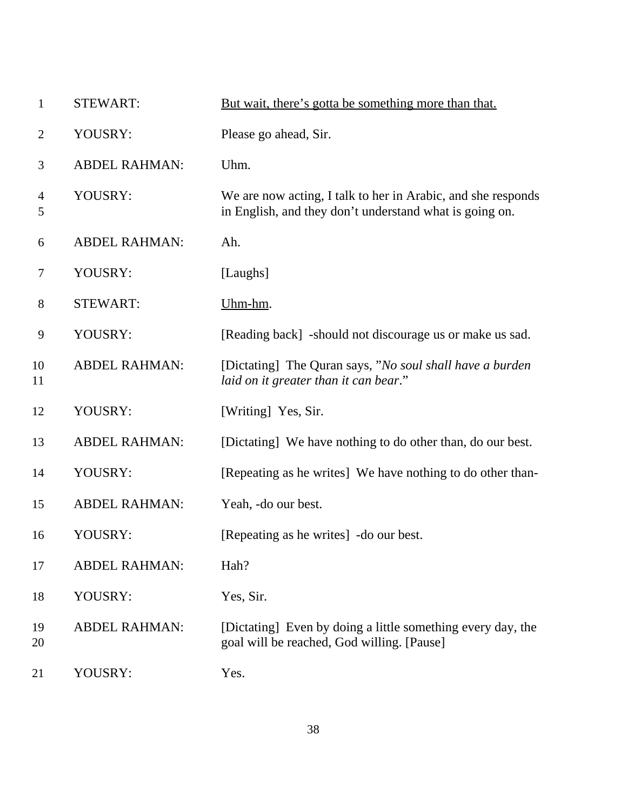| $\mathbf{1}$        | <b>STEWART:</b>      | But wait, there's gotta be something more than that.                                                                    |
|---------------------|----------------------|-------------------------------------------------------------------------------------------------------------------------|
| $\overline{2}$      | YOUSRY:              | Please go ahead, Sir.                                                                                                   |
| 3                   | <b>ABDEL RAHMAN:</b> | Uhm.                                                                                                                    |
| $\overline{4}$<br>5 | YOUSRY:              | We are now acting, I talk to her in Arabic, and she responds<br>in English, and they don't understand what is going on. |
| 6                   | <b>ABDEL RAHMAN:</b> | Ah.                                                                                                                     |
| 7                   | YOUSRY:              | [Laughs]                                                                                                                |
| 8                   | <b>STEWART:</b>      | Uhm-hm.                                                                                                                 |
| 9                   | YOUSRY:              | [Reading back] -should not discourage us or make us sad.                                                                |
| 10<br>11            | <b>ABDEL RAHMAN:</b> | [Dictating] The Quran says, "No soul shall have a burden<br>laid on it greater than it can bear."                       |
| 12                  | YOUSRY:              | [Writing] Yes, Sir.                                                                                                     |
| 13                  | <b>ABDEL RAHMAN:</b> | [Dictating] We have nothing to do other than, do our best.                                                              |
| 14                  | YOUSRY:              | [Repeating as he writes] We have nothing to do other than-                                                              |
| 15                  | <b>ABDEL RAHMAN:</b> | Yeah, -do our best.                                                                                                     |
| 16                  | YOUSRY:              | [Repeating as he writes] - do our best.                                                                                 |
| 17                  | <b>ABDEL RAHMAN:</b> | Hah?                                                                                                                    |
| 18                  | YOUSRY:              | Yes, Sir.                                                                                                               |
| 19<br>20            | <b>ABDEL RAHMAN:</b> | [Dictating] Even by doing a little something every day, the<br>goal will be reached, God willing. [Pause]               |
| 21                  | YOUSRY:              | Yes.                                                                                                                    |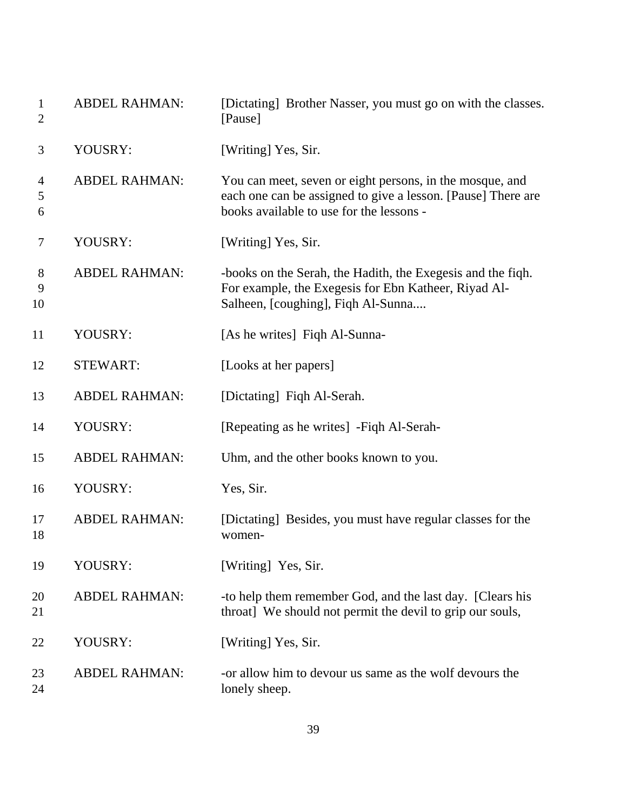| $\mathbf{1}$<br>$\overline{2}$ | <b>ABDEL RAHMAN:</b> | [Dictating] Brother Nasser, you must go on with the classes.<br>[Pause]                                                                                              |
|--------------------------------|----------------------|----------------------------------------------------------------------------------------------------------------------------------------------------------------------|
| 3                              | YOUSRY:              | [Writing] Yes, Sir.                                                                                                                                                  |
| $\overline{4}$<br>5<br>6       | <b>ABDEL RAHMAN:</b> | You can meet, seven or eight persons, in the mosque, and<br>each one can be assigned to give a lesson. [Pause] There are<br>books available to use for the lessons - |
| 7                              | YOUSRY:              | [Writing] Yes, Sir.                                                                                                                                                  |
| $8\phantom{1}$<br>9<br>10      | <b>ABDEL RAHMAN:</b> | -books on the Serah, the Hadith, the Exegesis and the figh.<br>For example, the Exegesis for Ebn Katheer, Riyad Al-<br>Salheen, [coughing], Fiqh Al-Sunna            |
| 11                             | YOUSRY:              | [As he writes] Figh Al-Sunna-                                                                                                                                        |
| 12                             | <b>STEWART:</b>      | [Looks at her papers]                                                                                                                                                |
| 13                             | <b>ABDEL RAHMAN:</b> | [Dictating] Fiqh Al-Serah.                                                                                                                                           |
| 14                             | YOUSRY:              | [Repeating as he writes] - Fiqh Al-Serah-                                                                                                                            |
| 15                             | <b>ABDEL RAHMAN:</b> | Uhm, and the other books known to you.                                                                                                                               |
| 16                             | YOUSRY:              | Yes, Sir.                                                                                                                                                            |
| 17<br>18                       | <b>ABDEL RAHMAN:</b> | [Dictating] Besides, you must have regular classes for the<br>women-                                                                                                 |
| 19                             | YOUSRY:              | [Writing] Yes, Sir.                                                                                                                                                  |
| 20<br>21                       | <b>ABDEL RAHMAN:</b> | -to help them remember God, and the last day. [Clears his<br>throat] We should not permit the devil to grip our souls,                                               |
| 22                             | YOUSRY:              | [Writing] Yes, Sir.                                                                                                                                                  |
| 23<br>24                       | <b>ABDEL RAHMAN:</b> | -or allow him to devour us same as the wolf devours the<br>lonely sheep.                                                                                             |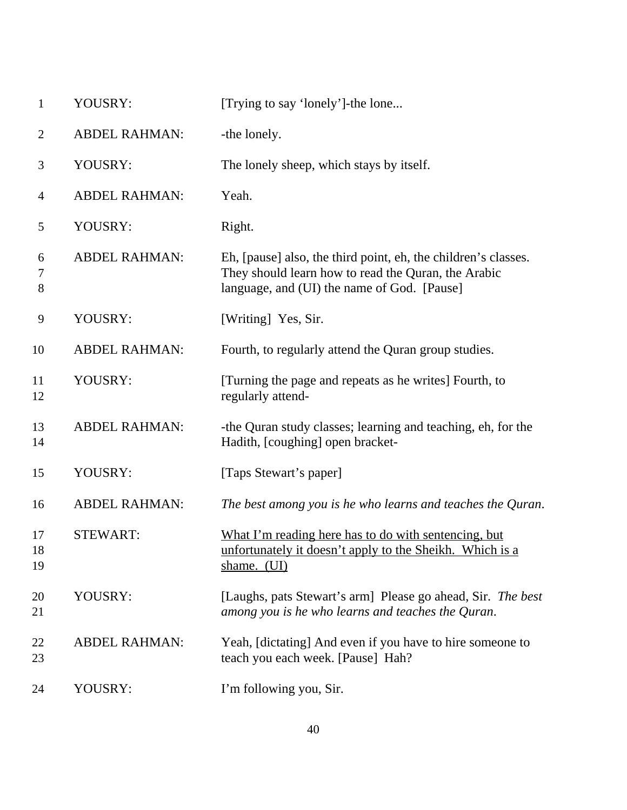| $\mathbf{1}$    | YOUSRY:              | [Trying to say 'lonely']-the lone                                                                                                                                    |
|-----------------|----------------------|----------------------------------------------------------------------------------------------------------------------------------------------------------------------|
| $\overline{2}$  | <b>ABDEL RAHMAN:</b> | -the lonely.                                                                                                                                                         |
| 3               | YOUSRY:              | The lonely sheep, which stays by itself.                                                                                                                             |
| 4               | <b>ABDEL RAHMAN:</b> | Yeah.                                                                                                                                                                |
| 5               | YOUSRY:              | Right.                                                                                                                                                               |
| 6<br>7<br>$8\,$ | <b>ABDEL RAHMAN:</b> | Eh, [pause] also, the third point, eh, the children's classes.<br>They should learn how to read the Quran, the Arabic<br>language, and (UI) the name of God. [Pause] |
| 9               | YOUSRY:              | [Writing] Yes, Sir.                                                                                                                                                  |
| 10              | <b>ABDEL RAHMAN:</b> | Fourth, to regularly attend the Quran group studies.                                                                                                                 |
| 11<br>12        | YOUSRY:              | [Turning the page and repeats as he writes] Fourth, to<br>regularly attend-                                                                                          |
| 13<br>14        | <b>ABDEL RAHMAN:</b> | -the Quran study classes; learning and teaching, eh, for the<br>Hadith, [coughing] open bracket-                                                                     |
| 15              | YOUSRY:              | [Taps Stewart's paper]                                                                                                                                               |
| 16              | <b>ABDEL RAHMAN:</b> | The best among you is he who learns and teaches the Quran.                                                                                                           |
| 17<br>18<br>19  | <b>STEWART:</b>      | What I'm reading here has to do with sentencing, but<br>unfortunately it doesn't apply to the Sheikh. Which is a<br>shame. (UI)                                      |
| 20<br>21        | YOUSRY:              | [Laughs, pats Stewart's arm] Please go ahead, Sir. The best<br>among you is he who learns and teaches the Quran.                                                     |
| 22<br>23        | <b>ABDEL RAHMAN:</b> | Yeah, [dictating] And even if you have to hire someone to<br>teach you each week. [Pause] Hah?                                                                       |
| 24              | YOUSRY:              | I'm following you, Sir.                                                                                                                                              |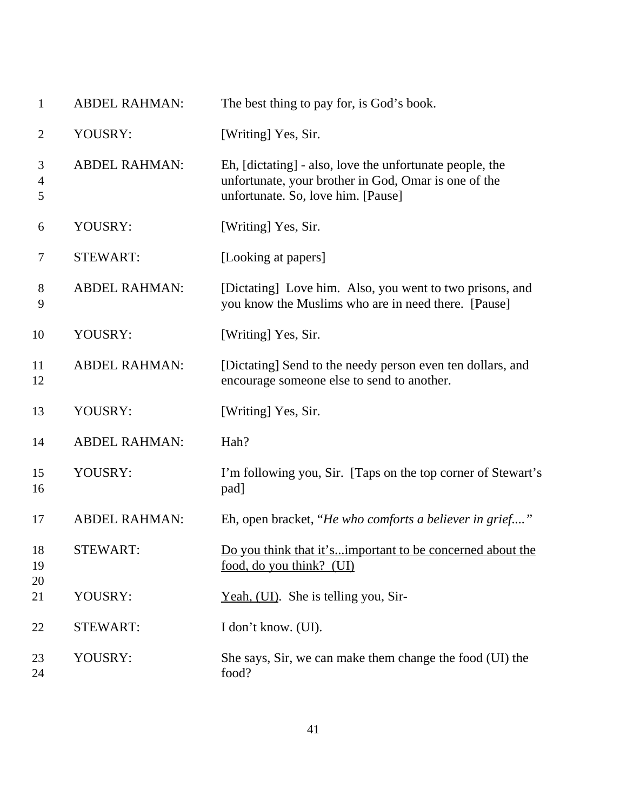| $\mathbf{1}$             | <b>ABDEL RAHMAN:</b> | The best thing to pay for, is God's book.                                                                                                              |
|--------------------------|----------------------|--------------------------------------------------------------------------------------------------------------------------------------------------------|
| $\overline{2}$           | YOUSRY:              | [Writing] Yes, Sir.                                                                                                                                    |
| 3<br>$\overline{4}$<br>5 | <b>ABDEL RAHMAN:</b> | Eh, [dictating] - also, love the unfortunate people, the<br>unfortunate, your brother in God, Omar is one of the<br>unfortunate. So, love him. [Pause] |
| 6                        | YOUSRY:              | [Writing] Yes, Sir.                                                                                                                                    |
| 7                        | <b>STEWART:</b>      | [Looking at papers]                                                                                                                                    |
| $8\phantom{1}$<br>9      | <b>ABDEL RAHMAN:</b> | [Dictating] Love him. Also, you went to two prisons, and<br>you know the Muslims who are in need there. [Pause]                                        |
| 10                       | YOUSRY:              | [Writing] Yes, Sir.                                                                                                                                    |
| 11<br>12                 | <b>ABDEL RAHMAN:</b> | [Dictating] Send to the needy person even ten dollars, and<br>encourage someone else to send to another.                                               |
| 13                       | YOUSRY:              | [Writing] Yes, Sir.                                                                                                                                    |
| 14                       | <b>ABDEL RAHMAN:</b> | Hah?                                                                                                                                                   |
| 15<br>16                 | YOUSRY:              | I'm following you, Sir. [Taps on the top corner of Stewart's<br>pad]                                                                                   |
| 17                       | <b>ABDEL RAHMAN:</b> | Eh, open bracket, "He who comforts a believer in grief"                                                                                                |
| 18<br>19<br>20           | <b>STEWART:</b>      | Do you think that it'simportant to be concerned about the<br>food, do you think? (UI)                                                                  |
| 21                       | YOUSRY:              | Yeah, (UI). She is telling you, Sir-                                                                                                                   |
| 22                       | <b>STEWART:</b>      | I don't know. (UI).                                                                                                                                    |
| 23<br>24                 | YOUSRY:              | She says, Sir, we can make them change the food (UI) the<br>food?                                                                                      |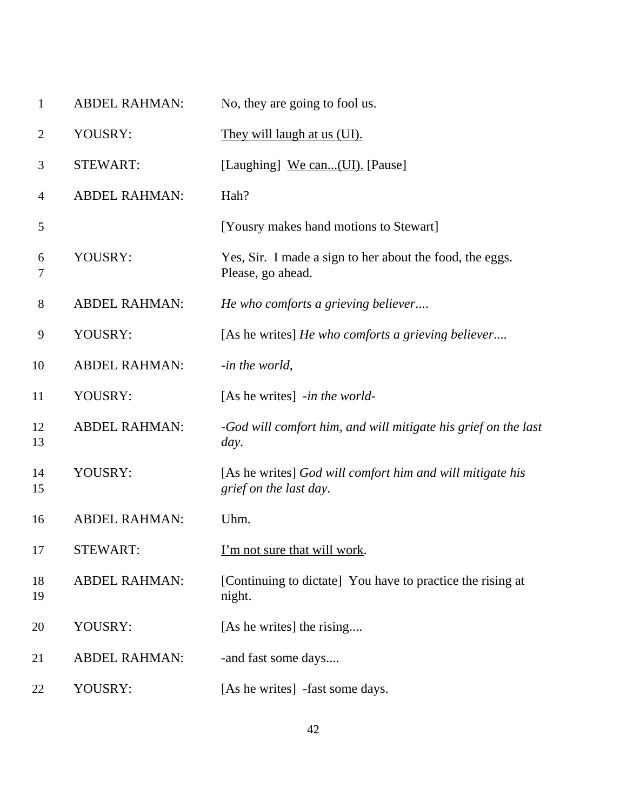| $\mathbf{1}$   | <b>ABDEL RAHMAN:</b> | No, they are going to fool us.                                                      |
|----------------|----------------------|-------------------------------------------------------------------------------------|
| $\overline{2}$ | YOUSRY:              | They will laugh at us (UI).                                                         |
| 3              | <b>STEWART:</b>      | [Laughing] We can(UI). [Pause]                                                      |
| $\overline{4}$ | <b>ABDEL RAHMAN:</b> | Hah?                                                                                |
| 5              |                      | [Yousry makes hand motions to Stewart]                                              |
| 6<br>7         | YOUSRY:              | Yes, Sir. I made a sign to her about the food, the eggs.<br>Please, go ahead.       |
| $8\phantom{1}$ | <b>ABDEL RAHMAN:</b> | He who comforts a grieving believer                                                 |
| 9              | YOUSRY:              | [As he writes] He who comforts a grieving believer                                  |
| 10             | <b>ABDEL RAHMAN:</b> | -in the world,                                                                      |
| 11             | YOUSRY:              | [As he writes] -in the world-                                                       |
| 12<br>13       | <b>ABDEL RAHMAN:</b> | -God will comfort him, and will mitigate his grief on the last<br>day.              |
| 14<br>15       | YOUSRY:              | [As he writes] God will comfort him and will mitigate his<br>grief on the last day. |
| 16             | <b>ABDEL RAHMAN:</b> | Uhm.                                                                                |
| 17             | STEWART:             | <u>I'm not sure that will work</u> .                                                |
| 18<br>19       | <b>ABDEL RAHMAN:</b> | [Continuing to dictate] You have to practice the rising at<br>night.                |
| 20             | YOUSRY:              | [As he writes] the rising                                                           |
| 21             | <b>ABDEL RAHMAN:</b> | -and fast some days                                                                 |
| 22             | YOUSRY:              | [As he writes] -fast some days.                                                     |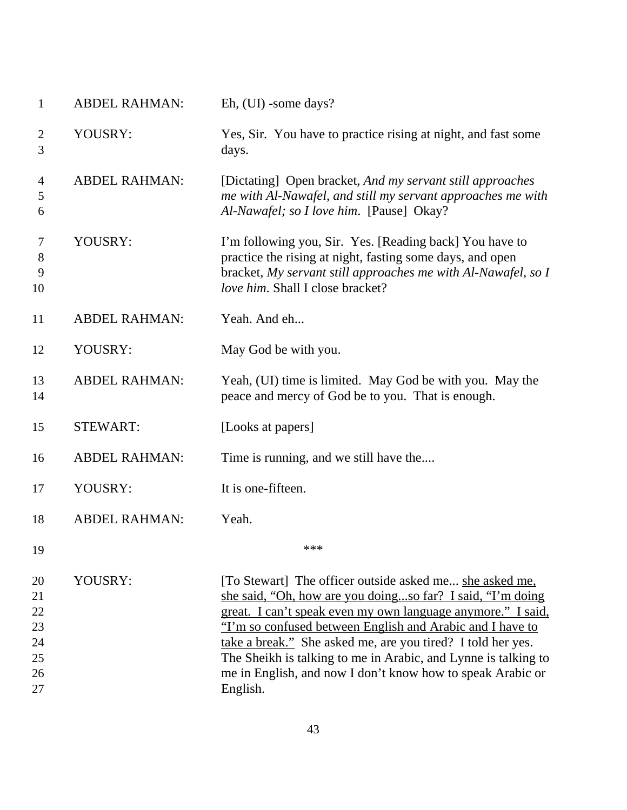| $\mathbf{1}$                     | <b>ABDEL RAHMAN:</b> | Eh, (UI) -some days?                                                                                                                                                                                                                                                                                                                                                               |
|----------------------------------|----------------------|------------------------------------------------------------------------------------------------------------------------------------------------------------------------------------------------------------------------------------------------------------------------------------------------------------------------------------------------------------------------------------|
| $\overline{2}$<br>3              | YOUSRY:              | Yes, Sir. You have to practice rising at night, and fast some<br>days.                                                                                                                                                                                                                                                                                                             |
| $\overline{4}$<br>5<br>6         | <b>ABDEL RAHMAN:</b> | [Dictating] Open bracket, And my servant still approaches<br>me with Al-Nawafel, and still my servant approaches me with<br>Al-Nawafel; so I love him. [Pause] Okay?                                                                                                                                                                                                               |
| $\tau$<br>8<br>9<br>10           | YOUSRY:              | I'm following you, Sir. Yes. [Reading back] You have to<br>practice the rising at night, fasting some days, and open<br>bracket, My servant still approaches me with Al-Nawafel, so I<br>love him. Shall I close bracket?                                                                                                                                                          |
| 11                               | <b>ABDEL RAHMAN:</b> | Yeah. And eh                                                                                                                                                                                                                                                                                                                                                                       |
| 12                               | YOUSRY:              | May God be with you.                                                                                                                                                                                                                                                                                                                                                               |
| 13<br>14                         | <b>ABDEL RAHMAN:</b> | Yeah, (UI) time is limited. May God be with you. May the<br>peace and mercy of God be to you. That is enough.                                                                                                                                                                                                                                                                      |
| 15                               | <b>STEWART:</b>      | [Looks at papers]                                                                                                                                                                                                                                                                                                                                                                  |
| 16                               | <b>ABDEL RAHMAN:</b> | Time is running, and we still have the                                                                                                                                                                                                                                                                                                                                             |
| 17                               | YOUSRY:              | It is one-fifteen.                                                                                                                                                                                                                                                                                                                                                                 |
| 18                               | <b>ABDEL RAHMAN:</b> | Yeah.                                                                                                                                                                                                                                                                                                                                                                              |
| 19                               |                      | ***                                                                                                                                                                                                                                                                                                                                                                                |
| 20<br>21<br>22<br>23<br>24<br>25 | YOUSRY:              | [To Stewart] The officer outside asked me she asked me,<br>she said, "Oh, how are you doingso far? I said, "I'm doing<br>great. I can't speak even my own language anymore." I said,<br>"I'm so confused between English and Arabic and I have to<br>take a break." She asked me, are you tired? I told her yes.<br>The Sheikh is talking to me in Arabic, and Lynne is talking to |
| 26<br>27                         |                      | me in English, and now I don't know how to speak Arabic or<br>English.                                                                                                                                                                                                                                                                                                             |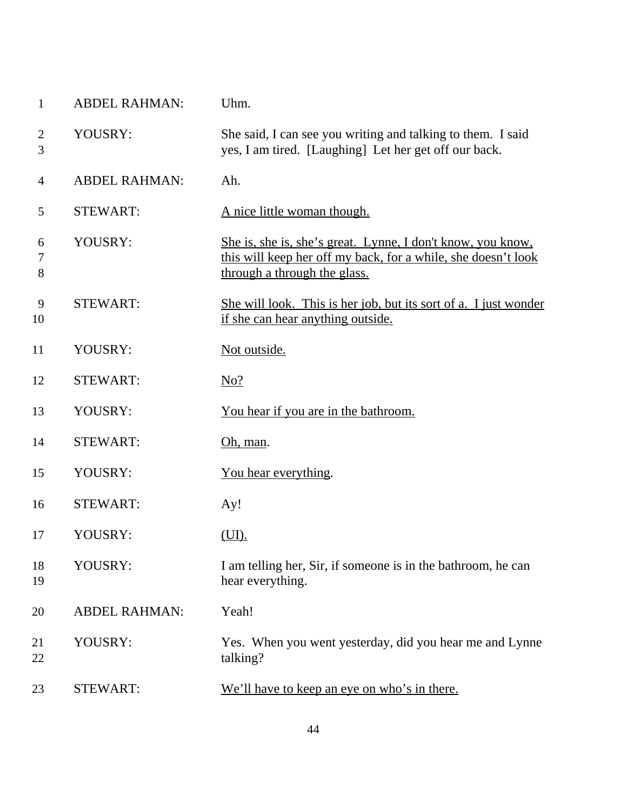| $\mathbf{1}$   | <b>ABDEL RAHMAN:</b> | Uhm.                                                                                                                                                         |
|----------------|----------------------|--------------------------------------------------------------------------------------------------------------------------------------------------------------|
| 2<br>3         | YOUSRY:              | She said, I can see you writing and talking to them. I said<br>yes, I am tired. [Laughing] Let her get off our back.                                         |
| $\overline{4}$ | <b>ABDEL RAHMAN:</b> | Ah.                                                                                                                                                          |
| 5              | <b>STEWART:</b>      | A nice little woman though.                                                                                                                                  |
| 6<br>7<br>8    | YOUSRY:              | She is, she is, she's great. Lynne, I don't know, you know,<br>this will keep her off my back, for a while, she doesn't look<br>through a through the glass. |
| 9<br>10        | <b>STEWART:</b>      | She will look. This is her job, but its sort of a. I just wonder<br>if she can hear anything outside.                                                        |
| 11             | YOUSRY:              | Not outside.                                                                                                                                                 |
| 12             | <b>STEWART:</b>      | $N0$ ?                                                                                                                                                       |
| 13             | YOUSRY:              | <u>You hear if you are in the bathroom.</u>                                                                                                                  |
| 14             | <b>STEWART:</b>      | Oh, man.                                                                                                                                                     |
| 15             | YOUSRY:              | You hear everything.                                                                                                                                         |
| 16             | <b>STEWART:</b>      | Ay!                                                                                                                                                          |
| 17             | YOUSRY:              | (UI).                                                                                                                                                        |
| 18<br>19       | YOUSRY:              | I am telling her, Sir, if someone is in the bathroom, he can<br>hear everything.                                                                             |
| 20             | <b>ABDEL RAHMAN:</b> | Yeah!                                                                                                                                                        |
| 21<br>22       | YOUSRY:              | Yes. When you went yesterday, did you hear me and Lynne<br>talking?                                                                                          |
| 23             | <b>STEWART:</b>      | We'll have to keep an eye on who's in there.                                                                                                                 |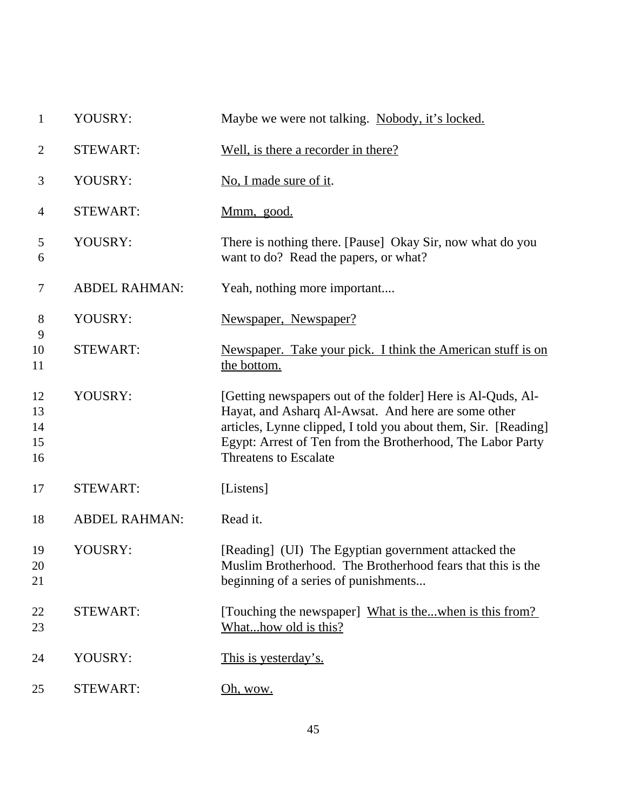| $\mathbf{1}$   | YOUSRY:              | Maybe we were not talking. Nobody, it's locked.                                                    |
|----------------|----------------------|----------------------------------------------------------------------------------------------------|
| $\overline{c}$ | <b>STEWART:</b>      | Well, is there a recorder in there?                                                                |
| 3              | YOUSRY:              | No, I made sure of it.                                                                             |
| 4              | <b>STEWART:</b>      | Mmm, good.                                                                                         |
| 5<br>6         | YOUSRY:              | There is nothing there. [Pause] Okay Sir, now what do you<br>want to do? Read the papers, or what? |
| 7              | <b>ABDEL RAHMAN:</b> | Yeah, nothing more important                                                                       |
| 8              | YOUSRY:              | Newspaper, Newspaper?                                                                              |
| 9<br>10        | <b>STEWART:</b>      | Newspaper. Take your pick. I think the American stuff is on                                        |
| 11             |                      | the bottom.                                                                                        |
| 12             | YOUSRY:              | [Getting newspapers out of the folder] Here is Al-Quds, Al-                                        |
| 13             |                      | Hayat, and Asharq Al-Awsat. And here are some other                                                |
| 14             |                      | articles, Lynne clipped, I told you about them, Sir. [Reading]                                     |
| 15<br>16       |                      | Egypt: Arrest of Ten from the Brotherhood, The Labor Party<br><b>Threatens to Escalate</b>         |
| 17             | <b>STEWART:</b>      | [Listens]                                                                                          |
| 18             | <b>ABDEL RAHMAN:</b> | Read it.                                                                                           |
| 19             | YOUSRY:              | [Reading] (UI) The Egyptian government attacked the                                                |
| 20             |                      | Muslim Brotherhood. The Brotherhood fears that this is the                                         |
| 21             |                      | beginning of a series of punishments                                                               |
| 22             | <b>STEWART:</b>      | [Touching the newspaper] What is thewhen is this from?                                             |
| 23             |                      | Whathow old is this?                                                                               |
| 24             | YOUSRY:              | This is yesterday's.                                                                               |
| 25             | <b>STEWART:</b>      | Oh, wow.                                                                                           |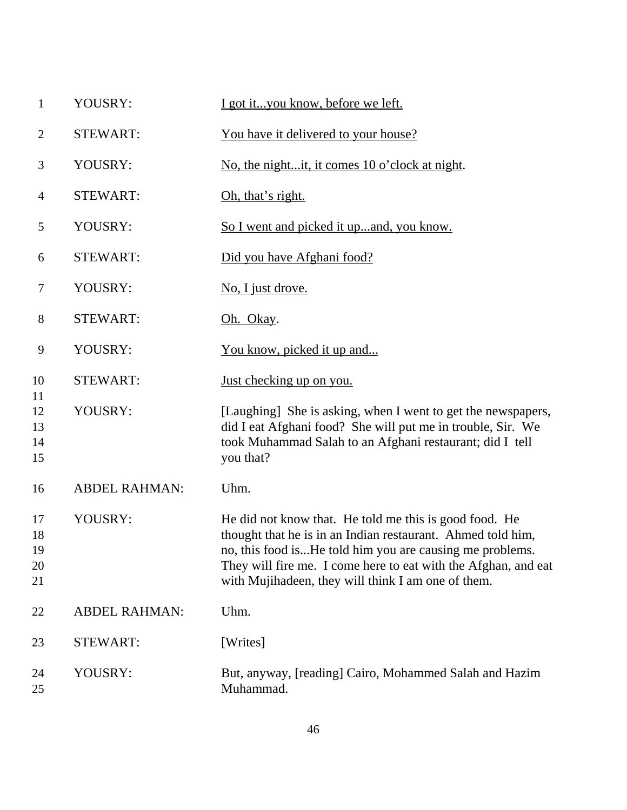| $\mathbf{1}$               | YOUSRY:              | I got ityou know, before we left.                                                                                                                                                                                                                                                                         |
|----------------------------|----------------------|-----------------------------------------------------------------------------------------------------------------------------------------------------------------------------------------------------------------------------------------------------------------------------------------------------------|
| $\overline{2}$             | <b>STEWART:</b>      | You have it delivered to your house?                                                                                                                                                                                                                                                                      |
| 3                          | YOUSRY:              | No, the nightit, it comes 10 o'clock at night.                                                                                                                                                                                                                                                            |
| $\overline{4}$             | <b>STEWART:</b>      | Oh, that's right.                                                                                                                                                                                                                                                                                         |
| 5                          | YOUSRY:              | So I went and picked it upand, you know.                                                                                                                                                                                                                                                                  |
| 6                          | <b>STEWART:</b>      | Did you have Afghani food?                                                                                                                                                                                                                                                                                |
| 7                          | YOUSRY:              | No, I just drove.                                                                                                                                                                                                                                                                                         |
| 8                          | <b>STEWART:</b>      | Oh. Okay.                                                                                                                                                                                                                                                                                                 |
| 9                          | YOUSRY:              | You know, picked it up and                                                                                                                                                                                                                                                                                |
| 10                         | <b>STEWART:</b>      | <u>Just checking up on you.</u>                                                                                                                                                                                                                                                                           |
| 11<br>12<br>13<br>14<br>15 | YOUSRY:              | [Laughing] She is asking, when I went to get the newspapers,<br>did I eat Afghani food? She will put me in trouble, Sir. We<br>took Muhammad Salah to an Afghani restaurant; did I tell<br>you that?                                                                                                      |
| 16                         | <b>ABDEL RAHMAN:</b> | Uhm.                                                                                                                                                                                                                                                                                                      |
| 17<br>18<br>19<br>20<br>21 | YOUSRY:              | He did not know that. He told me this is good food. He<br>thought that he is in an Indian restaurant. Ahmed told him,<br>no, this food isHe told him you are causing me problems.<br>They will fire me. I come here to eat with the Afghan, and eat<br>with Mujihadeen, they will think I am one of them. |
| 22                         | <b>ABDEL RAHMAN:</b> | Uhm.                                                                                                                                                                                                                                                                                                      |
| 23                         | <b>STEWART:</b>      | [Writes]                                                                                                                                                                                                                                                                                                  |
| 24<br>25                   | YOUSRY:              | But, anyway, [reading] Cairo, Mohammed Salah and Hazim<br>Muhammad.                                                                                                                                                                                                                                       |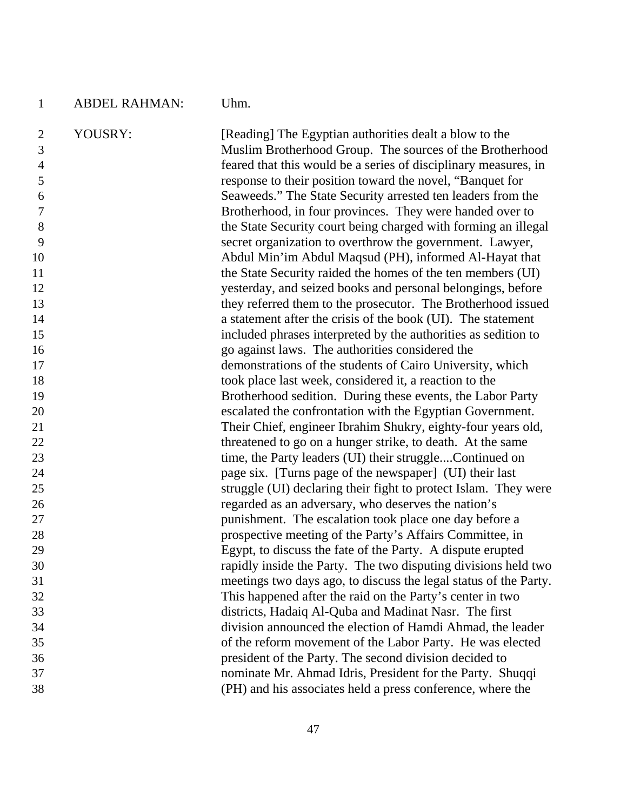| $\mathbf{1}$                          | <b>ABDEL RAHMAN:</b> | Uhm.                                                                                                                                                                                  |
|---------------------------------------|----------------------|---------------------------------------------------------------------------------------------------------------------------------------------------------------------------------------|
| $\overline{2}$<br>3<br>$\overline{4}$ | YOUSRY:              | [Reading] The Egyptian authorities dealt a blow to the<br>Muslim Brotherhood Group. The sources of the Brotherhood<br>feared that this would be a series of disciplinary measures, in |
| 5<br>6                                |                      | response to their position toward the novel, "Banquet for<br>Seaweeds." The State Security arrested ten leaders from the                                                              |
| $\boldsymbol{7}$                      |                      | Brotherhood, in four provinces. They were handed over to                                                                                                                              |
| 8                                     |                      | the State Security court being charged with forming an illegal                                                                                                                        |
| 9                                     |                      | secret organization to overthrow the government. Lawyer,                                                                                                                              |
| 10                                    |                      | Abdul Min'im Abdul Maqsud (PH), informed Al-Hayat that                                                                                                                                |
| 11                                    |                      | the State Security raided the homes of the ten members (UI)                                                                                                                           |
| 12<br>13                              |                      | yesterday, and seized books and personal belongings, before<br>they referred them to the prosecutor. The Brotherhood issued                                                           |
| 14                                    |                      | a statement after the crisis of the book (UI). The statement                                                                                                                          |
| 15                                    |                      | included phrases interpreted by the authorities as sedition to                                                                                                                        |
| 16                                    |                      | go against laws. The authorities considered the                                                                                                                                       |
| 17                                    |                      | demonstrations of the students of Cairo University, which                                                                                                                             |
| 18                                    |                      | took place last week, considered it, a reaction to the                                                                                                                                |
| 19                                    |                      | Brotherhood sedition. During these events, the Labor Party                                                                                                                            |
| 20                                    |                      | escalated the confrontation with the Egyptian Government.                                                                                                                             |
| 21                                    |                      | Their Chief, engineer Ibrahim Shukry, eighty-four years old,                                                                                                                          |
| 22                                    |                      | threatened to go on a hunger strike, to death. At the same                                                                                                                            |
| 23<br>24                              |                      | time, the Party leaders (UI) their struggleContinued on<br>page six. [Turns page of the newspaper] (UI) their last                                                                    |
| 25                                    |                      | struggle (UI) declaring their fight to protect Islam. They were                                                                                                                       |
| 26                                    |                      | regarded as an adversary, who deserves the nation's                                                                                                                                   |
| 27                                    |                      | punishment. The escalation took place one day before a                                                                                                                                |
| 28                                    |                      | prospective meeting of the Party's Affairs Committee, in                                                                                                                              |
| 29                                    |                      | Egypt, to discuss the fate of the Party. A dispute erupted                                                                                                                            |
| 30                                    |                      | rapidly inside the Party. The two disputing divisions held two                                                                                                                        |
| 31                                    |                      | meetings two days ago, to discuss the legal status of the Party.                                                                                                                      |
| 32                                    |                      | This happened after the raid on the Party's center in two                                                                                                                             |
| 33                                    |                      | districts, Hadaiq Al-Quba and Madinat Nasr. The first                                                                                                                                 |
| 34                                    |                      | division announced the election of Hamdi Ahmad, the leader                                                                                                                            |
| 35<br>36                              |                      | of the reform movement of the Labor Party. He was elected<br>president of the Party. The second division decided to                                                                   |
| 37                                    |                      | nominate Mr. Ahmad Idris, President for the Party. Shuqqi                                                                                                                             |
| 38                                    |                      | (PH) and his associates held a press conference, where the                                                                                                                            |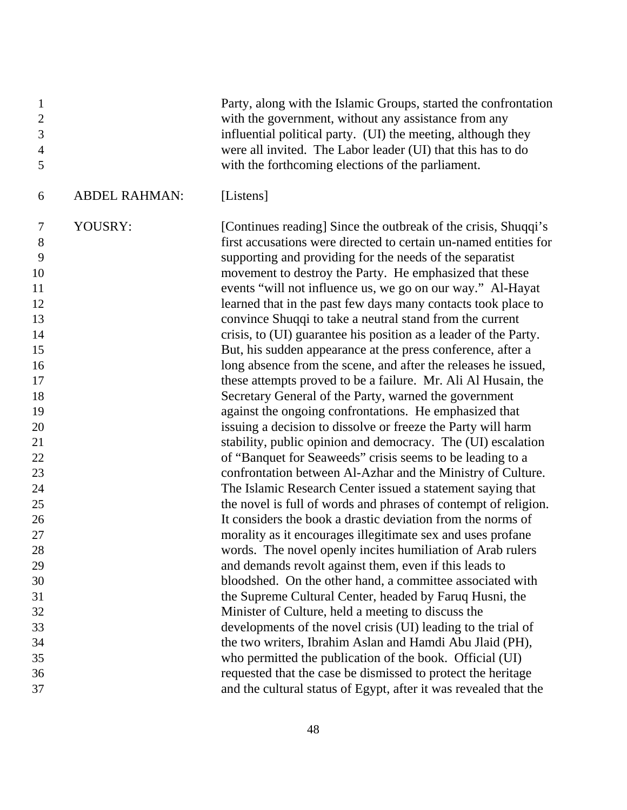| $\mathbf{1}$<br>$\mathbf{2}$<br>3<br>$\overline{4}$<br>5 |                      | Party, along with the Islamic Groups, started the confrontation<br>with the government, without any assistance from any<br>influential political party. (UI) the meeting, although they<br>were all invited. The Labor leader (UI) that this has to do<br>with the forthcoming elections of the parliament. |
|----------------------------------------------------------|----------------------|-------------------------------------------------------------------------------------------------------------------------------------------------------------------------------------------------------------------------------------------------------------------------------------------------------------|
| 6                                                        | <b>ABDEL RAHMAN:</b> | [Listens]                                                                                                                                                                                                                                                                                                   |
| 7                                                        | YOUSRY:              | [Continues reading] Since the outbreak of the crisis, Shuqqi's                                                                                                                                                                                                                                              |
| 8                                                        |                      | first accusations were directed to certain un-named entities for                                                                                                                                                                                                                                            |
| 9                                                        |                      | supporting and providing for the needs of the separatist                                                                                                                                                                                                                                                    |
| 10                                                       |                      | movement to destroy the Party. He emphasized that these                                                                                                                                                                                                                                                     |
| 11                                                       |                      | events "will not influence us, we go on our way." Al-Hayat                                                                                                                                                                                                                                                  |
| 12<br>13                                                 |                      | learned that in the past few days many contacts took place to<br>convince Shuqqi to take a neutral stand from the current                                                                                                                                                                                   |
| 14                                                       |                      | crisis, to (UI) guarantee his position as a leader of the Party.                                                                                                                                                                                                                                            |
| 15                                                       |                      | But, his sudden appearance at the press conference, after a                                                                                                                                                                                                                                                 |
| 16                                                       |                      | long absence from the scene, and after the releases he issued,                                                                                                                                                                                                                                              |
| 17                                                       |                      | these attempts proved to be a failure. Mr. Ali Al Husain, the                                                                                                                                                                                                                                               |
| 18                                                       |                      | Secretary General of the Party, warned the government                                                                                                                                                                                                                                                       |
| 19                                                       |                      | against the ongoing confrontations. He emphasized that                                                                                                                                                                                                                                                      |
| 20                                                       |                      | issuing a decision to dissolve or freeze the Party will harm                                                                                                                                                                                                                                                |
| 21                                                       |                      | stability, public opinion and democracy. The (UI) escalation                                                                                                                                                                                                                                                |
| 22                                                       |                      | of "Banquet for Seaweeds" crisis seems to be leading to a                                                                                                                                                                                                                                                   |
| 23                                                       |                      | confrontation between Al-Azhar and the Ministry of Culture.                                                                                                                                                                                                                                                 |
| 24                                                       |                      | The Islamic Research Center issued a statement saying that                                                                                                                                                                                                                                                  |
| 25                                                       |                      | the novel is full of words and phrases of contempt of religion.                                                                                                                                                                                                                                             |
| 26                                                       |                      | It considers the book a drastic deviation from the norms of                                                                                                                                                                                                                                                 |
| 27                                                       |                      | morality as it encourages illegitimate sex and uses profane                                                                                                                                                                                                                                                 |
| 28<br>29                                                 |                      | words. The novel openly incites humiliation of Arab rulers                                                                                                                                                                                                                                                  |
| 30                                                       |                      | and demands revolt against them, even if this leads to<br>bloodshed. On the other hand, a committee associated with                                                                                                                                                                                         |
| 31                                                       |                      | the Supreme Cultural Center, headed by Faruq Husni, the                                                                                                                                                                                                                                                     |
| 32                                                       |                      | Minister of Culture, held a meeting to discuss the                                                                                                                                                                                                                                                          |
| 33                                                       |                      | developments of the novel crisis (UI) leading to the trial of                                                                                                                                                                                                                                               |
| 34                                                       |                      | the two writers, Ibrahim Aslan and Hamdi Abu Jlaid (PH),                                                                                                                                                                                                                                                    |
| 35                                                       |                      | who permitted the publication of the book. Official (UI)                                                                                                                                                                                                                                                    |
| 36                                                       |                      | requested that the case be dismissed to protect the heritage                                                                                                                                                                                                                                                |
| 37                                                       |                      | and the cultural status of Egypt, after it was revealed that the                                                                                                                                                                                                                                            |
|                                                          |                      |                                                                                                                                                                                                                                                                                                             |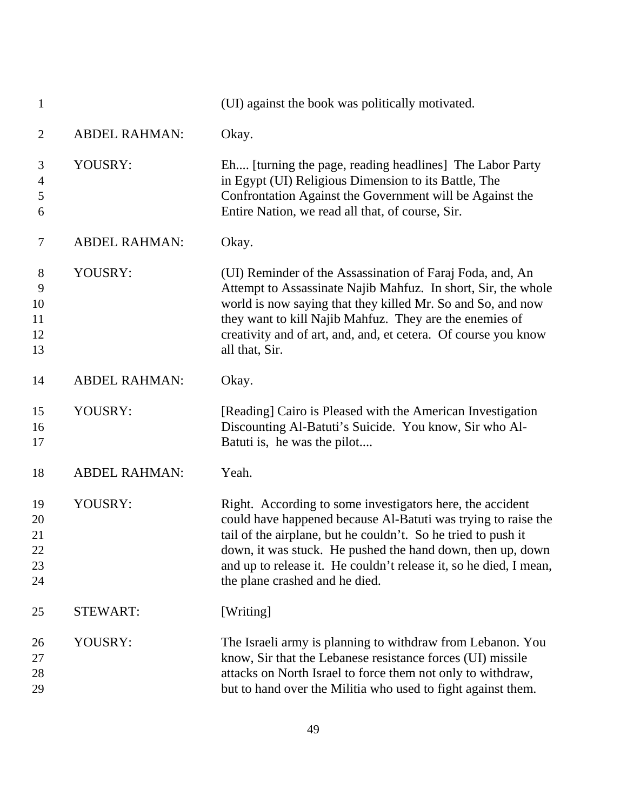| $\mathbf{1}$                     |                      | (UI) against the book was politically motivated.                                                                                                                                                                                                                                                                                                                 |
|----------------------------------|----------------------|------------------------------------------------------------------------------------------------------------------------------------------------------------------------------------------------------------------------------------------------------------------------------------------------------------------------------------------------------------------|
| $\overline{2}$                   | <b>ABDEL RAHMAN:</b> | Okay.                                                                                                                                                                                                                                                                                                                                                            |
| 3<br>$\overline{4}$<br>5<br>6    | YOUSRY:              | Eh [turning the page, reading headlines] The Labor Party<br>in Egypt (UI) Religious Dimension to its Battle, The<br>Confrontation Against the Government will be Against the<br>Entire Nation, we read all that, of course, Sir.                                                                                                                                 |
| $\tau$                           | <b>ABDEL RAHMAN:</b> | Okay.                                                                                                                                                                                                                                                                                                                                                            |
| 8<br>9<br>10<br>11<br>12<br>13   | YOUSRY:              | (UI) Reminder of the Assassination of Faraj Foda, and, An<br>Attempt to Assassinate Najib Mahfuz. In short, Sir, the whole<br>world is now saying that they killed Mr. So and So, and now<br>they want to kill Najib Mahfuz. They are the enemies of<br>creativity and of art, and, and, et cetera. Of course you know<br>all that, Sir.                         |
| 14                               | <b>ABDEL RAHMAN:</b> | Okay.                                                                                                                                                                                                                                                                                                                                                            |
| 15<br>16<br>17                   | YOUSRY:              | [Reading] Cairo is Pleased with the American Investigation<br>Discounting Al-Batuti's Suicide. You know, Sir who Al-<br>Batuti is, he was the pilot                                                                                                                                                                                                              |
| 18                               | <b>ABDEL RAHMAN:</b> | Yeah.                                                                                                                                                                                                                                                                                                                                                            |
| 19<br>20<br>21<br>22<br>23<br>24 | YOUSRY:              | Right. According to some investigators here, the accident<br>could have happened because Al-Batuti was trying to raise the<br>tail of the airplane, but he couldn't. So he tried to push it<br>down, it was stuck. He pushed the hand down, then up, down<br>and up to release it. He couldn't release it, so he died, I mean,<br>the plane crashed and he died. |
| 25                               | <b>STEWART:</b>      | [Writing]                                                                                                                                                                                                                                                                                                                                                        |
| 26<br>27<br>28<br>29             | YOUSRY:              | The Israeli army is planning to withdraw from Lebanon. You<br>know, Sir that the Lebanese resistance forces (UI) missile<br>attacks on North Israel to force them not only to withdraw,<br>but to hand over the Militia who used to fight against them.                                                                                                          |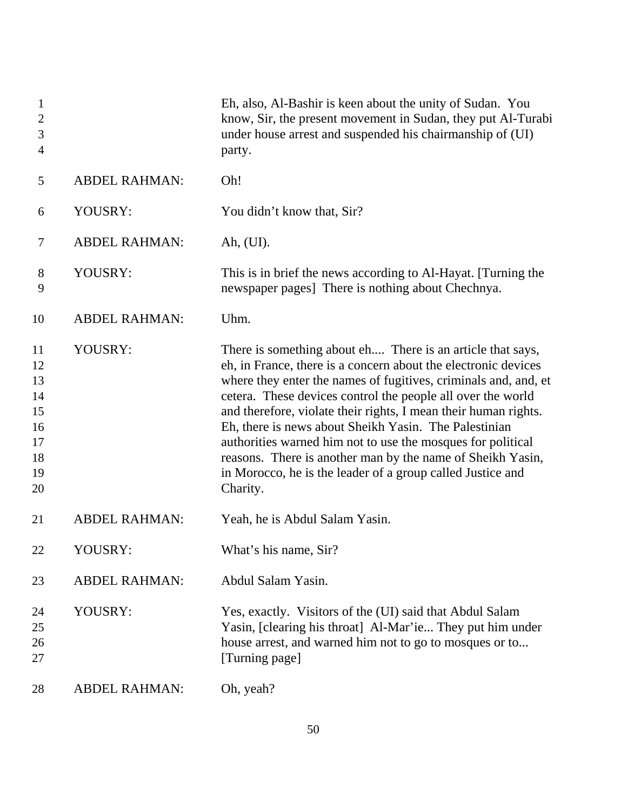| $\mathbf{1}$<br>$\overline{2}$<br>$\mathfrak{Z}$<br>$\overline{4}$ |                      | Eh, also, Al-Bashir is keen about the unity of Sudan. You<br>know, Sir, the present movement in Sudan, they put Al-Turabi<br>under house arrest and suspended his chairmanship of (UI)<br>party.                                                                                                                                                                                                                                                                                                                                                                                                  |
|--------------------------------------------------------------------|----------------------|---------------------------------------------------------------------------------------------------------------------------------------------------------------------------------------------------------------------------------------------------------------------------------------------------------------------------------------------------------------------------------------------------------------------------------------------------------------------------------------------------------------------------------------------------------------------------------------------------|
| 5                                                                  | <b>ABDEL RAHMAN:</b> | Oh!                                                                                                                                                                                                                                                                                                                                                                                                                                                                                                                                                                                               |
| 6                                                                  | YOUSRY:              | You didn't know that, Sir?                                                                                                                                                                                                                                                                                                                                                                                                                                                                                                                                                                        |
| 7                                                                  | <b>ABDEL RAHMAN:</b> | Ah, (UI).                                                                                                                                                                                                                                                                                                                                                                                                                                                                                                                                                                                         |
| 8<br>9                                                             | YOUSRY:              | This is in brief the news according to Al-Hayat. [Turning the<br>newspaper pages] There is nothing about Chechnya.                                                                                                                                                                                                                                                                                                                                                                                                                                                                                |
| 10                                                                 | <b>ABDEL RAHMAN:</b> | Uhm.                                                                                                                                                                                                                                                                                                                                                                                                                                                                                                                                                                                              |
| 11<br>12<br>13<br>14<br>15<br>16<br>17<br>18<br>19<br>20           | YOUSRY:              | There is something about eh There is an article that says,<br>eh, in France, there is a concern about the electronic devices<br>where they enter the names of fugitives, criminals and, and, et<br>cetera. These devices control the people all over the world<br>and therefore, violate their rights, I mean their human rights.<br>Eh, there is news about Sheikh Yasin. The Palestinian<br>authorities warned him not to use the mosques for political<br>reasons. There is another man by the name of Sheikh Yasin,<br>in Morocco, he is the leader of a group called Justice and<br>Charity. |
| 21                                                                 | <b>ABDEL RAHMAN:</b> | Yeah, he is Abdul Salam Yasin.                                                                                                                                                                                                                                                                                                                                                                                                                                                                                                                                                                    |
| 22                                                                 | YOUSRY:              | What's his name, Sir?                                                                                                                                                                                                                                                                                                                                                                                                                                                                                                                                                                             |
| 23                                                                 | <b>ABDEL RAHMAN:</b> | Abdul Salam Yasin.                                                                                                                                                                                                                                                                                                                                                                                                                                                                                                                                                                                |
| 24<br>25<br>26<br>27                                               | YOUSRY:              | Yes, exactly. Visitors of the (UI) said that Abdul Salam<br>Yasin, [clearing his throat] Al-Mar'ie They put him under<br>house arrest, and warned him not to go to mosques or to<br>[Turning page]                                                                                                                                                                                                                                                                                                                                                                                                |
| 28                                                                 | <b>ABDEL RAHMAN:</b> | Oh, yeah?                                                                                                                                                                                                                                                                                                                                                                                                                                                                                                                                                                                         |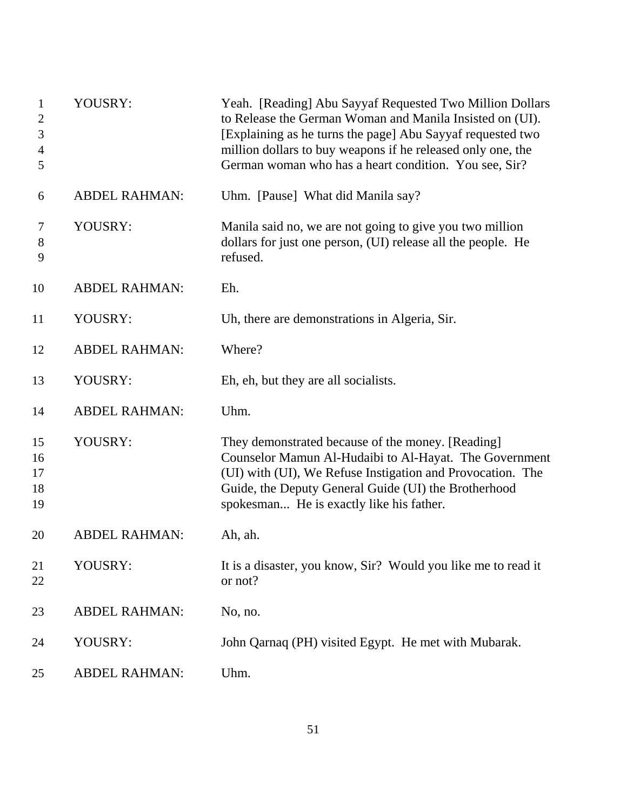| $\mathbf{1}$<br>$\overline{2}$<br>3<br>$\overline{4}$<br>5 | YOUSRY:              | Yeah. [Reading] Abu Sayyaf Requested Two Million Dollars<br>to Release the German Woman and Manila Insisted on (UI).<br>[Explaining as he turns the page] Abu Sayyaf requested two<br>million dollars to buy weapons if he released only one, the<br>German woman who has a heart condition. You see, Sir? |
|------------------------------------------------------------|----------------------|------------------------------------------------------------------------------------------------------------------------------------------------------------------------------------------------------------------------------------------------------------------------------------------------------------|
| 6                                                          | <b>ABDEL RAHMAN:</b> | Uhm. [Pause] What did Manila say?                                                                                                                                                                                                                                                                          |
| 7<br>$8\,$<br>9                                            | YOUSRY:              | Manila said no, we are not going to give you two million<br>dollars for just one person, (UI) release all the people. He<br>refused.                                                                                                                                                                       |
| 10                                                         | <b>ABDEL RAHMAN:</b> | Eh.                                                                                                                                                                                                                                                                                                        |
| 11                                                         | YOUSRY:              | Uh, there are demonstrations in Algeria, Sir.                                                                                                                                                                                                                                                              |
| 12                                                         | <b>ABDEL RAHMAN:</b> | Where?                                                                                                                                                                                                                                                                                                     |
| 13                                                         | YOUSRY:              | Eh, eh, but they are all socialists.                                                                                                                                                                                                                                                                       |
| 14                                                         | <b>ABDEL RAHMAN:</b> | Uhm.                                                                                                                                                                                                                                                                                                       |
| 15<br>16<br>17<br>18<br>19                                 | YOUSRY:              | They demonstrated because of the money. [Reading]<br>Counselor Mamun Al-Hudaibi to Al-Hayat. The Government<br>(UI) with (UI), We Refuse Instigation and Provocation. The<br>Guide, the Deputy General Guide (UI) the Brotherhood<br>spokesman He is exactly like his father.                              |
| 20                                                         | <b>ABDEL RAHMAN:</b> | Ah, ah.                                                                                                                                                                                                                                                                                                    |
| 21<br>22                                                   | YOUSRY:              | It is a disaster, you know, Sir? Would you like me to read it<br>or not?                                                                                                                                                                                                                                   |
| 23                                                         | <b>ABDEL RAHMAN:</b> | No, no.                                                                                                                                                                                                                                                                                                    |
| 24                                                         | YOUSRY:              | John Qarnaq (PH) visited Egypt. He met with Mubarak.                                                                                                                                                                                                                                                       |
| 25                                                         | <b>ABDEL RAHMAN:</b> | Uhm.                                                                                                                                                                                                                                                                                                       |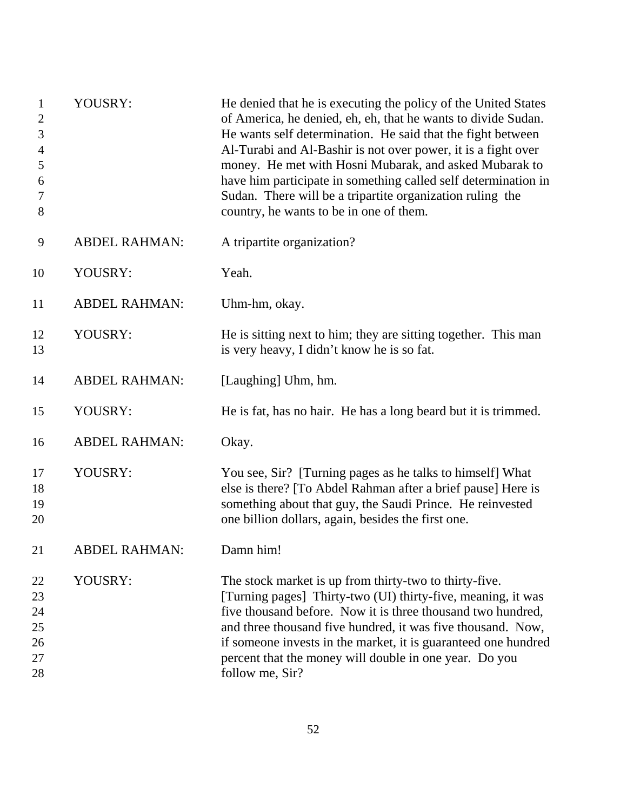| $\mathbf{1}$<br>$\boldsymbol{2}$<br>3<br>$\overline{4}$<br>5<br>6<br>7<br>8 | YOUSRY:              | He denied that he is executing the policy of the United States<br>of America, he denied, eh, eh, that he wants to divide Sudan.<br>He wants self determination. He said that the fight between<br>Al-Turabi and Al-Bashir is not over power, it is a fight over<br>money. He met with Hosni Mubarak, and asked Mubarak to<br>have him participate in something called self determination in<br>Sudan. There will be a tripartite organization ruling the<br>country, he wants to be in one of them. |
|-----------------------------------------------------------------------------|----------------------|-----------------------------------------------------------------------------------------------------------------------------------------------------------------------------------------------------------------------------------------------------------------------------------------------------------------------------------------------------------------------------------------------------------------------------------------------------------------------------------------------------|
| 9                                                                           | <b>ABDEL RAHMAN:</b> | A tripartite organization?                                                                                                                                                                                                                                                                                                                                                                                                                                                                          |
| 10                                                                          | YOUSRY:              | Yeah.                                                                                                                                                                                                                                                                                                                                                                                                                                                                                               |
| 11                                                                          | <b>ABDEL RAHMAN:</b> | Uhm-hm, okay.                                                                                                                                                                                                                                                                                                                                                                                                                                                                                       |
| 12<br>13                                                                    | YOUSRY:              | He is sitting next to him; they are sitting together. This man<br>is very heavy, I didn't know he is so fat.                                                                                                                                                                                                                                                                                                                                                                                        |
| 14                                                                          | <b>ABDEL RAHMAN:</b> | [Laughing] Uhm, hm.                                                                                                                                                                                                                                                                                                                                                                                                                                                                                 |
| 15                                                                          | YOUSRY:              | He is fat, has no hair. He has a long beard but it is trimmed.                                                                                                                                                                                                                                                                                                                                                                                                                                      |
| 16                                                                          | <b>ABDEL RAHMAN:</b> | Okay.                                                                                                                                                                                                                                                                                                                                                                                                                                                                                               |
| 17<br>18<br>19<br>20                                                        | YOUSRY:              | You see, Sir? [Turning pages as he talks to himself] What<br>else is there? [To Abdel Rahman after a brief pause] Here is<br>something about that guy, the Saudi Prince. He reinvested<br>one billion dollars, again, besides the first one.                                                                                                                                                                                                                                                        |
| 21                                                                          | <b>ABDEL RAHMAN:</b> | Damn him!                                                                                                                                                                                                                                                                                                                                                                                                                                                                                           |
| 22<br>23<br>24<br>25<br>26<br>27<br>28                                      | YOUSRY:              | The stock market is up from thirty-two to thirty-five.<br>[Turning pages] Thirty-two (UI) thirty-five, meaning, it was<br>five thousand before. Now it is three thousand two hundred,<br>and three thousand five hundred, it was five thousand. Now,<br>if someone invests in the market, it is guaranteed one hundred<br>percent that the money will double in one year. Do you<br>follow me, Sir?                                                                                                 |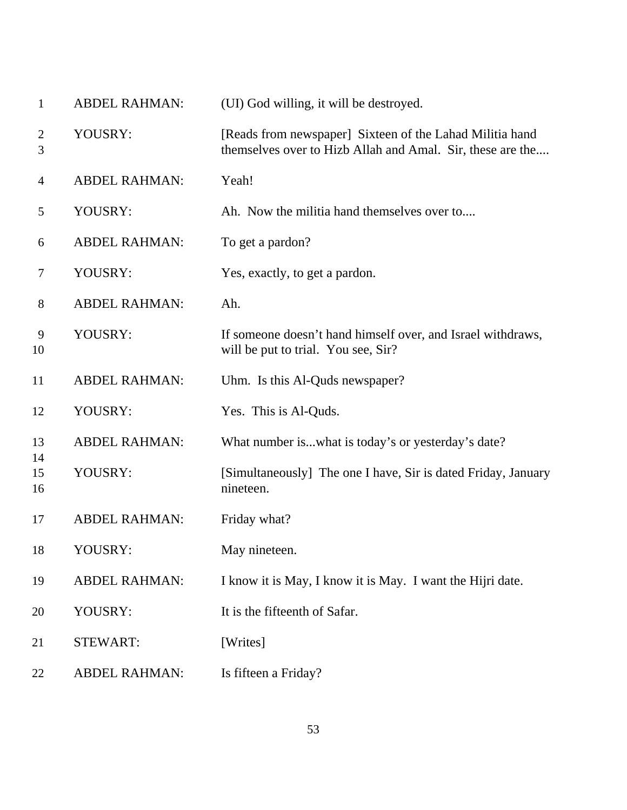| $\mathbf{1}$        | <b>ABDEL RAHMAN:</b> | (UI) God willing, it will be destroyed.                                                                                |
|---------------------|----------------------|------------------------------------------------------------------------------------------------------------------------|
| $\overline{2}$<br>3 | YOUSRY:              | [Reads from newspaper] Sixteen of the Lahad Militia hand<br>themselves over to Hizb Allah and Amal. Sir, these are the |
| $\overline{4}$      | <b>ABDEL RAHMAN:</b> | Yeah!                                                                                                                  |
| 5                   | YOUSRY:              | Ah. Now the militia hand themselves over to                                                                            |
| 6                   | <b>ABDEL RAHMAN:</b> | To get a pardon?                                                                                                       |
| 7                   | YOUSRY:              | Yes, exactly, to get a pardon.                                                                                         |
| 8                   | <b>ABDEL RAHMAN:</b> | Ah.                                                                                                                    |
| 9<br>10             | YOUSRY:              | If someone doesn't hand himself over, and Israel withdraws,<br>will be put to trial. You see, Sir?                     |
| 11                  | <b>ABDEL RAHMAN:</b> | Uhm. Is this Al-Quds newspaper?                                                                                        |
| 12                  | YOUSRY:              | Yes. This is Al-Quds.                                                                                                  |
| 13                  | <b>ABDEL RAHMAN:</b> | What number iswhat is today's or yesterday's date?                                                                     |
| 14<br>15<br>16      | YOUSRY:              | [Simultaneously] The one I have, Sir is dated Friday, January<br>nineteen.                                             |
| 17                  | <b>ABDEL RAHMAN:</b> | Friday what?                                                                                                           |
| 18                  | YOUSRY:              | May nineteen.                                                                                                          |
| 19                  | <b>ABDEL RAHMAN:</b> | I know it is May, I know it is May. I want the Hijri date.                                                             |
| 20                  | YOUSRY:              | It is the fifteenth of Safar.                                                                                          |
| 21                  | <b>STEWART:</b>      | [Writes]                                                                                                               |
| 22                  | <b>ABDEL RAHMAN:</b> | Is fifteen a Friday?                                                                                                   |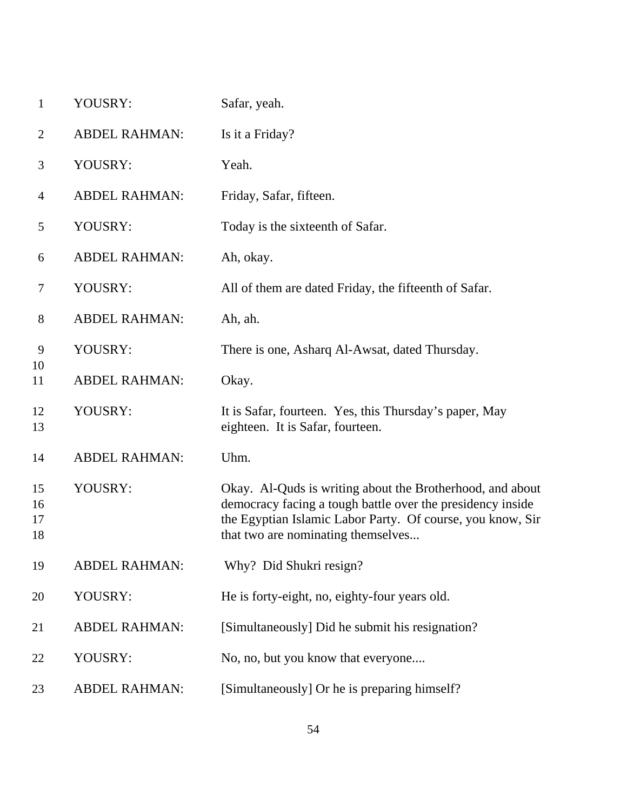| $\mathbf{1}$         | YOUSRY:              | Safar, yeah.                                                                                                                                                                                                                |
|----------------------|----------------------|-----------------------------------------------------------------------------------------------------------------------------------------------------------------------------------------------------------------------------|
| $\overline{c}$       | <b>ABDEL RAHMAN:</b> | Is it a Friday?                                                                                                                                                                                                             |
| 3                    | YOUSRY:              | Yeah.                                                                                                                                                                                                                       |
| 4                    | <b>ABDEL RAHMAN:</b> | Friday, Safar, fifteen.                                                                                                                                                                                                     |
| 5                    | YOUSRY:              | Today is the sixteenth of Safar.                                                                                                                                                                                            |
| 6                    | <b>ABDEL RAHMAN:</b> | Ah, okay.                                                                                                                                                                                                                   |
| 7                    | YOUSRY:              | All of them are dated Friday, the fifteenth of Safar.                                                                                                                                                                       |
| 8                    | <b>ABDEL RAHMAN:</b> | Ah, ah.                                                                                                                                                                                                                     |
| 9                    | YOUSRY:              | There is one, Asharq Al-Awsat, dated Thursday.                                                                                                                                                                              |
| 10<br>11             | <b>ABDEL RAHMAN:</b> | Okay.                                                                                                                                                                                                                       |
| 12<br>13             | YOUSRY:              | It is Safar, fourteen. Yes, this Thursday's paper, May<br>eighteen. It is Safar, fourteen.                                                                                                                                  |
| 14                   | <b>ABDEL RAHMAN:</b> | Uhm.                                                                                                                                                                                                                        |
| 15<br>16<br>17<br>18 | YOUSRY:              | Okay. Al-Quds is writing about the Brotherhood, and about<br>democracy facing a tough battle over the presidency inside<br>the Egyptian Islamic Labor Party. Of course, you know, Sir<br>that two are nominating themselves |
| 19                   | <b>ABDEL RAHMAN:</b> | Why? Did Shukri resign?                                                                                                                                                                                                     |
| 20                   | YOUSRY:              | He is forty-eight, no, eighty-four years old.                                                                                                                                                                               |
| 21                   | <b>ABDEL RAHMAN:</b> | [Simultaneously] Did he submit his resignation?                                                                                                                                                                             |
| 22                   | YOUSRY:              | No, no, but you know that everyone                                                                                                                                                                                          |
| 23                   | <b>ABDEL RAHMAN:</b> | [Simultaneously] Or he is preparing himself?                                                                                                                                                                                |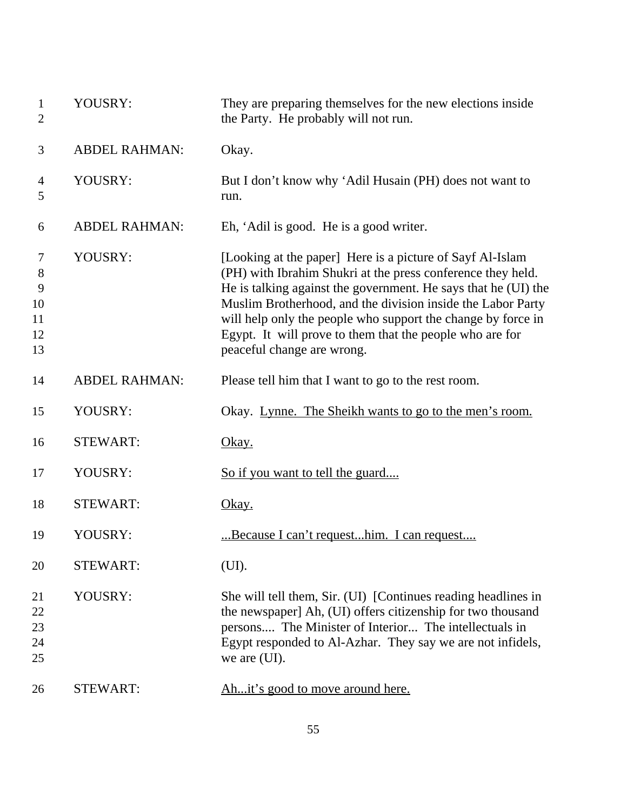| $\mathbf{1}$<br>$\overline{2}$      | YOUSRY:              | They are preparing themselves for the new elections inside<br>the Party. He probably will not run.                                                                                                                                                                                                                                                                                                                  |
|-------------------------------------|----------------------|---------------------------------------------------------------------------------------------------------------------------------------------------------------------------------------------------------------------------------------------------------------------------------------------------------------------------------------------------------------------------------------------------------------------|
| 3                                   | <b>ABDEL RAHMAN:</b> | Okay.                                                                                                                                                                                                                                                                                                                                                                                                               |
| $\overline{4}$<br>5                 | YOUSRY:              | But I don't know why 'Adil Husain (PH) does not want to<br>run.                                                                                                                                                                                                                                                                                                                                                     |
| 6                                   | <b>ABDEL RAHMAN:</b> | Eh, 'Adil is good. He is a good writer.                                                                                                                                                                                                                                                                                                                                                                             |
| 7<br>8<br>9<br>10<br>11<br>12<br>13 | YOUSRY:              | [Looking at the paper] Here is a picture of Sayf Al-Islam<br>(PH) with Ibrahim Shukri at the press conference they held.<br>He is talking against the government. He says that he (UI) the<br>Muslim Brotherhood, and the division inside the Labor Party<br>will help only the people who support the change by force in<br>Egypt. It will prove to them that the people who are for<br>peaceful change are wrong. |
| 14                                  | <b>ABDEL RAHMAN:</b> | Please tell him that I want to go to the rest room.                                                                                                                                                                                                                                                                                                                                                                 |
| 15                                  | YOUSRY:              | Okay. Lynne. The Sheikh wants to go to the men's room.                                                                                                                                                                                                                                                                                                                                                              |
| 16                                  | <b>STEWART:</b>      | <u>Okay.</u>                                                                                                                                                                                                                                                                                                                                                                                                        |
| 17                                  | YOUSRY:              | <u>So if you want to tell the guard</u>                                                                                                                                                                                                                                                                                                                                                                             |
| 18                                  | <b>STEWART:</b>      | <u>Okay.</u>                                                                                                                                                                                                                                                                                                                                                                                                        |
| 19                                  | YOUSRY:              | Because I can't requesthim. I can request                                                                                                                                                                                                                                                                                                                                                                           |
| 20                                  | <b>STEWART:</b>      | (UI).                                                                                                                                                                                                                                                                                                                                                                                                               |
| 21<br>22<br>23<br>24<br>25          | YOUSRY:              | She will tell them, Sir. (UI) [Continues reading headlines in<br>the newspaper] Ah, (UI) offers citizenship for two thousand<br>persons The Minister of Interior The intellectuals in<br>Egypt responded to Al-Azhar. They say we are not infidels,<br>we are (UI).                                                                                                                                                 |
| 26                                  | <b>STEWART:</b>      | Ahit's good to move around here.                                                                                                                                                                                                                                                                                                                                                                                    |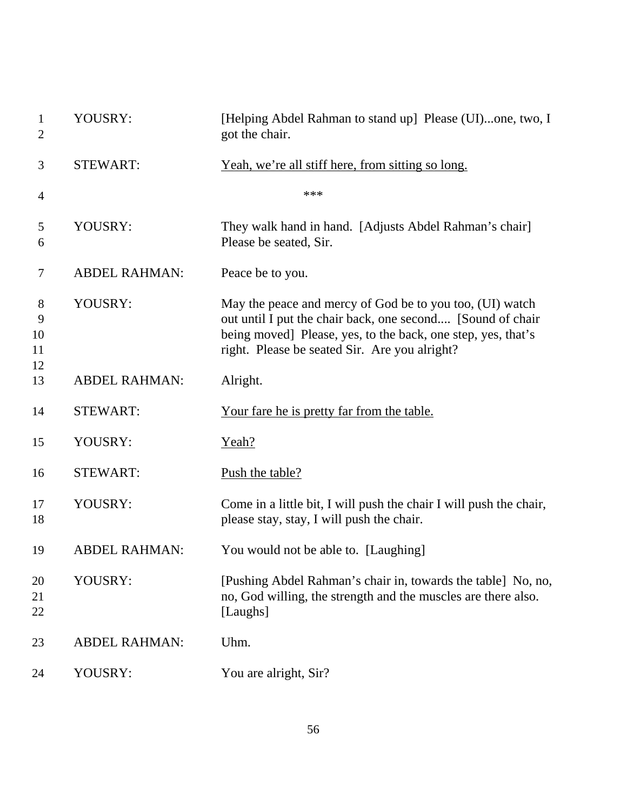| $\mathbf{1}$<br>$\overline{2}$ | YOUSRY:              | [Helping Abdel Rahman to stand up] Please (UI)one, two, I<br>got the chair.                                                                                                                                                             |
|--------------------------------|----------------------|-----------------------------------------------------------------------------------------------------------------------------------------------------------------------------------------------------------------------------------------|
| 3                              | <b>STEWART:</b>      | <u>Yeah, we're all stiff here, from sitting so long.</u>                                                                                                                                                                                |
| $\overline{4}$                 |                      | ***                                                                                                                                                                                                                                     |
| 5<br>6                         | YOUSRY:              | They walk hand in hand. [Adjusts Abdel Rahman's chair]<br>Please be seated, Sir.                                                                                                                                                        |
| 7                              | <b>ABDEL RAHMAN:</b> | Peace be to you.                                                                                                                                                                                                                        |
| 8<br>9<br>10<br>11             | YOUSRY:              | May the peace and mercy of God be to you too, (UI) watch<br>out until I put the chair back, one second [Sound of chair<br>being moved] Please, yes, to the back, one step, yes, that's<br>right. Please be seated Sir. Are you alright? |
| 12<br>13                       | <b>ABDEL RAHMAN:</b> | Alright.                                                                                                                                                                                                                                |
| 14                             | <b>STEWART:</b>      | <u>Your fare he is pretty far from the table.</u>                                                                                                                                                                                       |
| 15                             | YOUSRY:              | Yeah?                                                                                                                                                                                                                                   |
| 16                             | <b>STEWART:</b>      | Push the table?                                                                                                                                                                                                                         |
| 17<br>18                       | YOUSRY:              | Come in a little bit, I will push the chair I will push the chair,<br>please stay, stay, I will push the chair.                                                                                                                         |
| 19                             | <b>ABDEL RAHMAN:</b> | You would not be able to. [Laughing]                                                                                                                                                                                                    |
| 20<br>21<br>22                 | YOUSRY:              | [Pushing Abdel Rahman's chair in, towards the table] No, no,<br>no, God willing, the strength and the muscles are there also.<br>[Laughs]                                                                                               |
| 23                             | <b>ABDEL RAHMAN:</b> | Uhm.                                                                                                                                                                                                                                    |
| 24                             | YOUSRY:              | You are alright, Sir?                                                                                                                                                                                                                   |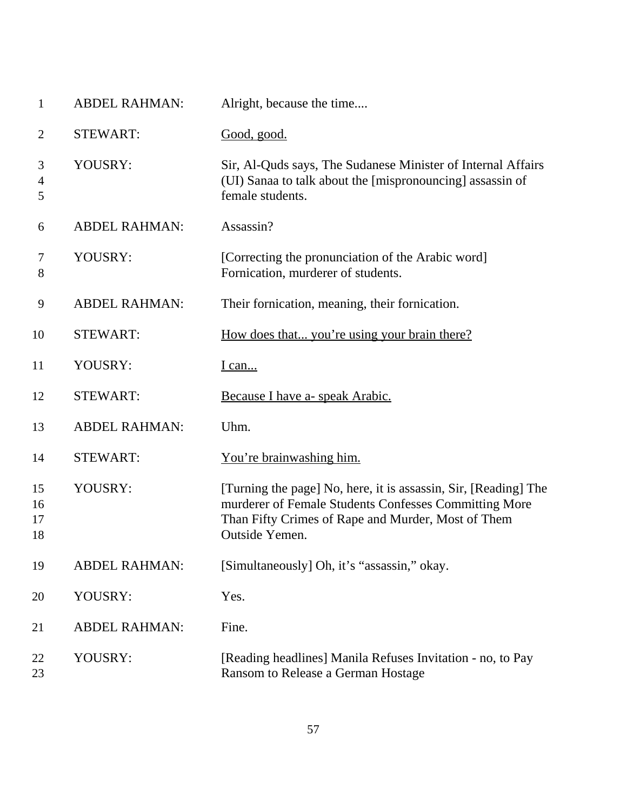| $\mathbf{1}$             | <b>ABDEL RAHMAN:</b> | Alright, because the time                                                                                                                                                                        |
|--------------------------|----------------------|--------------------------------------------------------------------------------------------------------------------------------------------------------------------------------------------------|
| $\overline{2}$           | <b>STEWART:</b>      | Good, good.                                                                                                                                                                                      |
| 3<br>$\overline{4}$<br>5 | YOUSRY:              | Sir, Al-Quds says, The Sudanese Minister of Internal Affairs<br>(UI) Sanaa to talk about the [mispronouncing] assassin of<br>female students.                                                    |
| 6                        | <b>ABDEL RAHMAN:</b> | Assassin?                                                                                                                                                                                        |
| 7<br>8                   | YOUSRY:              | [Correcting the pronunciation of the Arabic word]<br>Fornication, murderer of students.                                                                                                          |
| 9                        | <b>ABDEL RAHMAN:</b> | Their fornication, meaning, their fornication.                                                                                                                                                   |
| 10                       | <b>STEWART:</b>      | How does that you're using your brain there?                                                                                                                                                     |
| 11                       | YOUSRY:              | <u>I can</u>                                                                                                                                                                                     |
| 12                       | <b>STEWART:</b>      | Because I have a- speak Arabic.                                                                                                                                                                  |
| 13                       | <b>ABDEL RAHMAN:</b> | Uhm.                                                                                                                                                                                             |
| 14                       | <b>STEWART:</b>      | You're brainwashing him.                                                                                                                                                                         |
| 15<br>16<br>17<br>18     | YOUSRY:              | [Turning the page] No, here, it is assassin, Sir, [Reading] The<br>murderer of Female Students Confesses Committing More<br>Than Fifty Crimes of Rape and Murder, Most of Them<br>Outside Yemen. |
| 19                       | <b>ABDEL RAHMAN:</b> | [Simultaneously] Oh, it's "assassin," okay.                                                                                                                                                      |
| 20                       | YOUSRY:              | Yes.                                                                                                                                                                                             |
| 21                       | <b>ABDEL RAHMAN:</b> | Fine.                                                                                                                                                                                            |
| 22<br>23                 | YOUSRY:              | [Reading headlines] Manila Refuses Invitation - no, to Pay<br>Ransom to Release a German Hostage                                                                                                 |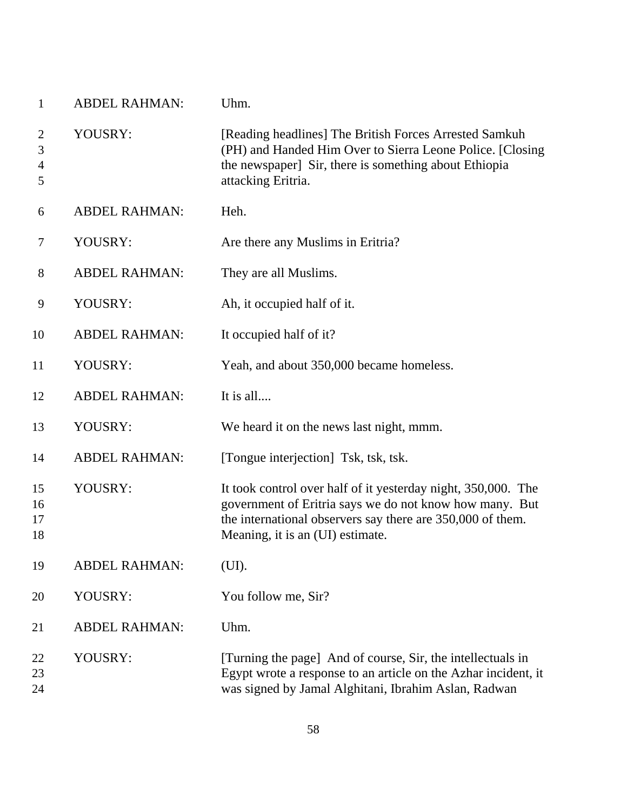| $\mathbf{1}$                               | <b>ABDEL RAHMAN:</b> | Uhm.                                                                                                                                                                                                                       |
|--------------------------------------------|----------------------|----------------------------------------------------------------------------------------------------------------------------------------------------------------------------------------------------------------------------|
| $\overline{2}$<br>3<br>$\overline{4}$<br>5 | YOUSRY:              | [Reading headlines] The British Forces Arrested Samkuh<br>(PH) and Handed Him Over to Sierra Leone Police. [Closing<br>the newspaper] Sir, there is something about Ethiopia<br>attacking Eritria.                         |
| 6                                          | <b>ABDEL RAHMAN:</b> | Heh.                                                                                                                                                                                                                       |
| 7                                          | YOUSRY:              | Are there any Muslims in Eritria?                                                                                                                                                                                          |
| $8\phantom{1}$                             | <b>ABDEL RAHMAN:</b> | They are all Muslims.                                                                                                                                                                                                      |
| 9                                          | YOUSRY:              | Ah, it occupied half of it.                                                                                                                                                                                                |
| 10                                         | <b>ABDEL RAHMAN:</b> | It occupied half of it?                                                                                                                                                                                                    |
| 11                                         | YOUSRY:              | Yeah, and about 350,000 became homeless.                                                                                                                                                                                   |
| 12                                         | <b>ABDEL RAHMAN:</b> | It is all                                                                                                                                                                                                                  |
| 13                                         | YOUSRY:              | We heard it on the news last night, mmm.                                                                                                                                                                                   |
| 14                                         | <b>ABDEL RAHMAN:</b> | [Tongue interjection] Tsk, tsk, tsk.                                                                                                                                                                                       |
| 15<br>16<br>17<br>18                       | YOUSRY:              | It took control over half of it yesterday night, 350,000. The<br>government of Eritria says we do not know how many. But<br>the international observers say there are 350,000 of them.<br>Meaning, it is an (UI) estimate. |
| 19                                         | <b>ABDEL RAHMAN:</b> | (UI).                                                                                                                                                                                                                      |
| 20                                         | YOUSRY:              | You follow me, Sir?                                                                                                                                                                                                        |
| 21                                         | <b>ABDEL RAHMAN:</b> | Uhm.                                                                                                                                                                                                                       |
| 22<br>23<br>24                             | YOUSRY:              | [Turning the page] And of course, Sir, the intellectuals in<br>Egypt wrote a response to an article on the Azhar incident, it<br>was signed by Jamal Alghitani, Ibrahim Aslan, Radwan                                      |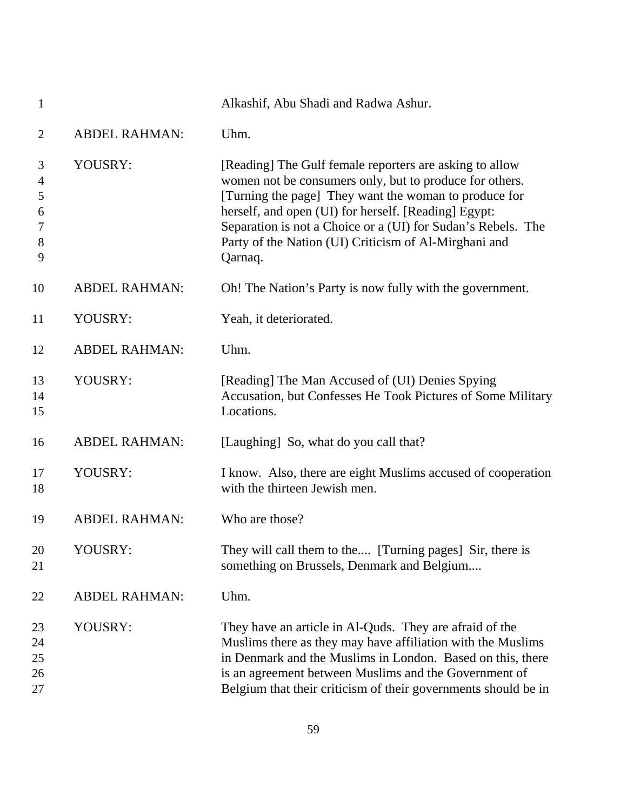| $\mathbf{1}$                                     |                      | Alkashif, Abu Shadi and Radwa Ashur.                                                                                                                                                                                                                                                                                                                                    |
|--------------------------------------------------|----------------------|-------------------------------------------------------------------------------------------------------------------------------------------------------------------------------------------------------------------------------------------------------------------------------------------------------------------------------------------------------------------------|
| $\overline{2}$                                   | <b>ABDEL RAHMAN:</b> | Uhm.                                                                                                                                                                                                                                                                                                                                                                    |
| 3<br>$\overline{4}$<br>5<br>6<br>7<br>$8\,$<br>9 | YOUSRY:              | [Reading] The Gulf female reporters are asking to allow<br>women not be consumers only, but to produce for others.<br>[Turning the page] They want the woman to produce for<br>herself, and open (UI) for herself. [Reading] Egypt:<br>Separation is not a Choice or a (UI) for Sudan's Rebels. The<br>Party of the Nation (UI) Criticism of Al-Mirghani and<br>Qarnaq. |
| 10                                               | <b>ABDEL RAHMAN:</b> | Oh! The Nation's Party is now fully with the government.                                                                                                                                                                                                                                                                                                                |
| 11                                               | YOUSRY:              | Yeah, it deteriorated.                                                                                                                                                                                                                                                                                                                                                  |
| 12                                               | <b>ABDEL RAHMAN:</b> | Uhm.                                                                                                                                                                                                                                                                                                                                                                    |
| 13<br>14<br>15                                   | YOUSRY:              | [Reading] The Man Accused of (UI) Denies Spying<br>Accusation, but Confesses He Took Pictures of Some Military<br>Locations.                                                                                                                                                                                                                                            |
| 16                                               | <b>ABDEL RAHMAN:</b> | [Laughing] So, what do you call that?                                                                                                                                                                                                                                                                                                                                   |
| 17<br>18                                         | YOUSRY:              | I know. Also, there are eight Muslims accused of cooperation<br>with the thirteen Jewish men.                                                                                                                                                                                                                                                                           |
| 19                                               | <b>ABDEL RAHMAN:</b> | Who are those?                                                                                                                                                                                                                                                                                                                                                          |
| 20<br>21                                         | YOUSRY:              | They will call them to the [Turning pages] Sir, there is<br>something on Brussels, Denmark and Belgium                                                                                                                                                                                                                                                                  |
| 22                                               | <b>ABDEL RAHMAN:</b> | Uhm.                                                                                                                                                                                                                                                                                                                                                                    |
| 23<br>24<br>25<br>26<br>27                       | YOUSRY:              | They have an article in Al-Quds. They are afraid of the<br>Muslims there as they may have affiliation with the Muslims<br>in Denmark and the Muslims in London. Based on this, there<br>is an agreement between Muslims and the Government of<br>Belgium that their criticism of their governments should be in                                                         |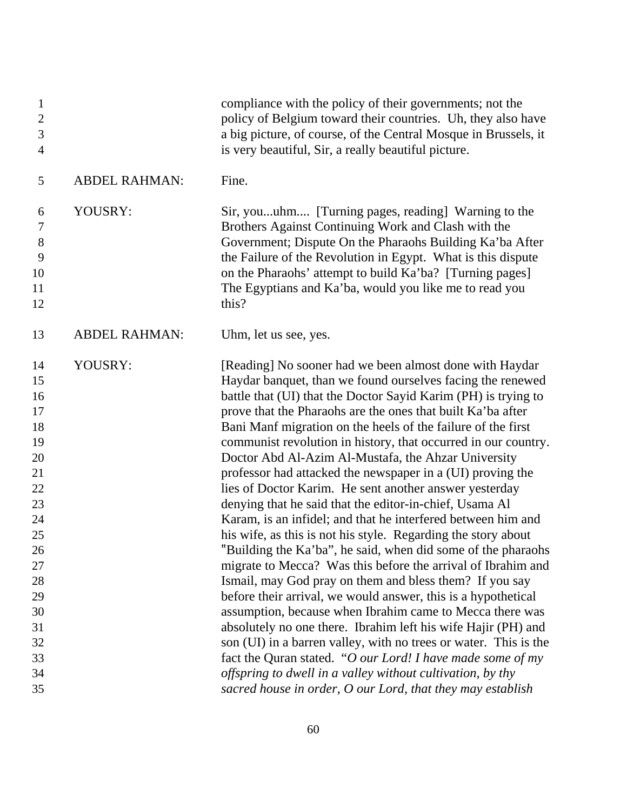| $\mathbf{1}$<br>$\mathbf{2}$<br>3<br>$\overline{4}$                                                                        |                      | compliance with the policy of their governments; not the<br>policy of Belgium toward their countries. Uh, they also have<br>a big picture, of course, of the Central Mosque in Brussels, it<br>is very beautiful, Sir, a really beautiful picture.                                                                                                                                                                                                                                                                                                                                                                                                                                                                                                                                                                                                                                                                                                                                                                                                                                                                                                                                                                                                                                                                                                           |
|----------------------------------------------------------------------------------------------------------------------------|----------------------|--------------------------------------------------------------------------------------------------------------------------------------------------------------------------------------------------------------------------------------------------------------------------------------------------------------------------------------------------------------------------------------------------------------------------------------------------------------------------------------------------------------------------------------------------------------------------------------------------------------------------------------------------------------------------------------------------------------------------------------------------------------------------------------------------------------------------------------------------------------------------------------------------------------------------------------------------------------------------------------------------------------------------------------------------------------------------------------------------------------------------------------------------------------------------------------------------------------------------------------------------------------------------------------------------------------------------------------------------------------|
| 5                                                                                                                          | <b>ABDEL RAHMAN:</b> | Fine.                                                                                                                                                                                                                                                                                                                                                                                                                                                                                                                                                                                                                                                                                                                                                                                                                                                                                                                                                                                                                                                                                                                                                                                                                                                                                                                                                        |
| 6<br>7<br>$8\,$<br>9<br>10<br>11<br>12                                                                                     | YOUSRY:              | Sir, youuhm [Turning pages, reading] Warning to the<br>Brothers Against Continuing Work and Clash with the<br>Government; Dispute On the Pharaohs Building Ka'ba After<br>the Failure of the Revolution in Egypt. What is this dispute<br>on the Pharaohs' attempt to build Ka'ba? [Turning pages]<br>The Egyptians and Ka'ba, would you like me to read you<br>this?                                                                                                                                                                                                                                                                                                                                                                                                                                                                                                                                                                                                                                                                                                                                                                                                                                                                                                                                                                                        |
| 13                                                                                                                         | <b>ABDEL RAHMAN:</b> | Uhm, let us see, yes.                                                                                                                                                                                                                                                                                                                                                                                                                                                                                                                                                                                                                                                                                                                                                                                                                                                                                                                                                                                                                                                                                                                                                                                                                                                                                                                                        |
| 14<br>15<br>16<br>17<br>18<br>19<br>20<br>21<br>22<br>23<br>24<br>25<br>26<br>27<br>28<br>29<br>30<br>31<br>32<br>33<br>34 | YOUSRY:              | [Reading] No sooner had we been almost done with Haydar<br>Haydar banquet, than we found ourselves facing the renewed<br>battle that (UI) that the Doctor Sayid Karim (PH) is trying to<br>prove that the Pharaohs are the ones that built Ka'ba after<br>Bani Manf migration on the heels of the failure of the first<br>communist revolution in history, that occurred in our country.<br>Doctor Abd Al-Azim Al-Mustafa, the Ahzar University<br>professor had attacked the newspaper in a (UI) proving the<br>lies of Doctor Karim. He sent another answer yesterday<br>denying that he said that the editor-in-chief, Usama Al<br>Karam, is an infidel; and that he interfered between him and<br>his wife, as this is not his style. Regarding the story about<br>"Building the Ka'ba", he said, when did some of the pharaohs<br>migrate to Mecca? Was this before the arrival of Ibrahim and<br>Ismail, may God pray on them and bless them? If you say<br>before their arrival, we would answer, this is a hypothetical<br>assumption, because when Ibrahim came to Mecca there was<br>absolutely no one there. Ibrahim left his wife Hajir (PH) and<br>son (UI) in a barren valley, with no trees or water. This is the<br>fact the Quran stated. "O our Lord! I have made some of my<br>offspring to dwell in a valley without cultivation, by thy |
| 35                                                                                                                         |                      | sacred house in order, O our Lord, that they may establish                                                                                                                                                                                                                                                                                                                                                                                                                                                                                                                                                                                                                                                                                                                                                                                                                                                                                                                                                                                                                                                                                                                                                                                                                                                                                                   |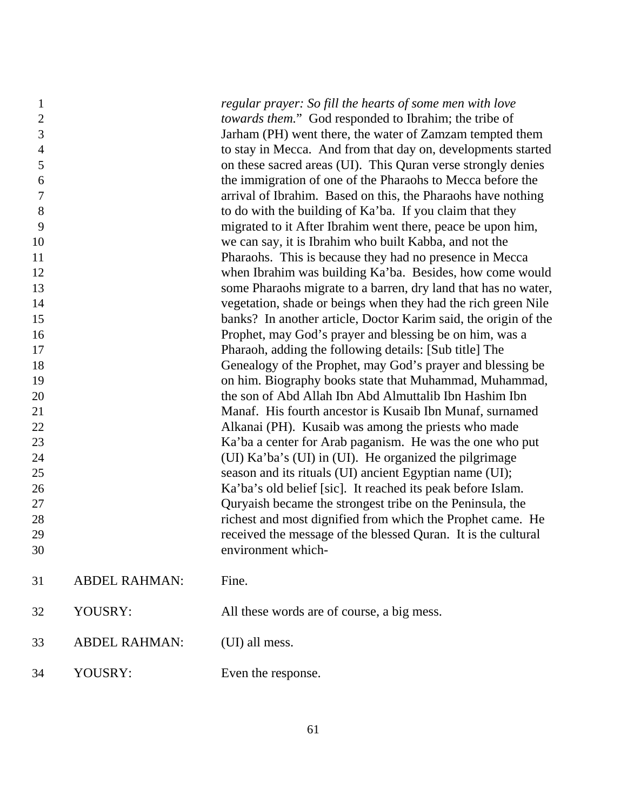| regular prayer: So fill the hearts of some men with love<br>towards them." God responded to Ibrahim; the tribe of<br>Jarham (PH) went there, the water of Zamzam tempted them<br>to stay in Mecca. And from that day on, developments started<br>on these sacred areas (UI). This Quran verse strongly denies<br>the immigration of one of the Pharaohs to Mecca before the<br>arrival of Ibrahim. Based on this, the Pharaohs have nothing<br>to do with the building of Ka'ba. If you claim that they<br>migrated to it After Ibrahim went there, peace be upon him,<br>we can say, it is Ibrahim who built Kabba, and not the<br>Pharaohs. This is because they had no presence in Mecca<br>when Ibrahim was building Ka'ba. Besides, how come would |
|---------------------------------------------------------------------------------------------------------------------------------------------------------------------------------------------------------------------------------------------------------------------------------------------------------------------------------------------------------------------------------------------------------------------------------------------------------------------------------------------------------------------------------------------------------------------------------------------------------------------------------------------------------------------------------------------------------------------------------------------------------|
|                                                                                                                                                                                                                                                                                                                                                                                                                                                                                                                                                                                                                                                                                                                                                         |
|                                                                                                                                                                                                                                                                                                                                                                                                                                                                                                                                                                                                                                                                                                                                                         |
|                                                                                                                                                                                                                                                                                                                                                                                                                                                                                                                                                                                                                                                                                                                                                         |
|                                                                                                                                                                                                                                                                                                                                                                                                                                                                                                                                                                                                                                                                                                                                                         |
|                                                                                                                                                                                                                                                                                                                                                                                                                                                                                                                                                                                                                                                                                                                                                         |
|                                                                                                                                                                                                                                                                                                                                                                                                                                                                                                                                                                                                                                                                                                                                                         |
|                                                                                                                                                                                                                                                                                                                                                                                                                                                                                                                                                                                                                                                                                                                                                         |
|                                                                                                                                                                                                                                                                                                                                                                                                                                                                                                                                                                                                                                                                                                                                                         |
|                                                                                                                                                                                                                                                                                                                                                                                                                                                                                                                                                                                                                                                                                                                                                         |
|                                                                                                                                                                                                                                                                                                                                                                                                                                                                                                                                                                                                                                                                                                                                                         |
|                                                                                                                                                                                                                                                                                                                                                                                                                                                                                                                                                                                                                                                                                                                                                         |
| some Pharaohs migrate to a barren, dry land that has no water,                                                                                                                                                                                                                                                                                                                                                                                                                                                                                                                                                                                                                                                                                          |
|                                                                                                                                                                                                                                                                                                                                                                                                                                                                                                                                                                                                                                                                                                                                                         |
| vegetation, shade or beings when they had the rich green Nile                                                                                                                                                                                                                                                                                                                                                                                                                                                                                                                                                                                                                                                                                           |
| banks? In another article, Doctor Karim said, the origin of the                                                                                                                                                                                                                                                                                                                                                                                                                                                                                                                                                                                                                                                                                         |
| Prophet, may God's prayer and blessing be on him, was a                                                                                                                                                                                                                                                                                                                                                                                                                                                                                                                                                                                                                                                                                                 |
| Pharaoh, adding the following details: [Sub title] The                                                                                                                                                                                                                                                                                                                                                                                                                                                                                                                                                                                                                                                                                                  |
| Genealogy of the Prophet, may God's prayer and blessing be                                                                                                                                                                                                                                                                                                                                                                                                                                                                                                                                                                                                                                                                                              |
| on him. Biography books state that Muhammad, Muhammad,                                                                                                                                                                                                                                                                                                                                                                                                                                                                                                                                                                                                                                                                                                  |
| the son of Abd Allah Ibn Abd Almuttalib Ibn Hashim Ibn                                                                                                                                                                                                                                                                                                                                                                                                                                                                                                                                                                                                                                                                                                  |
| Manaf. His fourth ancestor is Kusaib Ibn Munaf, surnamed                                                                                                                                                                                                                                                                                                                                                                                                                                                                                                                                                                                                                                                                                                |
| Alkanai (PH). Kusaib was among the priests who made                                                                                                                                                                                                                                                                                                                                                                                                                                                                                                                                                                                                                                                                                                     |
| Ka'ba a center for Arab paganism. He was the one who put                                                                                                                                                                                                                                                                                                                                                                                                                                                                                                                                                                                                                                                                                                |
| (UI) Ka'ba's (UI) in (UI). He organized the pilgrimage                                                                                                                                                                                                                                                                                                                                                                                                                                                                                                                                                                                                                                                                                                  |
| season and its rituals (UI) ancient Egyptian name (UI);                                                                                                                                                                                                                                                                                                                                                                                                                                                                                                                                                                                                                                                                                                 |
| Ka'ba's old belief [sic]. It reached its peak before Islam.                                                                                                                                                                                                                                                                                                                                                                                                                                                                                                                                                                                                                                                                                             |
| Quryaish became the strongest tribe on the Peninsula, the                                                                                                                                                                                                                                                                                                                                                                                                                                                                                                                                                                                                                                                                                               |
| richest and most dignified from which the Prophet came. He                                                                                                                                                                                                                                                                                                                                                                                                                                                                                                                                                                                                                                                                                              |
| received the message of the blessed Quran. It is the cultural                                                                                                                                                                                                                                                                                                                                                                                                                                                                                                                                                                                                                                                                                           |
|                                                                                                                                                                                                                                                                                                                                                                                                                                                                                                                                                                                                                                                                                                                                                         |
|                                                                                                                                                                                                                                                                                                                                                                                                                                                                                                                                                                                                                                                                                                                                                         |
|                                                                                                                                                                                                                                                                                                                                                                                                                                                                                                                                                                                                                                                                                                                                                         |
|                                                                                                                                                                                                                                                                                                                                                                                                                                                                                                                                                                                                                                                                                                                                                         |
|                                                                                                                                                                                                                                                                                                                                                                                                                                                                                                                                                                                                                                                                                                                                                         |
|                                                                                                                                                                                                                                                                                                                                                                                                                                                                                                                                                                                                                                                                                                                                                         |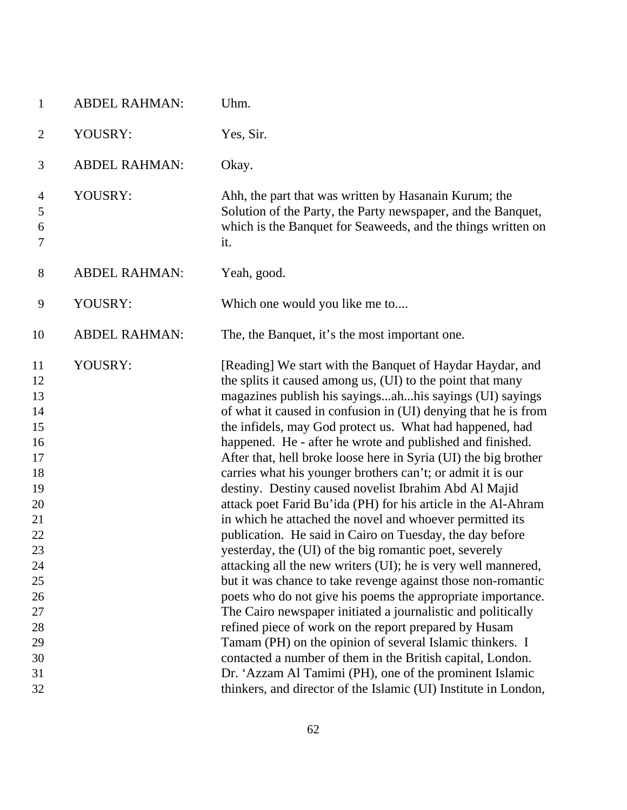| $\mathbf{1}$                                                                                                                     | <b>ABDEL RAHMAN:</b> | Uhm.                                                                                                                                                                                                                                                                                                                                                                                                                                                                                                                                                                                                                                                                                                                                                                                                                                                                                                                                                                                                                                                                                                                                                                                                                                                                                                                                                                                                         |
|----------------------------------------------------------------------------------------------------------------------------------|----------------------|--------------------------------------------------------------------------------------------------------------------------------------------------------------------------------------------------------------------------------------------------------------------------------------------------------------------------------------------------------------------------------------------------------------------------------------------------------------------------------------------------------------------------------------------------------------------------------------------------------------------------------------------------------------------------------------------------------------------------------------------------------------------------------------------------------------------------------------------------------------------------------------------------------------------------------------------------------------------------------------------------------------------------------------------------------------------------------------------------------------------------------------------------------------------------------------------------------------------------------------------------------------------------------------------------------------------------------------------------------------------------------------------------------------|
| $\overline{2}$                                                                                                                   | YOUSRY:              | Yes, Sir.                                                                                                                                                                                                                                                                                                                                                                                                                                                                                                                                                                                                                                                                                                                                                                                                                                                                                                                                                                                                                                                                                                                                                                                                                                                                                                                                                                                                    |
| 3                                                                                                                                | <b>ABDEL RAHMAN:</b> | Okay.                                                                                                                                                                                                                                                                                                                                                                                                                                                                                                                                                                                                                                                                                                                                                                                                                                                                                                                                                                                                                                                                                                                                                                                                                                                                                                                                                                                                        |
| 4<br>5<br>6<br>7                                                                                                                 | YOUSRY:              | Ahh, the part that was written by Hasanain Kurum; the<br>Solution of the Party, the Party newspaper, and the Banquet,<br>which is the Banquet for Seaweeds, and the things written on<br>it.                                                                                                                                                                                                                                                                                                                                                                                                                                                                                                                                                                                                                                                                                                                                                                                                                                                                                                                                                                                                                                                                                                                                                                                                                 |
| $8\,$                                                                                                                            | <b>ABDEL RAHMAN:</b> | Yeah, good.                                                                                                                                                                                                                                                                                                                                                                                                                                                                                                                                                                                                                                                                                                                                                                                                                                                                                                                                                                                                                                                                                                                                                                                                                                                                                                                                                                                                  |
| 9                                                                                                                                | YOUSRY:              | Which one would you like me to                                                                                                                                                                                                                                                                                                                                                                                                                                                                                                                                                                                                                                                                                                                                                                                                                                                                                                                                                                                                                                                                                                                                                                                                                                                                                                                                                                               |
| 10                                                                                                                               | <b>ABDEL RAHMAN:</b> | The, the Banquet, it's the most important one.                                                                                                                                                                                                                                                                                                                                                                                                                                                                                                                                                                                                                                                                                                                                                                                                                                                                                                                                                                                                                                                                                                                                                                                                                                                                                                                                                               |
| 11<br>12<br>13<br>14<br>15<br>16<br>17<br>18<br>19<br>20<br>21<br>22<br>23<br>24<br>25<br>26<br>27<br>28<br>29<br>30<br>31<br>32 | YOUSRY:              | [Reading] We start with the Banquet of Haydar Haydar, and<br>the splits it caused among us, (UI) to the point that many<br>magazines publish his sayingsahhis sayings (UI) sayings<br>of what it caused in confusion in (UI) denying that he is from<br>the infidels, may God protect us. What had happened, had<br>happened. He - after he wrote and published and finished.<br>After that, hell broke loose here in Syria (UI) the big brother<br>carries what his younger brothers can't; or admit it is our<br>destiny. Destiny caused novelist Ibrahim Abd Al Majid<br>attack poet Farid Bu'ida (PH) for his article in the Al-Ahram<br>in which he attached the novel and whoever permitted its<br>publication. He said in Cairo on Tuesday, the day before<br>yesterday, the (UI) of the big romantic poet, severely<br>attacking all the new writers (UI); he is very well mannered,<br>but it was chance to take revenge against those non-romantic<br>poets who do not give his poems the appropriate importance.<br>The Cairo newspaper initiated a journalistic and politically<br>refined piece of work on the report prepared by Husam<br>Tamam (PH) on the opinion of several Islamic thinkers. I<br>contacted a number of them in the British capital, London.<br>Dr. 'Azzam Al Tamimi (PH), one of the prominent Islamic<br>thinkers, and director of the Islamic (UI) Institute in London, |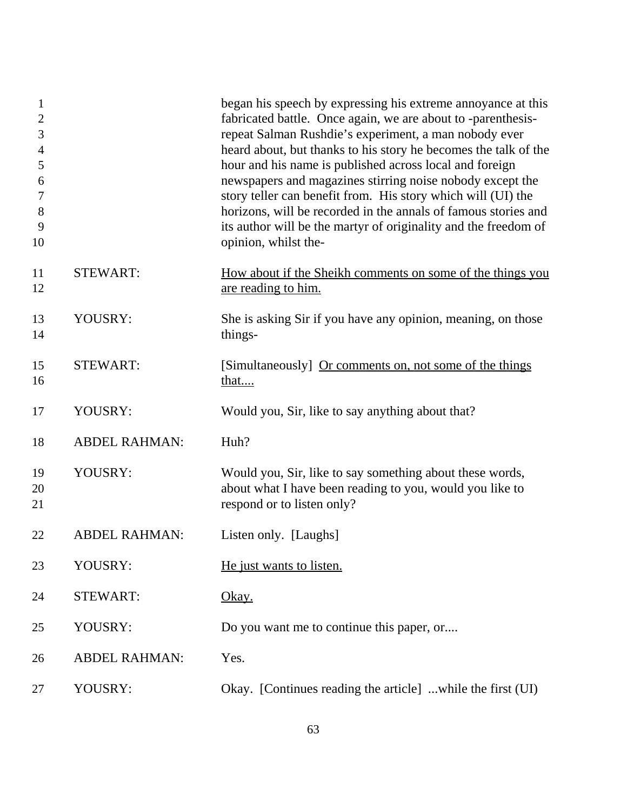| $\mathbf{1}$<br>$\overline{2}$<br>3<br>$\overline{4}$<br>5<br>6<br>$\boldsymbol{7}$<br>8<br>9<br>10 |                      | began his speech by expressing his extreme annoyance at this<br>fabricated battle. Once again, we are about to -parenthesis-<br>repeat Salman Rushdie's experiment, a man nobody ever<br>heard about, but thanks to his story he becomes the talk of the<br>hour and his name is published across local and foreign<br>newspapers and magazines stirring noise nobody except the<br>story teller can benefit from. His story which will (UI) the<br>horizons, will be recorded in the annals of famous stories and<br>its author will be the martyr of originality and the freedom of<br>opinion, whilst the- |
|-----------------------------------------------------------------------------------------------------|----------------------|---------------------------------------------------------------------------------------------------------------------------------------------------------------------------------------------------------------------------------------------------------------------------------------------------------------------------------------------------------------------------------------------------------------------------------------------------------------------------------------------------------------------------------------------------------------------------------------------------------------|
| 11<br>12                                                                                            | <b>STEWART:</b>      | How about if the Sheikh comments on some of the things you<br>are reading to him.                                                                                                                                                                                                                                                                                                                                                                                                                                                                                                                             |
| 13<br>14                                                                                            | YOUSRY:              | She is asking Sir if you have any opinion, meaning, on those<br>things-                                                                                                                                                                                                                                                                                                                                                                                                                                                                                                                                       |
| 15<br>16                                                                                            | <b>STEWART:</b>      | [Simultaneously] Or comments on, not some of the things<br><u>that</u>                                                                                                                                                                                                                                                                                                                                                                                                                                                                                                                                        |
| 17                                                                                                  | YOUSRY:              | Would you, Sir, like to say anything about that?                                                                                                                                                                                                                                                                                                                                                                                                                                                                                                                                                              |
| 18                                                                                                  | <b>ABDEL RAHMAN:</b> | Huh?                                                                                                                                                                                                                                                                                                                                                                                                                                                                                                                                                                                                          |
| 19<br>20<br>21                                                                                      | YOUSRY:              | Would you, Sir, like to say something about these words,<br>about what I have been reading to you, would you like to<br>respond or to listen only?                                                                                                                                                                                                                                                                                                                                                                                                                                                            |
| 22                                                                                                  | <b>ABDEL RAHMAN:</b> | Listen only. [Laughs]                                                                                                                                                                                                                                                                                                                                                                                                                                                                                                                                                                                         |
| 23                                                                                                  | YOUSRY:              | He just wants to listen.                                                                                                                                                                                                                                                                                                                                                                                                                                                                                                                                                                                      |
| 24                                                                                                  | <b>STEWART:</b>      | Okay.                                                                                                                                                                                                                                                                                                                                                                                                                                                                                                                                                                                                         |
| 25                                                                                                  | YOUSRY:              | Do you want me to continue this paper, or                                                                                                                                                                                                                                                                                                                                                                                                                                                                                                                                                                     |
| 26                                                                                                  | <b>ABDEL RAHMAN:</b> | Yes.                                                                                                                                                                                                                                                                                                                                                                                                                                                                                                                                                                                                          |
| 27                                                                                                  | YOUSRY:              | Okay. [Continues reading the article] while the first (UI)                                                                                                                                                                                                                                                                                                                                                                                                                                                                                                                                                    |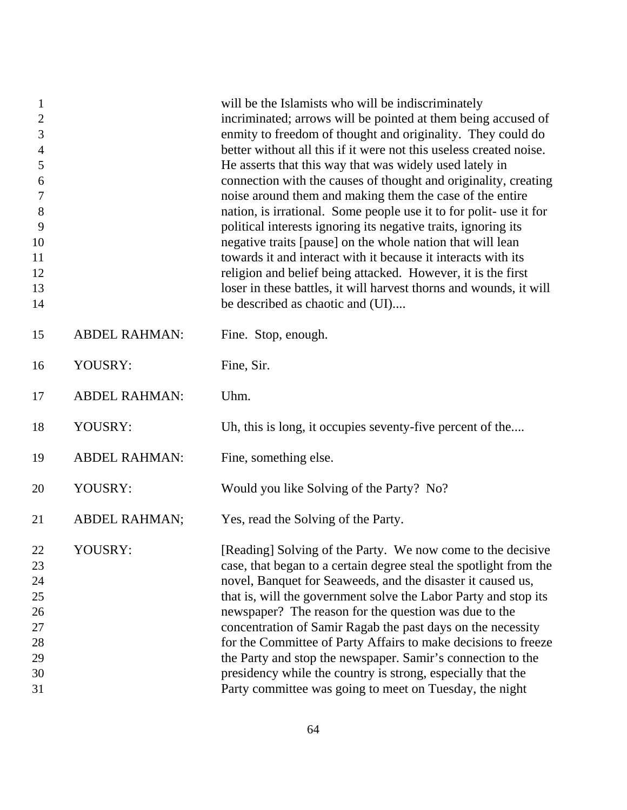| $\mathbf{1}$<br>$\sqrt{2}$<br>3<br>$\overline{4}$<br>5<br>6<br>$\boldsymbol{7}$<br>$8\,$<br>9<br>10<br>11<br>12<br>13<br>14 |                      | will be the Islamists who will be indiscriminately<br>incriminated; arrows will be pointed at them being accused of<br>enmity to freedom of thought and originality. They could do<br>better without all this if it were not this useless created noise.<br>He asserts that this way that was widely used lately in<br>connection with the causes of thought and originality, creating<br>noise around them and making them the case of the entire<br>nation, is irrational. Some people use it to for polit-use it for<br>political interests ignoring its negative traits, ignoring its<br>negative traits [pause] on the whole nation that will lean<br>towards it and interact with it because it interacts with its<br>religion and belief being attacked. However, it is the first<br>loser in these battles, it will harvest thorns and wounds, it will<br>be described as chaotic and (UI) |
|-----------------------------------------------------------------------------------------------------------------------------|----------------------|----------------------------------------------------------------------------------------------------------------------------------------------------------------------------------------------------------------------------------------------------------------------------------------------------------------------------------------------------------------------------------------------------------------------------------------------------------------------------------------------------------------------------------------------------------------------------------------------------------------------------------------------------------------------------------------------------------------------------------------------------------------------------------------------------------------------------------------------------------------------------------------------------|
| 15                                                                                                                          | <b>ABDEL RAHMAN:</b> | Fine. Stop, enough.                                                                                                                                                                                                                                                                                                                                                                                                                                                                                                                                                                                                                                                                                                                                                                                                                                                                                |
| 16                                                                                                                          | YOUSRY:              | Fine, Sir.                                                                                                                                                                                                                                                                                                                                                                                                                                                                                                                                                                                                                                                                                                                                                                                                                                                                                         |
| 17                                                                                                                          | <b>ABDEL RAHMAN:</b> | Uhm.                                                                                                                                                                                                                                                                                                                                                                                                                                                                                                                                                                                                                                                                                                                                                                                                                                                                                               |
| 18                                                                                                                          | YOUSRY:              | Uh, this is long, it occupies seventy-five percent of the                                                                                                                                                                                                                                                                                                                                                                                                                                                                                                                                                                                                                                                                                                                                                                                                                                          |
| 19                                                                                                                          | <b>ABDEL RAHMAN:</b> | Fine, something else.                                                                                                                                                                                                                                                                                                                                                                                                                                                                                                                                                                                                                                                                                                                                                                                                                                                                              |
| 20                                                                                                                          | YOUSRY:              | Would you like Solving of the Party? No?                                                                                                                                                                                                                                                                                                                                                                                                                                                                                                                                                                                                                                                                                                                                                                                                                                                           |
| 21                                                                                                                          | <b>ABDEL RAHMAN;</b> | Yes, read the Solving of the Party.                                                                                                                                                                                                                                                                                                                                                                                                                                                                                                                                                                                                                                                                                                                                                                                                                                                                |
| 22<br>23<br>24<br>25<br>26<br>27<br>28<br>29<br>30<br>31                                                                    | YOUSRY:              | [Reading] Solving of the Party. We now come to the decisive<br>case, that began to a certain degree steal the spotlight from the<br>novel, Banquet for Seaweeds, and the disaster it caused us,<br>that is, will the government solve the Labor Party and stop its<br>newspaper? The reason for the question was due to the<br>concentration of Samir Ragab the past days on the necessity<br>for the Committee of Party Affairs to make decisions to freeze<br>the Party and stop the newspaper. Samir's connection to the<br>presidency while the country is strong, especially that the<br>Party committee was going to meet on Tuesday, the night                                                                                                                                                                                                                                              |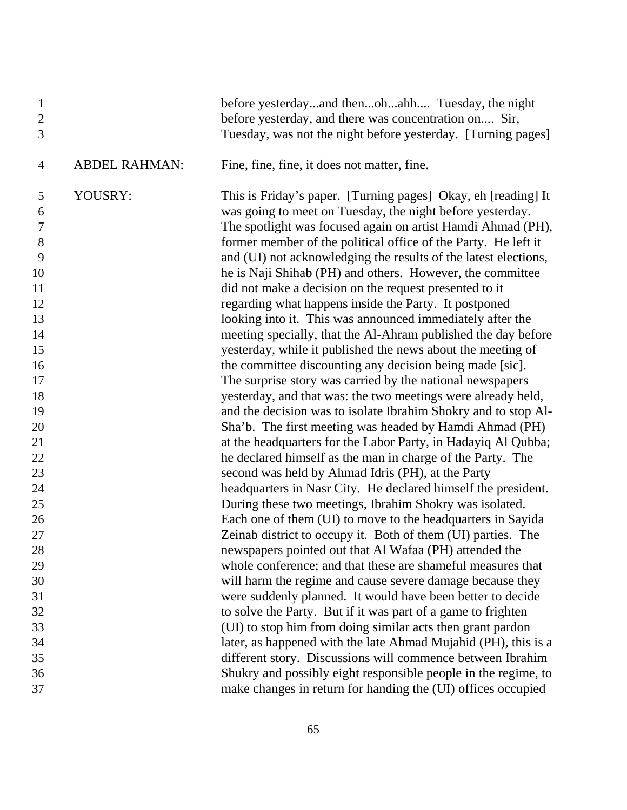| $\mathbf{1}$<br>$\sqrt{2}$<br>3 |                      | before yesterdayand thenohahh Tuesday, the night<br>before yesterday, and there was concentration on Sir,<br>Tuesday, was not the night before yesterday. [Turning pages] |
|---------------------------------|----------------------|---------------------------------------------------------------------------------------------------------------------------------------------------------------------------|
| 4                               | <b>ABDEL RAHMAN:</b> | Fine, fine, fine, it does not matter, fine.                                                                                                                               |
| 5                               | YOUSRY:              | This is Friday's paper. [Turning pages] Okay, eh [reading] It                                                                                                             |
| 6                               |                      | was going to meet on Tuesday, the night before yesterday.                                                                                                                 |
| 7                               |                      | The spotlight was focused again on artist Hamdi Ahmad (PH),                                                                                                               |
| $8\,$                           |                      | former member of the political office of the Party. He left it                                                                                                            |
| 9                               |                      | and (UI) not acknowledging the results of the latest elections,                                                                                                           |
| 10                              |                      | he is Naji Shihab (PH) and others. However, the committee                                                                                                                 |
| 11                              |                      | did not make a decision on the request presented to it                                                                                                                    |
| 12                              |                      | regarding what happens inside the Party. It postponed                                                                                                                     |
| 13                              |                      | looking into it. This was announced immediately after the                                                                                                                 |
| 14                              |                      | meeting specially, that the Al-Ahram published the day before                                                                                                             |
| 15                              |                      | yesterday, while it published the news about the meeting of                                                                                                               |
| 16                              |                      | the committee discounting any decision being made [sic].                                                                                                                  |
| 17                              |                      | The surprise story was carried by the national newspapers                                                                                                                 |
| 18                              |                      | yesterday, and that was: the two meetings were already held,                                                                                                              |
| 19                              |                      | and the decision was to isolate Ibrahim Shokry and to stop Al-                                                                                                            |
| 20                              |                      | Sha'b. The first meeting was headed by Hamdi Ahmad (PH)                                                                                                                   |
| 21                              |                      | at the headquarters for the Labor Party, in Hadayiq Al Qubba;                                                                                                             |
| 22                              |                      | he declared himself as the man in charge of the Party. The                                                                                                                |
| 23                              |                      | second was held by Ahmad Idris (PH), at the Party                                                                                                                         |
| 24                              |                      | headquarters in Nasr City. He declared himself the president.                                                                                                             |
| 25                              |                      | During these two meetings, Ibrahim Shokry was isolated.                                                                                                                   |
| 26<br>27                        |                      | Each one of them (UI) to move to the headquarters in Sayida                                                                                                               |
| 28                              |                      | Zeinab district to occupy it. Both of them (UI) parties. The<br>newspapers pointed out that Al Wafaa (PH) attended the                                                    |
| 29                              |                      | whole conference; and that these are shameful measures that                                                                                                               |
| 30                              |                      | will harm the regime and cause severe damage because they                                                                                                                 |
| 31                              |                      | were suddenly planned. It would have been better to decide                                                                                                                |
| 32                              |                      | to solve the Party. But if it was part of a game to frighten                                                                                                              |
| 33                              |                      | (UI) to stop him from doing similar acts then grant pardon                                                                                                                |
| 34                              |                      | later, as happened with the late Ahmad Mujahid (PH), this is a                                                                                                            |
| 35                              |                      | different story. Discussions will commence between Ibrahim                                                                                                                |
| 36                              |                      | Shukry and possibly eight responsible people in the regime, to                                                                                                            |
| 37                              |                      | make changes in return for handing the (UI) offices occupied                                                                                                              |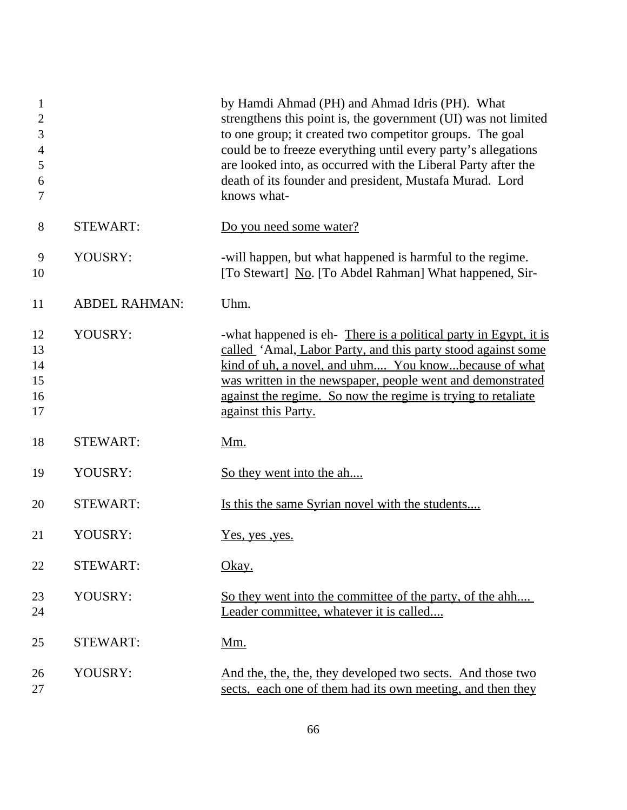| 1<br>$\overline{2}$<br>3<br>$\overline{4}$<br>5<br>6<br>7 |                      | by Hamdi Ahmad (PH) and Ahmad Idris (PH). What<br>strengthens this point is, the government (UI) was not limited<br>to one group; it created two competitor groups. The goal<br>could be to freeze everything until every party's allegations<br>are looked into, as occurred with the Liberal Party after the<br>death of its founder and president, Mustafa Murad. Lord<br>knows what- |
|-----------------------------------------------------------|----------------------|------------------------------------------------------------------------------------------------------------------------------------------------------------------------------------------------------------------------------------------------------------------------------------------------------------------------------------------------------------------------------------------|
| 8                                                         | <b>STEWART:</b>      | Do you need some water?                                                                                                                                                                                                                                                                                                                                                                  |
| 9<br>10                                                   | YOUSRY:              | -will happen, but what happened is harmful to the regime.<br>[To Stewart] No. [To Abdel Rahman] What happened, Sir-                                                                                                                                                                                                                                                                      |
| 11                                                        | <b>ABDEL RAHMAN:</b> | Uhm.                                                                                                                                                                                                                                                                                                                                                                                     |
| 12<br>13<br>14<br>15<br>16<br>17                          | YOUSRY:              | -what happened is eh- There is a political party in Egypt, it is<br>called 'Amal, Labor Party, and this party stood against some<br>kind of uh, a novel, and uhm You knowbecause of what<br>was written in the newspaper, people went and demonstrated<br>against the regime. So now the regime is trying to retaliate<br>against this Party.                                            |
| 18                                                        | <b>STEWART:</b>      | <u>Mm.</u>                                                                                                                                                                                                                                                                                                                                                                               |
| 19                                                        | YOUSRY:              | So they went into the ah                                                                                                                                                                                                                                                                                                                                                                 |
| 20                                                        | <b>STEWART:</b>      | Is this the same Syrian novel with the students                                                                                                                                                                                                                                                                                                                                          |
| 21                                                        | YOUSRY:              | <u>Yes, yes</u> , yes.                                                                                                                                                                                                                                                                                                                                                                   |
| 22                                                        | <b>STEWART:</b>      | Okay.                                                                                                                                                                                                                                                                                                                                                                                    |
| 23<br>24                                                  | YOUSRY:              | So they went into the committee of the party, of the ahh<br>Leader committee, whatever it is called                                                                                                                                                                                                                                                                                      |
| 25                                                        | <b>STEWART:</b>      | <u>Mm.</u>                                                                                                                                                                                                                                                                                                                                                                               |
| 26<br>27                                                  | YOUSRY:              | And the, the, the, they developed two sects. And those two<br>sects, each one of them had its own meeting, and then they                                                                                                                                                                                                                                                                 |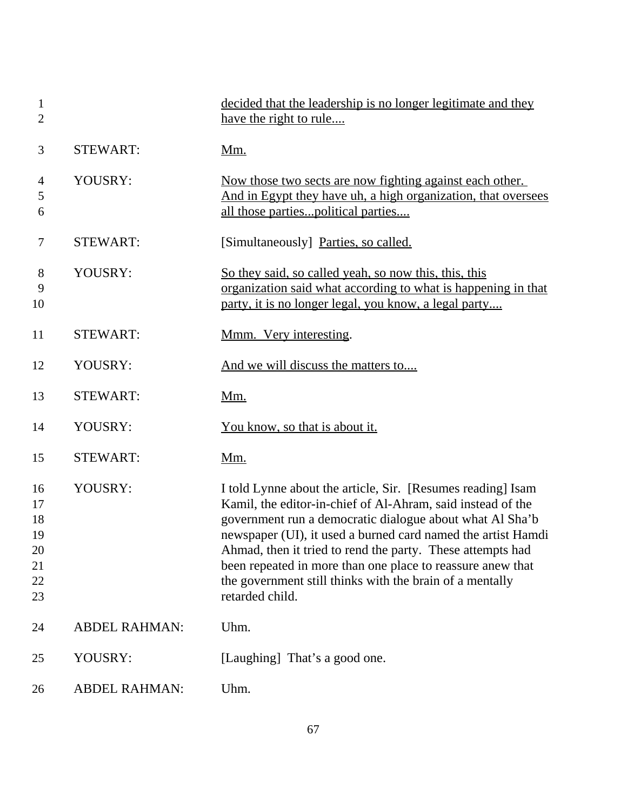| $\mathbf{1}$<br>$\overline{2}$               |                      | decided that the leadership is no longer legitimate and they<br><u>have the right to rule</u>                                                                                                                                                                                                                                                                                                                                                                     |
|----------------------------------------------|----------------------|-------------------------------------------------------------------------------------------------------------------------------------------------------------------------------------------------------------------------------------------------------------------------------------------------------------------------------------------------------------------------------------------------------------------------------------------------------------------|
| 3                                            | <b>STEWART:</b>      | <u>Mm.</u>                                                                                                                                                                                                                                                                                                                                                                                                                                                        |
| $\overline{4}$<br>5<br>6                     | YOUSRY:              | Now those two sects are now fighting against each other.<br>And in Egypt they have uh, a high organization, that oversees<br>all those partiespolitical parties                                                                                                                                                                                                                                                                                                   |
| $\tau$                                       | <b>STEWART:</b>      | [Simultaneously] Parties, so called.                                                                                                                                                                                                                                                                                                                                                                                                                              |
| 8<br>9<br>10                                 | YOUSRY:              | So they said, so called yeah, so now this, this, this<br>organization said what according to what is happening in that<br>party, it is no longer legal, you know, a legal party                                                                                                                                                                                                                                                                                   |
| 11                                           | <b>STEWART:</b>      | Mmm. Very interesting.                                                                                                                                                                                                                                                                                                                                                                                                                                            |
| 12                                           | YOUSRY:              | And we will discuss the matters to                                                                                                                                                                                                                                                                                                                                                                                                                                |
| 13                                           | <b>STEWART:</b>      | <u>Mm.</u>                                                                                                                                                                                                                                                                                                                                                                                                                                                        |
| 14                                           | YOUSRY:              | You know, so that is about it.                                                                                                                                                                                                                                                                                                                                                                                                                                    |
| 15                                           | <b>STEWART:</b>      | <u>Mm.</u>                                                                                                                                                                                                                                                                                                                                                                                                                                                        |
| 16<br>17<br>18<br>19<br>20<br>21<br>22<br>23 | YOUSRY:              | I told Lynne about the article, Sir. [Resumes reading] Isam<br>Kamil, the editor-in-chief of Al-Ahram, said instead of the<br>government run a democratic dialogue about what Al Sha'b<br>newspaper (UI), it used a burned card named the artist Hamdi<br>Ahmad, then it tried to rend the party. These attempts had<br>been repeated in more than one place to reassure anew that<br>the government still thinks with the brain of a mentally<br>retarded child. |
| 24                                           | <b>ABDEL RAHMAN:</b> | Uhm.                                                                                                                                                                                                                                                                                                                                                                                                                                                              |
| 25                                           | YOUSRY:              | [Laughing] That's a good one.                                                                                                                                                                                                                                                                                                                                                                                                                                     |
| 26                                           | <b>ABDEL RAHMAN:</b> | Uhm.                                                                                                                                                                                                                                                                                                                                                                                                                                                              |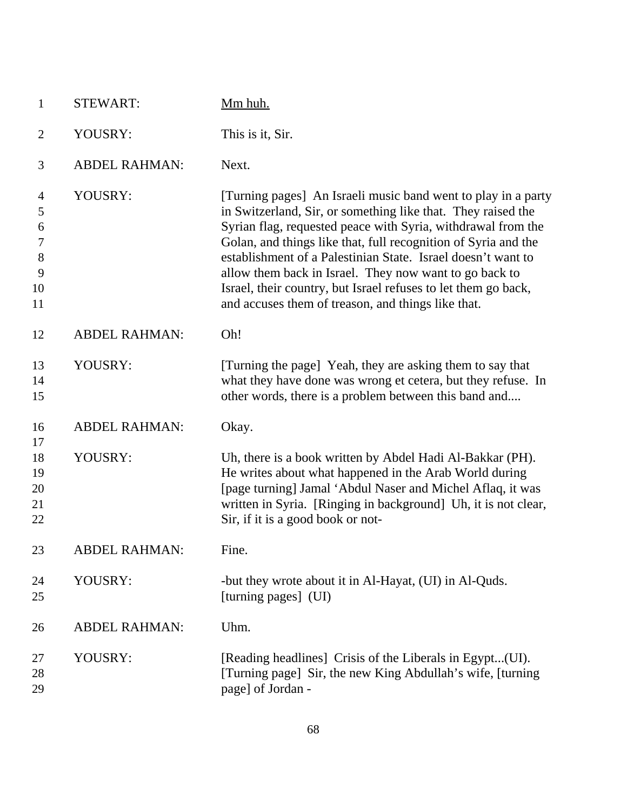| $\mathbf{1}$     | <b>STEWART:</b>      | Mm huh.                                                                                                              |
|------------------|----------------------|----------------------------------------------------------------------------------------------------------------------|
| $\overline{2}$   | YOUSRY:              | This is it, Sir.                                                                                                     |
| 3                | <b>ABDEL RAHMAN:</b> | Next.                                                                                                                |
| 4                | YOUSRY:              | [Turning pages] An Israeli music band went to play in a party                                                        |
| 5                |                      | in Switzerland, Sir, or something like that. They raised the                                                         |
| 6                |                      | Syrian flag, requested peace with Syria, withdrawal from the                                                         |
| $\boldsymbol{7}$ |                      | Golan, and things like that, full recognition of Syria and the                                                       |
| $8\,$            |                      | establishment of a Palestinian State. Israel doesn't want to                                                         |
| 9<br>10          |                      | allow them back in Israel. They now want to go back to                                                               |
| 11               |                      | Israel, their country, but Israel refuses to let them go back,<br>and accuses them of treason, and things like that. |
| 12               | <b>ABDEL RAHMAN:</b> | Oh!                                                                                                                  |
| 13               | YOUSRY:              | [Turning the page] Yeah, they are asking them to say that                                                            |
| 14               |                      | what they have done was wrong et cetera, but they refuse. In                                                         |
| 15               |                      | other words, there is a problem between this band and                                                                |
| 16               | <b>ABDEL RAHMAN:</b> | Okay.                                                                                                                |
| 17               |                      |                                                                                                                      |
| 18               | YOUSRY:              | Uh, there is a book written by Abdel Hadi Al-Bakkar (PH).                                                            |
| 19               |                      | He writes about what happened in the Arab World during                                                               |
| 20               |                      | [page turning] Jamal 'Abdul Naser and Michel Aflaq, it was                                                           |
| 21<br>22         |                      | written in Syria. [Ringing in background] Uh, it is not clear,<br>Sir, if it is a good book or not-                  |
|                  |                      |                                                                                                                      |
| 23               | ABDEL RAHMAN:        | Fine.                                                                                                                |
| 24               | YOUSRY:              | -but they wrote about it in Al-Hayat, (UI) in Al-Quds.                                                               |
| 25               |                      | [turning pages] (UI)                                                                                                 |
| 26               | <b>ABDEL RAHMAN:</b> | Uhm.                                                                                                                 |
| 27               | YOUSRY:              | [Reading headlines] Crisis of the Liberals in Egypt(UI).                                                             |
| 28               |                      | [Turning page] Sir, the new King Abdullah's wife, [turning                                                           |
| 29               |                      | page] of Jordan -                                                                                                    |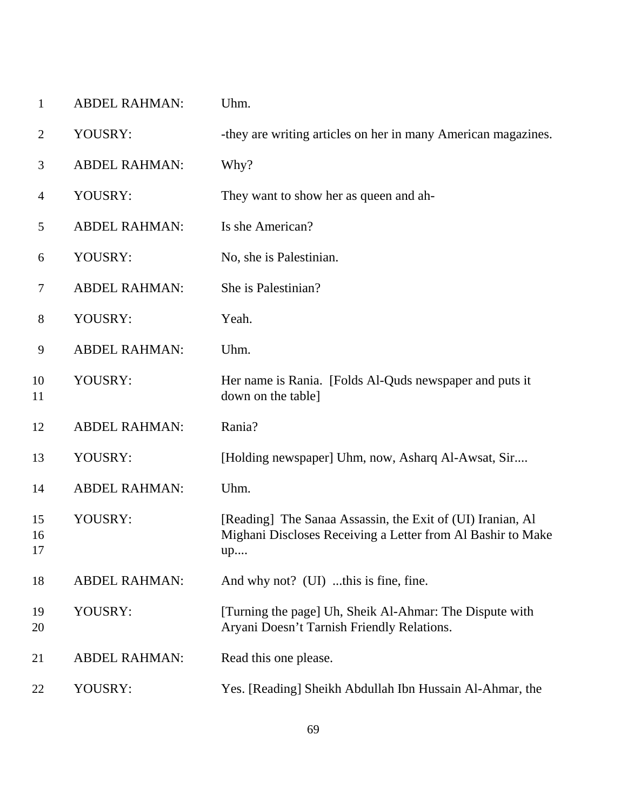| $\mathbf{1}$   | <b>ABDEL RAHMAN:</b> | Uhm.                                                                                                                            |
|----------------|----------------------|---------------------------------------------------------------------------------------------------------------------------------|
| $\overline{2}$ | YOUSRY:              | -they are writing articles on her in many American magazines.                                                                   |
| 3              | <b>ABDEL RAHMAN:</b> | Why?                                                                                                                            |
| 4              | YOUSRY:              | They want to show her as queen and ah-                                                                                          |
| 5              | <b>ABDEL RAHMAN:</b> | Is she American?                                                                                                                |
| 6              | YOUSRY:              | No, she is Palestinian.                                                                                                         |
| 7              | <b>ABDEL RAHMAN:</b> | She is Palestinian?                                                                                                             |
| 8              | YOUSRY:              | Yeah.                                                                                                                           |
| 9              | <b>ABDEL RAHMAN:</b> | Uhm.                                                                                                                            |
| 10<br>11       | YOUSRY:              | Her name is Rania. [Folds Al-Quds newspaper and puts it<br>down on the table]                                                   |
| 12             | <b>ABDEL RAHMAN:</b> | Rania?                                                                                                                          |
| 13             | YOUSRY:              | [Holding newspaper] Uhm, now, Asharq Al-Awsat, Sir                                                                              |
| 14             | <b>ABDEL RAHMAN:</b> | Uhm.                                                                                                                            |
| 15<br>16<br>17 | YOUSRY:              | [Reading] The Sanaa Assassin, the Exit of (UI) Iranian, Al<br>Mighani Discloses Receiving a Letter from Al Bashir to Make<br>up |
| 18             | <b>ABDEL RAHMAN:</b> | And why not? (UI) this is fine, fine.                                                                                           |
| 19<br>20       | YOUSRY:              | [Turning the page] Uh, Sheik Al-Ahmar: The Dispute with<br>Aryani Doesn't Tarnish Friendly Relations.                           |
| 21             | <b>ABDEL RAHMAN:</b> | Read this one please.                                                                                                           |
| 22             | YOUSRY:              | Yes. [Reading] Sheikh Abdullah Ibn Hussain Al-Ahmar, the                                                                        |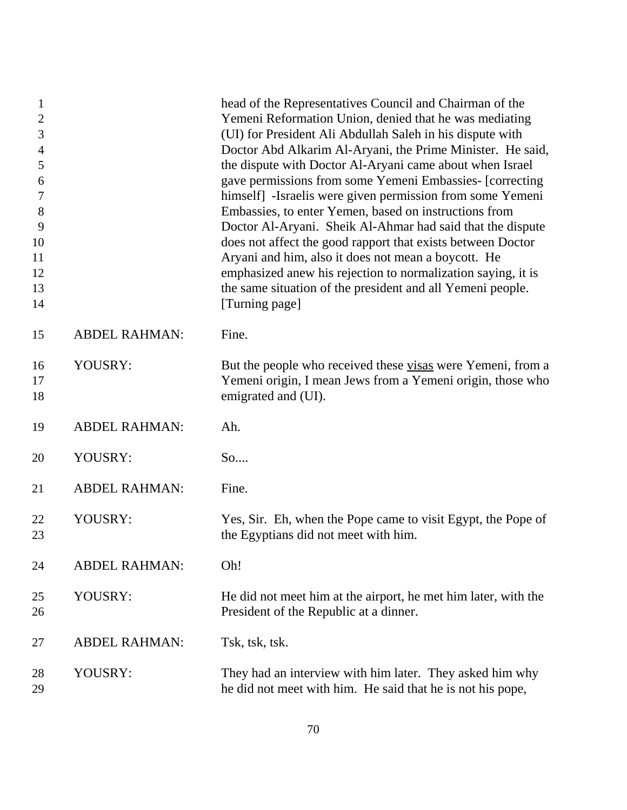| 1<br>$\overline{2}$<br>3<br>$\overline{4}$<br>5<br>6<br>7<br>8<br>9<br>10<br>11<br>12<br>13<br>14 |                      | head of the Representatives Council and Chairman of the<br>Yemeni Reformation Union, denied that he was mediating<br>(UI) for President Ali Abdullah Saleh in his dispute with<br>Doctor Abd Alkarim Al-Aryani, the Prime Minister. He said,<br>the dispute with Doctor Al-Aryani came about when Israel<br>gave permissions from some Yemeni Embassies- [correcting<br>himself] -Israelis were given permission from some Yemeni<br>Embassies, to enter Yemen, based on instructions from<br>Doctor Al-Aryani. Sheik Al-Ahmar had said that the dispute<br>does not affect the good rapport that exists between Doctor<br>Aryani and him, also it does not mean a boycott. He<br>emphasized anew his rejection to normalization saying, it is<br>the same situation of the president and all Yemeni people.<br>[Turning page] |
|---------------------------------------------------------------------------------------------------|----------------------|--------------------------------------------------------------------------------------------------------------------------------------------------------------------------------------------------------------------------------------------------------------------------------------------------------------------------------------------------------------------------------------------------------------------------------------------------------------------------------------------------------------------------------------------------------------------------------------------------------------------------------------------------------------------------------------------------------------------------------------------------------------------------------------------------------------------------------|
| 15                                                                                                | <b>ABDEL RAHMAN:</b> | Fine.                                                                                                                                                                                                                                                                                                                                                                                                                                                                                                                                                                                                                                                                                                                                                                                                                          |
| 16<br>17<br>18                                                                                    | YOUSRY:              | But the people who received these visas were Yemeni, from a<br>Yemeni origin, I mean Jews from a Yemeni origin, those who<br>emigrated and (UI).                                                                                                                                                                                                                                                                                                                                                                                                                                                                                                                                                                                                                                                                               |
| 19                                                                                                | <b>ABDEL RAHMAN:</b> | Ah.                                                                                                                                                                                                                                                                                                                                                                                                                                                                                                                                                                                                                                                                                                                                                                                                                            |
| 20                                                                                                | YOUSRY:              | So                                                                                                                                                                                                                                                                                                                                                                                                                                                                                                                                                                                                                                                                                                                                                                                                                             |
| 21                                                                                                | <b>ABDEL RAHMAN:</b> | Fine.                                                                                                                                                                                                                                                                                                                                                                                                                                                                                                                                                                                                                                                                                                                                                                                                                          |
| 22<br>23                                                                                          | YOUSRY:              | Yes, Sir. Eh, when the Pope came to visit Egypt, the Pope of<br>the Egyptians did not meet with him.                                                                                                                                                                                                                                                                                                                                                                                                                                                                                                                                                                                                                                                                                                                           |
| 24                                                                                                | <b>ABDEL RAHMAN:</b> | Oh!                                                                                                                                                                                                                                                                                                                                                                                                                                                                                                                                                                                                                                                                                                                                                                                                                            |
| 25<br>26                                                                                          | YOUSRY:              | He did not meet him at the airport, he met him later, with the<br>President of the Republic at a dinner.                                                                                                                                                                                                                                                                                                                                                                                                                                                                                                                                                                                                                                                                                                                       |
| 27                                                                                                | <b>ABDEL RAHMAN:</b> | Tsk, tsk, tsk.                                                                                                                                                                                                                                                                                                                                                                                                                                                                                                                                                                                                                                                                                                                                                                                                                 |
| 28<br>29                                                                                          | YOUSRY:              | They had an interview with him later. They asked him why<br>he did not meet with him. He said that he is not his pope,                                                                                                                                                                                                                                                                                                                                                                                                                                                                                                                                                                                                                                                                                                         |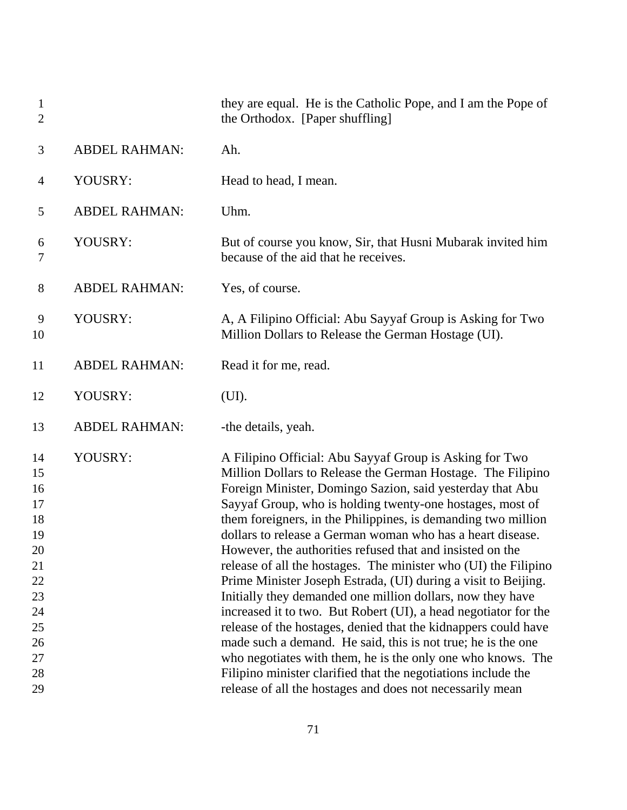| $\mathbf{1}$<br>$\overline{2}$                                                               |                      | they are equal. He is the Catholic Pope, and I am the Pope of<br>the Orthodox. [Paper shuffling]                                                                                                                                                                                                                                                                                                                                                                                                                                                                                                                                                                                                                                                                                                                                                                                                                                                                                                                                                  |
|----------------------------------------------------------------------------------------------|----------------------|---------------------------------------------------------------------------------------------------------------------------------------------------------------------------------------------------------------------------------------------------------------------------------------------------------------------------------------------------------------------------------------------------------------------------------------------------------------------------------------------------------------------------------------------------------------------------------------------------------------------------------------------------------------------------------------------------------------------------------------------------------------------------------------------------------------------------------------------------------------------------------------------------------------------------------------------------------------------------------------------------------------------------------------------------|
| 3                                                                                            | <b>ABDEL RAHMAN:</b> | Ah.                                                                                                                                                                                                                                                                                                                                                                                                                                                                                                                                                                                                                                                                                                                                                                                                                                                                                                                                                                                                                                               |
| $\overline{4}$                                                                               | YOUSRY:              | Head to head, I mean.                                                                                                                                                                                                                                                                                                                                                                                                                                                                                                                                                                                                                                                                                                                                                                                                                                                                                                                                                                                                                             |
| 5                                                                                            | <b>ABDEL RAHMAN:</b> | Uhm.                                                                                                                                                                                                                                                                                                                                                                                                                                                                                                                                                                                                                                                                                                                                                                                                                                                                                                                                                                                                                                              |
| 6<br>7                                                                                       | YOUSRY:              | But of course you know, Sir, that Husni Mubarak invited him<br>because of the aid that he receives.                                                                                                                                                                                                                                                                                                                                                                                                                                                                                                                                                                                                                                                                                                                                                                                                                                                                                                                                               |
| 8                                                                                            | <b>ABDEL RAHMAN:</b> | Yes, of course.                                                                                                                                                                                                                                                                                                                                                                                                                                                                                                                                                                                                                                                                                                                                                                                                                                                                                                                                                                                                                                   |
| 9<br>10                                                                                      | YOUSRY:              | A, A Filipino Official: Abu Sayyaf Group is Asking for Two<br>Million Dollars to Release the German Hostage (UI).                                                                                                                                                                                                                                                                                                                                                                                                                                                                                                                                                                                                                                                                                                                                                                                                                                                                                                                                 |
| 11                                                                                           | <b>ABDEL RAHMAN:</b> | Read it for me, read.                                                                                                                                                                                                                                                                                                                                                                                                                                                                                                                                                                                                                                                                                                                                                                                                                                                                                                                                                                                                                             |
| 12                                                                                           | YOUSRY:              | (UI).                                                                                                                                                                                                                                                                                                                                                                                                                                                                                                                                                                                                                                                                                                                                                                                                                                                                                                                                                                                                                                             |
| 13                                                                                           | <b>ABDEL RAHMAN:</b> | -the details, yeah.                                                                                                                                                                                                                                                                                                                                                                                                                                                                                                                                                                                                                                                                                                                                                                                                                                                                                                                                                                                                                               |
| 14<br>15<br>16<br>17<br>18<br>19<br>20<br>21<br>22<br>23<br>24<br>25<br>26<br>27<br>28<br>29 | YOUSRY:              | A Filipino Official: Abu Sayyaf Group is Asking for Two<br>Million Dollars to Release the German Hostage. The Filipino<br>Foreign Minister, Domingo Sazion, said yesterday that Abu<br>Sayyaf Group, who is holding twenty-one hostages, most of<br>them foreigners, in the Philippines, is demanding two million<br>dollars to release a German woman who has a heart disease.<br>However, the authorities refused that and insisted on the<br>release of all the hostages. The minister who (UI) the Filipino<br>Prime Minister Joseph Estrada, (UI) during a visit to Beijing.<br>Initially they demanded one million dollars, now they have<br>increased it to two. But Robert (UI), a head negotiator for the<br>release of the hostages, denied that the kidnappers could have<br>made such a demand. He said, this is not true; he is the one<br>who negotiates with them, he is the only one who knows. The<br>Filipino minister clarified that the negotiations include the<br>release of all the hostages and does not necessarily mean |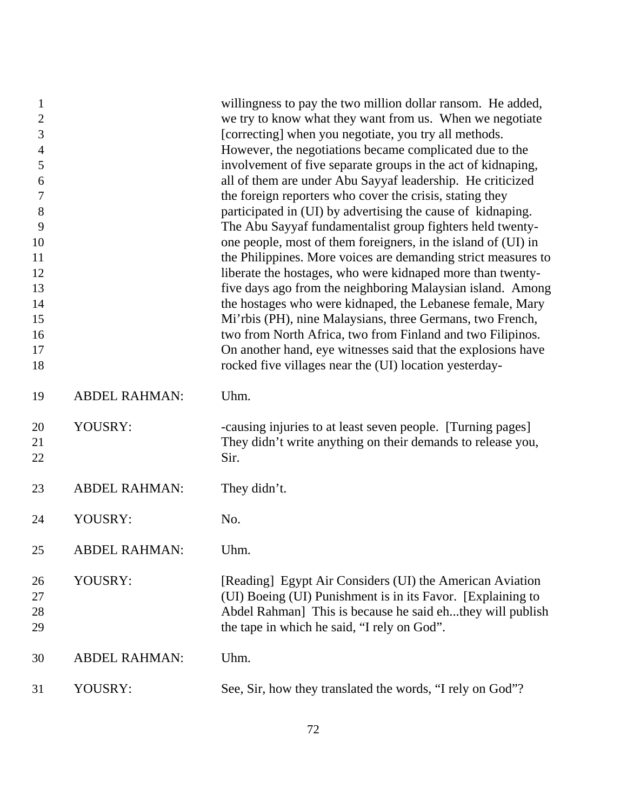| $\mathbf{1}$<br>$\overline{c}$<br>3<br>$\overline{\mathcal{A}}$<br>5<br>6<br>$\boldsymbol{7}$<br>$8\,$<br>9<br>10<br>11 |                      | willingness to pay the two million dollar ransom. He added,<br>we try to know what they want from us. When we negotiate<br>[correcting] when you negotiate, you try all methods.<br>However, the negotiations became complicated due to the<br>involvement of five separate groups in the act of kidnaping,<br>all of them are under Abu Sayyaf leadership. He criticized<br>the foreign reporters who cover the crisis, stating they<br>participated in (UI) by advertising the cause of kidnaping.<br>The Abu Sayyaf fundamentalist group fighters held twenty-<br>one people, most of them foreigners, in the island of (UI) in<br>the Philippines. More voices are demanding strict measures to |
|-------------------------------------------------------------------------------------------------------------------------|----------------------|-----------------------------------------------------------------------------------------------------------------------------------------------------------------------------------------------------------------------------------------------------------------------------------------------------------------------------------------------------------------------------------------------------------------------------------------------------------------------------------------------------------------------------------------------------------------------------------------------------------------------------------------------------------------------------------------------------|
| 12                                                                                                                      |                      | liberate the hostages, who were kidnaped more than twenty-                                                                                                                                                                                                                                                                                                                                                                                                                                                                                                                                                                                                                                          |
| 13<br>14                                                                                                                |                      | five days ago from the neighboring Malaysian island. Among<br>the hostages who were kidnaped, the Lebanese female, Mary                                                                                                                                                                                                                                                                                                                                                                                                                                                                                                                                                                             |
| 15                                                                                                                      |                      | Mi'rbis (PH), nine Malaysians, three Germans, two French,                                                                                                                                                                                                                                                                                                                                                                                                                                                                                                                                                                                                                                           |
| 16                                                                                                                      |                      | two from North Africa, two from Finland and two Filipinos.                                                                                                                                                                                                                                                                                                                                                                                                                                                                                                                                                                                                                                          |
| 17                                                                                                                      |                      | On another hand, eye witnesses said that the explosions have                                                                                                                                                                                                                                                                                                                                                                                                                                                                                                                                                                                                                                        |
| 18                                                                                                                      |                      | rocked five villages near the (UI) location yesterday-                                                                                                                                                                                                                                                                                                                                                                                                                                                                                                                                                                                                                                              |
| 19                                                                                                                      | <b>ABDEL RAHMAN:</b> | Uhm.                                                                                                                                                                                                                                                                                                                                                                                                                                                                                                                                                                                                                                                                                                |
| 20<br>21                                                                                                                | YOUSRY:              | -causing injuries to at least seven people. [Turning pages]<br>They didn't write anything on their demands to release you,                                                                                                                                                                                                                                                                                                                                                                                                                                                                                                                                                                          |
| 22                                                                                                                      |                      | Sir.                                                                                                                                                                                                                                                                                                                                                                                                                                                                                                                                                                                                                                                                                                |
| 23                                                                                                                      | <b>ABDEL RAHMAN:</b> | They didn't.                                                                                                                                                                                                                                                                                                                                                                                                                                                                                                                                                                                                                                                                                        |
| 24                                                                                                                      | YOUSRY:              | No.                                                                                                                                                                                                                                                                                                                                                                                                                                                                                                                                                                                                                                                                                                 |
| 25                                                                                                                      | <b>ABDEL RAHMAN:</b> | Uhm.                                                                                                                                                                                                                                                                                                                                                                                                                                                                                                                                                                                                                                                                                                |
| 26                                                                                                                      | YOUSRY:              | [Reading] Egypt Air Considers (UI) the American Aviation                                                                                                                                                                                                                                                                                                                                                                                                                                                                                                                                                                                                                                            |
| 27                                                                                                                      |                      | (UI) Boeing (UI) Punishment is in its Favor. [Explaining to                                                                                                                                                                                                                                                                                                                                                                                                                                                                                                                                                                                                                                         |
| 28<br>29                                                                                                                |                      | Abdel Rahman] This is because he said ehthey will publish<br>the tape in which he said, "I rely on God".                                                                                                                                                                                                                                                                                                                                                                                                                                                                                                                                                                                            |
| 30                                                                                                                      | <b>ABDEL RAHMAN:</b> | Uhm.                                                                                                                                                                                                                                                                                                                                                                                                                                                                                                                                                                                                                                                                                                |
| 31                                                                                                                      | YOUSRY:              | See, Sir, how they translated the words, "I rely on God"?                                                                                                                                                                                                                                                                                                                                                                                                                                                                                                                                                                                                                                           |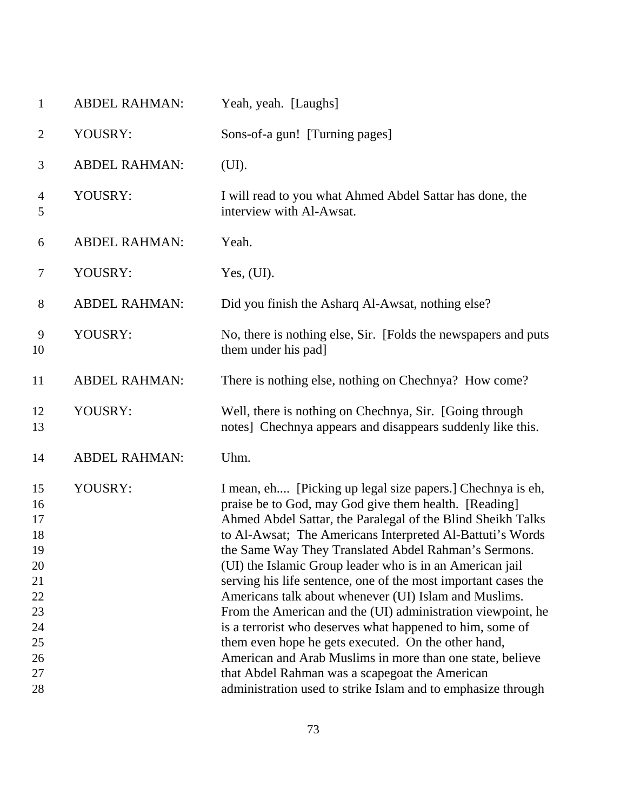| $\mathbf{1}$                                                                     | <b>ABDEL RAHMAN:</b> | Yeah, yeah. [Laughs]                                                                                                                                                                                                                                                                                                                                                                                                                                                                                                                                                                                                                                                                                                                                                                                                                                             |
|----------------------------------------------------------------------------------|----------------------|------------------------------------------------------------------------------------------------------------------------------------------------------------------------------------------------------------------------------------------------------------------------------------------------------------------------------------------------------------------------------------------------------------------------------------------------------------------------------------------------------------------------------------------------------------------------------------------------------------------------------------------------------------------------------------------------------------------------------------------------------------------------------------------------------------------------------------------------------------------|
| $\overline{2}$                                                                   | YOUSRY:              | Sons-of-a gun! [Turning pages]                                                                                                                                                                                                                                                                                                                                                                                                                                                                                                                                                                                                                                                                                                                                                                                                                                   |
| 3                                                                                | <b>ABDEL RAHMAN:</b> | (UI).                                                                                                                                                                                                                                                                                                                                                                                                                                                                                                                                                                                                                                                                                                                                                                                                                                                            |
| 4<br>5                                                                           | YOUSRY:              | I will read to you what Ahmed Abdel Sattar has done, the<br>interview with Al-Awsat.                                                                                                                                                                                                                                                                                                                                                                                                                                                                                                                                                                                                                                                                                                                                                                             |
| 6                                                                                | <b>ABDEL RAHMAN:</b> | Yeah.                                                                                                                                                                                                                                                                                                                                                                                                                                                                                                                                                                                                                                                                                                                                                                                                                                                            |
| $\tau$                                                                           | YOUSRY:              | Yes, (UI).                                                                                                                                                                                                                                                                                                                                                                                                                                                                                                                                                                                                                                                                                                                                                                                                                                                       |
| $8\,$                                                                            | <b>ABDEL RAHMAN:</b> | Did you finish the Asharq Al-Awsat, nothing else?                                                                                                                                                                                                                                                                                                                                                                                                                                                                                                                                                                                                                                                                                                                                                                                                                |
| 9<br>10                                                                          | YOUSRY:              | No, there is nothing else, Sir. [Folds the newspapers and puts<br>them under his pad]                                                                                                                                                                                                                                                                                                                                                                                                                                                                                                                                                                                                                                                                                                                                                                            |
| 11                                                                               | <b>ABDEL RAHMAN:</b> | There is nothing else, nothing on Chechnya? How come?                                                                                                                                                                                                                                                                                                                                                                                                                                                                                                                                                                                                                                                                                                                                                                                                            |
| 12<br>13                                                                         | YOUSRY:              | Well, there is nothing on Chechnya, Sir. [Going through<br>notes] Chechnya appears and disappears suddenly like this.                                                                                                                                                                                                                                                                                                                                                                                                                                                                                                                                                                                                                                                                                                                                            |
| 14                                                                               | <b>ABDEL RAHMAN:</b> | Uhm.                                                                                                                                                                                                                                                                                                                                                                                                                                                                                                                                                                                                                                                                                                                                                                                                                                                             |
| 15<br>16<br>17<br>18<br>19<br>20<br>21<br>22<br>23<br>24<br>25<br>26<br>27<br>28 | YOUSRY:              | I mean, eh [Picking up legal size papers.] Chechnya is eh,<br>praise be to God, may God give them health. [Reading]<br>Ahmed Abdel Sattar, the Paralegal of the Blind Sheikh Talks<br>to Al-Awsat; The Americans Interpreted Al-Battuti's Words<br>the Same Way They Translated Abdel Rahman's Sermons.<br>(UI) the Islamic Group leader who is in an American jail<br>serving his life sentence, one of the most important cases the<br>Americans talk about whenever (UI) Islam and Muslims.<br>From the American and the (UI) administration viewpoint, he<br>is a terrorist who deserves what happened to him, some of<br>them even hope he gets executed. On the other hand,<br>American and Arab Muslims in more than one state, believe<br>that Abdel Rahman was a scapegoat the American<br>administration used to strike Islam and to emphasize through |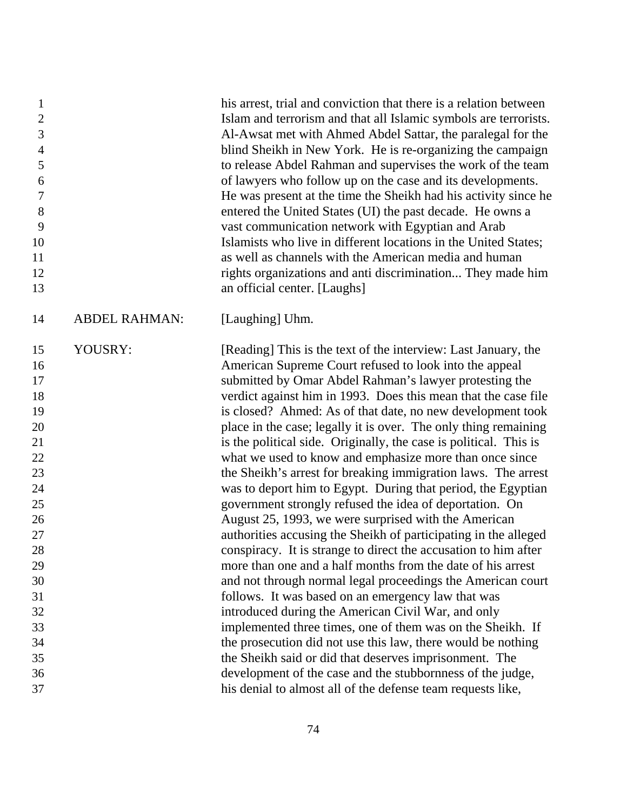| $\mathbf{1}$<br>$\mathfrak{2}$<br>3<br>$\overline{4}$<br>5<br>6<br>$\boldsymbol{7}$<br>$8\,$<br>9<br>10<br>11<br>12<br>13 |                      | his arrest, trial and conviction that there is a relation between<br>Islam and terrorism and that all Islamic symbols are terrorists.<br>Al-Awsat met with Ahmed Abdel Sattar, the paralegal for the<br>blind Sheikh in New York. He is re-organizing the campaign<br>to release Abdel Rahman and supervises the work of the team<br>of lawyers who follow up on the case and its developments.<br>He was present at the time the Sheikh had his activity since he<br>entered the United States (UI) the past decade. He owns a<br>vast communication network with Egyptian and Arab<br>Islamists who live in different locations in the United States;<br>as well as channels with the American media and human<br>rights organizations and anti discrimination They made him<br>an official center. [Laughs]                                                                                                                                                                                                                                |
|---------------------------------------------------------------------------------------------------------------------------|----------------------|-----------------------------------------------------------------------------------------------------------------------------------------------------------------------------------------------------------------------------------------------------------------------------------------------------------------------------------------------------------------------------------------------------------------------------------------------------------------------------------------------------------------------------------------------------------------------------------------------------------------------------------------------------------------------------------------------------------------------------------------------------------------------------------------------------------------------------------------------------------------------------------------------------------------------------------------------------------------------------------------------------------------------------------------------|
| 14                                                                                                                        | <b>ABDEL RAHMAN:</b> | [Laughing] Uhm.                                                                                                                                                                                                                                                                                                                                                                                                                                                                                                                                                                                                                                                                                                                                                                                                                                                                                                                                                                                                                               |
| 15<br>16<br>17<br>18<br>19<br>20<br>21<br>22<br>23<br>24<br>25<br>26<br>27<br>28<br>29<br>30                              | YOUSRY:              | [Reading] This is the text of the interview: Last January, the<br>American Supreme Court refused to look into the appeal<br>submitted by Omar Abdel Rahman's lawyer protesting the<br>verdict against him in 1993. Does this mean that the case file<br>is closed? Ahmed: As of that date, no new development took<br>place in the case; legally it is over. The only thing remaining<br>is the political side. Originally, the case is political. This is<br>what we used to know and emphasize more than once since<br>the Sheikh's arrest for breaking immigration laws. The arrest<br>was to deport him to Egypt. During that period, the Egyptian<br>government strongly refused the idea of deportation. On<br>August 25, 1993, we were surprised with the American<br>authorities accusing the Sheikh of participating in the alleged<br>conspiracy. It is strange to direct the accusation to him after<br>more than one and a half months from the date of his arrest<br>and not through normal legal proceedings the American court |
| 31<br>32                                                                                                                  |                      | follows. It was based on an emergency law that was<br>introduced during the American Civil War, and only                                                                                                                                                                                                                                                                                                                                                                                                                                                                                                                                                                                                                                                                                                                                                                                                                                                                                                                                      |
| 33                                                                                                                        |                      | implemented three times, one of them was on the Sheikh. If                                                                                                                                                                                                                                                                                                                                                                                                                                                                                                                                                                                                                                                                                                                                                                                                                                                                                                                                                                                    |
| 34                                                                                                                        |                      | the prosecution did not use this law, there would be nothing                                                                                                                                                                                                                                                                                                                                                                                                                                                                                                                                                                                                                                                                                                                                                                                                                                                                                                                                                                                  |
| 35                                                                                                                        |                      | the Sheikh said or did that deserves imprisonment. The                                                                                                                                                                                                                                                                                                                                                                                                                                                                                                                                                                                                                                                                                                                                                                                                                                                                                                                                                                                        |
| 36                                                                                                                        |                      | development of the case and the stubbornness of the judge,                                                                                                                                                                                                                                                                                                                                                                                                                                                                                                                                                                                                                                                                                                                                                                                                                                                                                                                                                                                    |
| 37                                                                                                                        |                      | his denial to almost all of the defense team requests like,                                                                                                                                                                                                                                                                                                                                                                                                                                                                                                                                                                                                                                                                                                                                                                                                                                                                                                                                                                                   |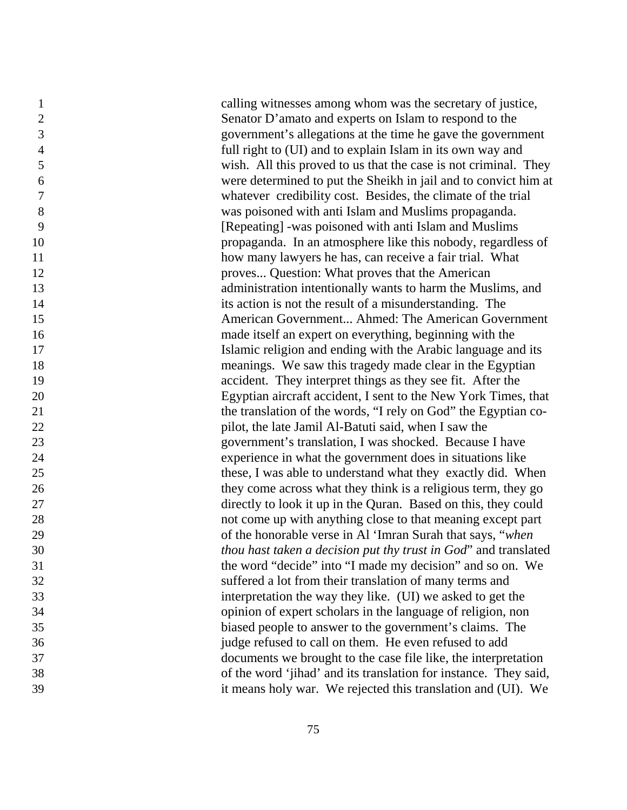calling witnesses among whom was the secretary of justice, Senator D'amato and experts on Islam to respond to the government's allegations at the time he gave the government full right to (UI) and to explain Islam in its own way and wish. All this proved to us that the case is not criminal. They were determined to put the Sheikh in jail and to convict him at whatever credibility cost. Besides, the climate of the trial was poisoned with anti Islam and Muslims propaganda. [Repeating] -was poisoned with anti Islam and Muslims propaganda. In an atmosphere like this nobody, regardless of 11 how many lawyers he has, can receive a fair trial. What proves... Question: What proves that the American administration intentionally wants to harm the Muslims, and its action is not the result of a misunderstanding. The American Government... Ahmed: The American Government made itself an expert on everything, beginning with the Islamic religion and ending with the Arabic language and its meanings. We saw this tragedy made clear in the Egyptian accident. They interpret things as they see fit. After the Egyptian aircraft accident, I sent to the New York Times, that 21 the translation of the words, "I rely on God" the Egyptian co- pilot, the late Jamil Al-Batuti said, when I saw the government's translation, I was shocked. Because I have experience in what the government does in situations like these, I was able to understand what they exactly did. When they come across what they think is a religious term, they go directly to look it up in the Quran. Based on this, they could not come up with anything close to that meaning except part of the honorable verse in Al 'Imran Surah that says, "*when thou hast taken a decision put thy trust in God*" and translated the word "decide" into "I made my decision" and so on. We suffered a lot from their translation of many terms and interpretation the way they like. (UI) we asked to get the opinion of expert scholars in the language of religion, non biased people to answer to the government's claims. The judge refused to call on them. He even refused to add documents we brought to the case file like, the interpretation of the word 'jihad' and its translation for instance. They said, it means holy war. We rejected this translation and (UI). We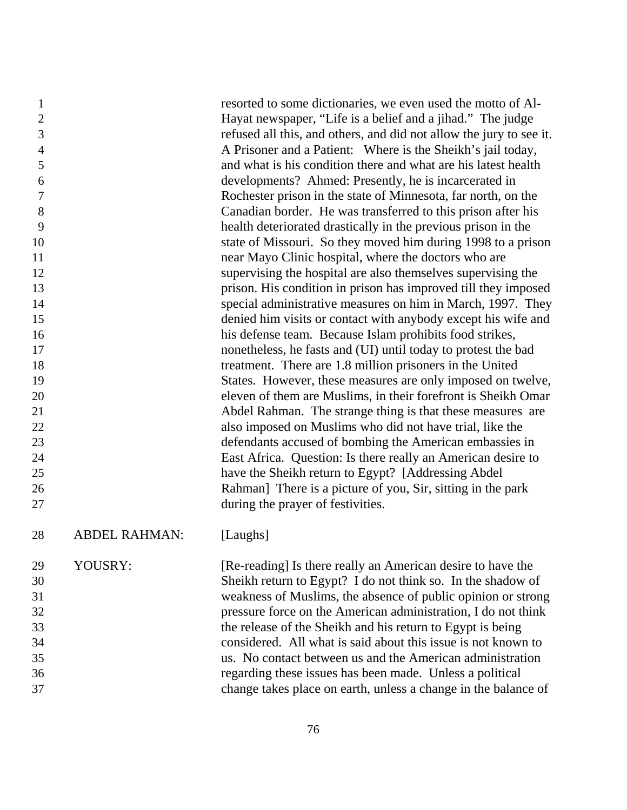| 1              |                      | resorted to some dictionaries, we even used the motto of Al-        |
|----------------|----------------------|---------------------------------------------------------------------|
| $\overline{2}$ |                      | Hayat newspaper, "Life is a belief and a jihad." The judge          |
| 3              |                      | refused all this, and others, and did not allow the jury to see it. |
| $\overline{4}$ |                      | A Prisoner and a Patient: Where is the Sheikh's jail today,         |
| 5              |                      | and what is his condition there and what are his latest health      |
| 6              |                      | developments? Ahmed: Presently, he is incarcerated in               |
| 7              |                      | Rochester prison in the state of Minnesota, far north, on the       |
| $8\,$          |                      | Canadian border. He was transferred to this prison after his        |
| 9              |                      | health deteriorated drastically in the previous prison in the       |
| 10             |                      | state of Missouri. So they moved him during 1998 to a prison        |
| 11             |                      | near Mayo Clinic hospital, where the doctors who are                |
| 12             |                      | supervising the hospital are also themselves supervising the        |
| 13             |                      | prison. His condition in prison has improved till they imposed      |
| 14             |                      | special administrative measures on him in March, 1997. They         |
| 15             |                      | denied him visits or contact with anybody except his wife and       |
| 16             |                      | his defense team. Because Islam prohibits food strikes,             |
| 17             |                      | nonetheless, he fasts and (UI) until today to protest the bad       |
| 18             |                      | treatment. There are 1.8 million prisoners in the United            |
| 19             |                      | States. However, these measures are only imposed on twelve,         |
| 20             |                      | eleven of them are Muslims, in their forefront is Sheikh Omar       |
| 21             |                      | Abdel Rahman. The strange thing is that these measures are          |
| 22             |                      | also imposed on Muslims who did not have trial, like the            |
| 23             |                      | defendants accused of bombing the American embassies in             |
| 24             |                      | East Africa. Question: Is there really an American desire to        |
| 25             |                      | have the Sheikh return to Egypt? [Addressing Abdel]                 |
| 26             |                      | Rahman] There is a picture of you, Sir, sitting in the park         |
| 27             |                      | during the prayer of festivities.                                   |
| 28             | <b>ABDEL RAHMAN:</b> | [Laughs]                                                            |
| 29             | YOUSRY:              | [Re-reading] Is there really an American desire to have the         |
| 30             |                      | Sheikh return to Egypt? I do not think so. In the shadow of         |
| 31             |                      | weakness of Muslims, the absence of public opinion or strong        |
| 32             |                      | pressure force on the American administration, I do not think       |
| 33             |                      | the release of the Sheikh and his return to Egypt is being          |
| 34             |                      | considered. All what is said about this issue is not known to       |
| 35             |                      | us. No contact between us and the American administration           |
| 36             |                      | regarding these issues has been made. Unless a political            |
| 37             |                      | change takes place on earth, unless a change in the balance of      |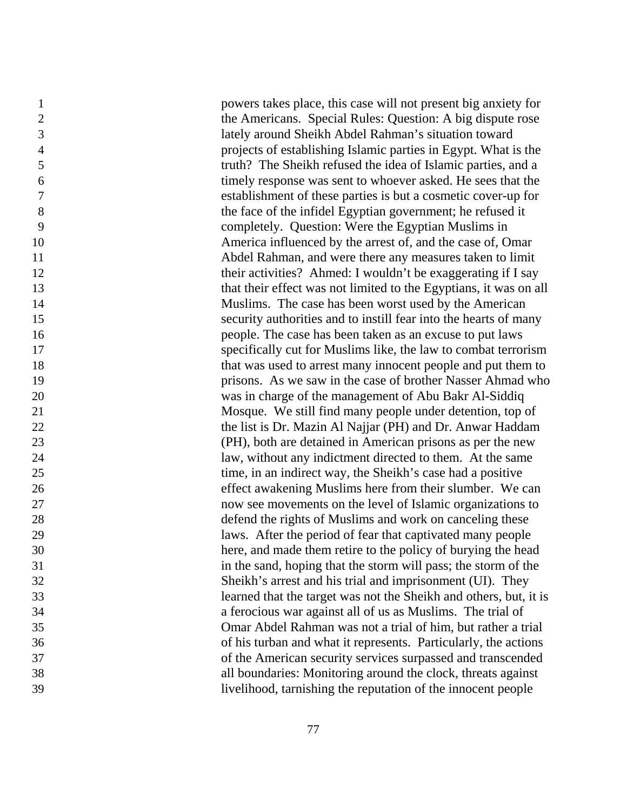powers takes place, this case will not present big anxiety for the Americans. Special Rules: Question: A big dispute rose lately around Sheikh Abdel Rahman's situation toward projects of establishing Islamic parties in Egypt. What is the truth? The Sheikh refused the idea of Islamic parties, and a timely response was sent to whoever asked. He sees that the establishment of these parties is but a cosmetic cover-up for the face of the infidel Egyptian government; he refused it completely. Question: Were the Egyptian Muslims in America influenced by the arrest of, and the case of, Omar Abdel Rahman, and were there any measures taken to limit 12 their activities? Ahmed: I wouldn't be exaggerating if I say that their effect was not limited to the Egyptians, it was on all Muslims. The case has been worst used by the American security authorities and to instill fear into the hearts of many people. The case has been taken as an excuse to put laws specifically cut for Muslims like, the law to combat terrorism 18 that was used to arrest many innocent people and put them to prisons. As we saw in the case of brother Nasser Ahmad who was in charge of the management of Abu Bakr Al-Siddiq Mosque. We still find many people under detention, top of the list is Dr. Mazin Al Najjar (PH) and Dr. Anwar Haddam (PH), both are detained in American prisons as per the new law, without any indictment directed to them. At the same time, in an indirect way, the Sheikh's case had a positive effect awakening Muslims here from their slumber. We can now see movements on the level of Islamic organizations to defend the rights of Muslims and work on canceling these laws. After the period of fear that captivated many people here, and made them retire to the policy of burying the head in the sand, hoping that the storm will pass; the storm of the Sheikh's arrest and his trial and imprisonment (UI). They learned that the target was not the Sheikh and others, but, it is a ferocious war against all of us as Muslims. The trial of Omar Abdel Rahman was not a trial of him, but rather a trial of his turban and what it represents. Particularly, the actions of the American security services surpassed and transcended all boundaries: Monitoring around the clock, threats against livelihood, tarnishing the reputation of the innocent people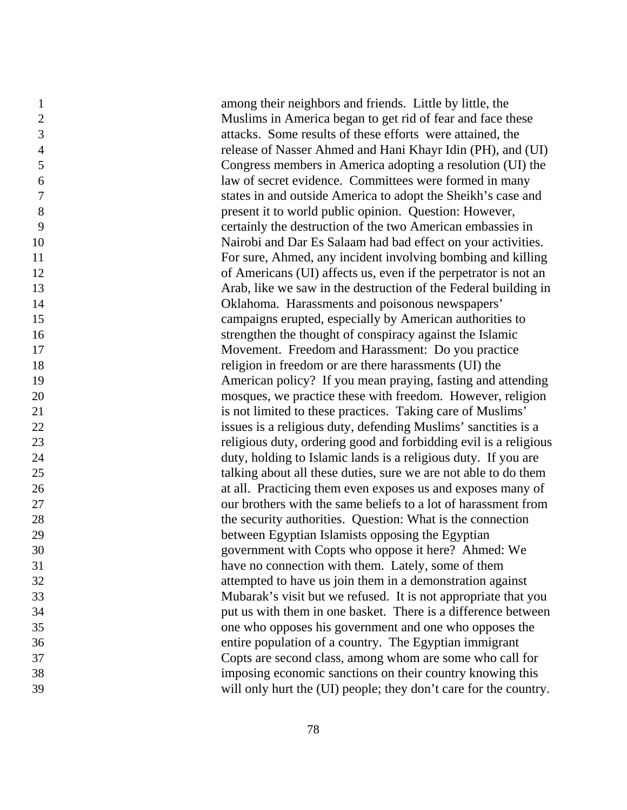among their neighbors and friends. Little by little, the Muslims in America began to get rid of fear and face these attacks. Some results of these efforts were attained, the release of Nasser Ahmed and Hani Khayr Idin (PH), and (UI) Congress members in America adopting a resolution (UI) the law of secret evidence. Committees were formed in many states in and outside America to adopt the Sheikh's case and present it to world public opinion. Question: However, certainly the destruction of the two American embassies in Nairobi and Dar Es Salaam had bad effect on your activities. For sure, Ahmed, any incident involving bombing and killing of Americans (UI) affects us, even if the perpetrator is not an Arab, like we saw in the destruction of the Federal building in Oklahoma. Harassments and poisonous newspapers' campaigns erupted, especially by American authorities to strengthen the thought of conspiracy against the Islamic Movement. Freedom and Harassment: Do you practice religion in freedom or are there harassments (UI) the American policy? If you mean praying, fasting and attending mosques, we practice these with freedom. However, religion is not limited to these practices. Taking care of Muslims' issues is a religious duty, defending Muslims' sanctities is a religious duty, ordering good and forbidding evil is a religious duty, holding to Islamic lands is a religious duty. If you are talking about all these duties, sure we are not able to do them at all. Practicing them even exposes us and exposes many of our brothers with the same beliefs to a lot of harassment from the security authorities. Question: What is the connection between Egyptian Islamists opposing the Egyptian government with Copts who oppose it here? Ahmed: We have no connection with them. Lately, some of them attempted to have us join them in a demonstration against Mubarak's visit but we refused. It is not appropriate that you put us with them in one basket. There is a difference between one who opposes his government and one who opposes the entire population of a country. The Egyptian immigrant Copts are second class, among whom are some who call for imposing economic sanctions on their country knowing this will only hurt the (UI) people; they don't care for the country.